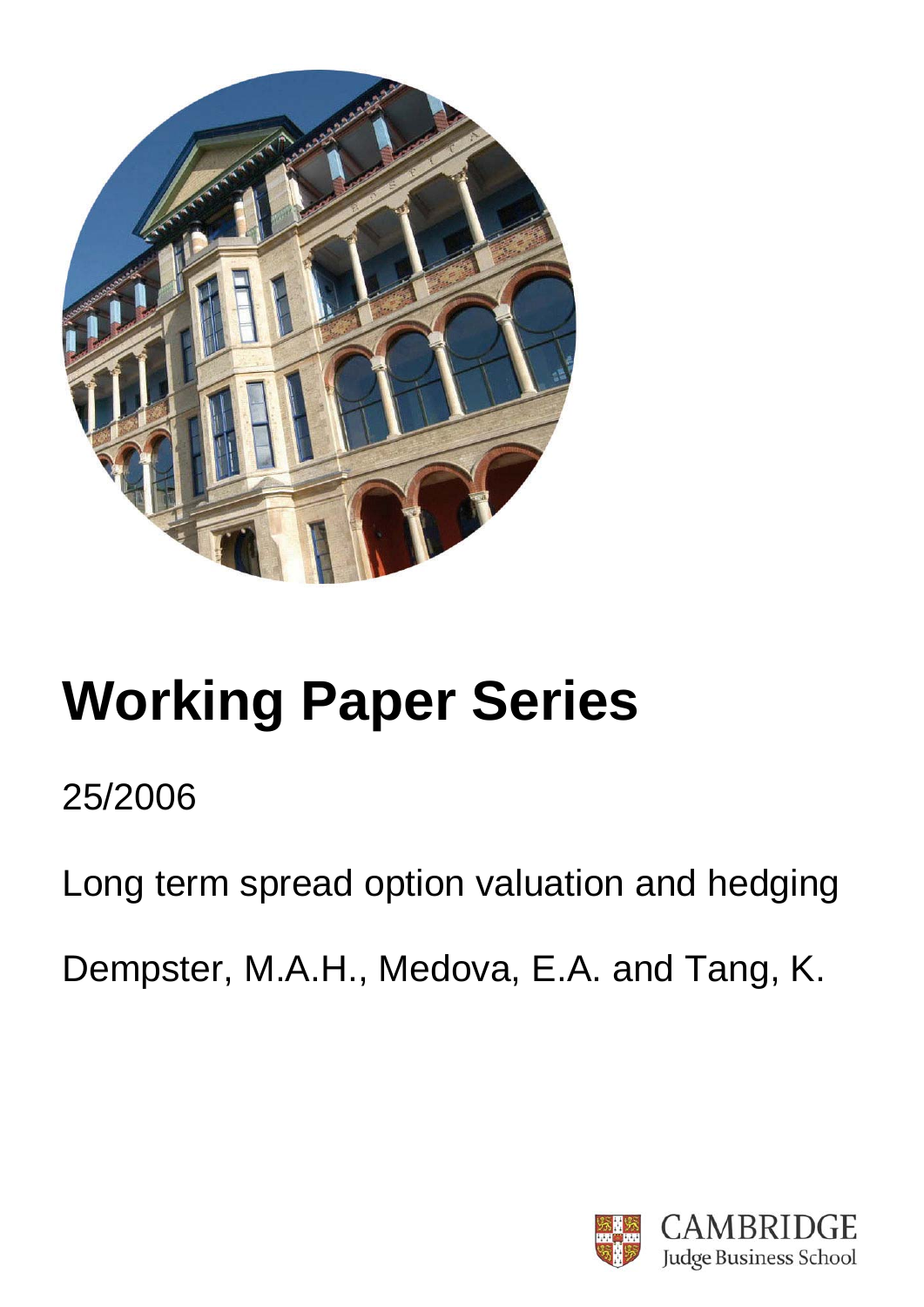

# **Working Paper Series**

# 25/2006

Long term spread option valuation and hedging

Dempster, M.A.H., Medova, E.A. and Tang, K.

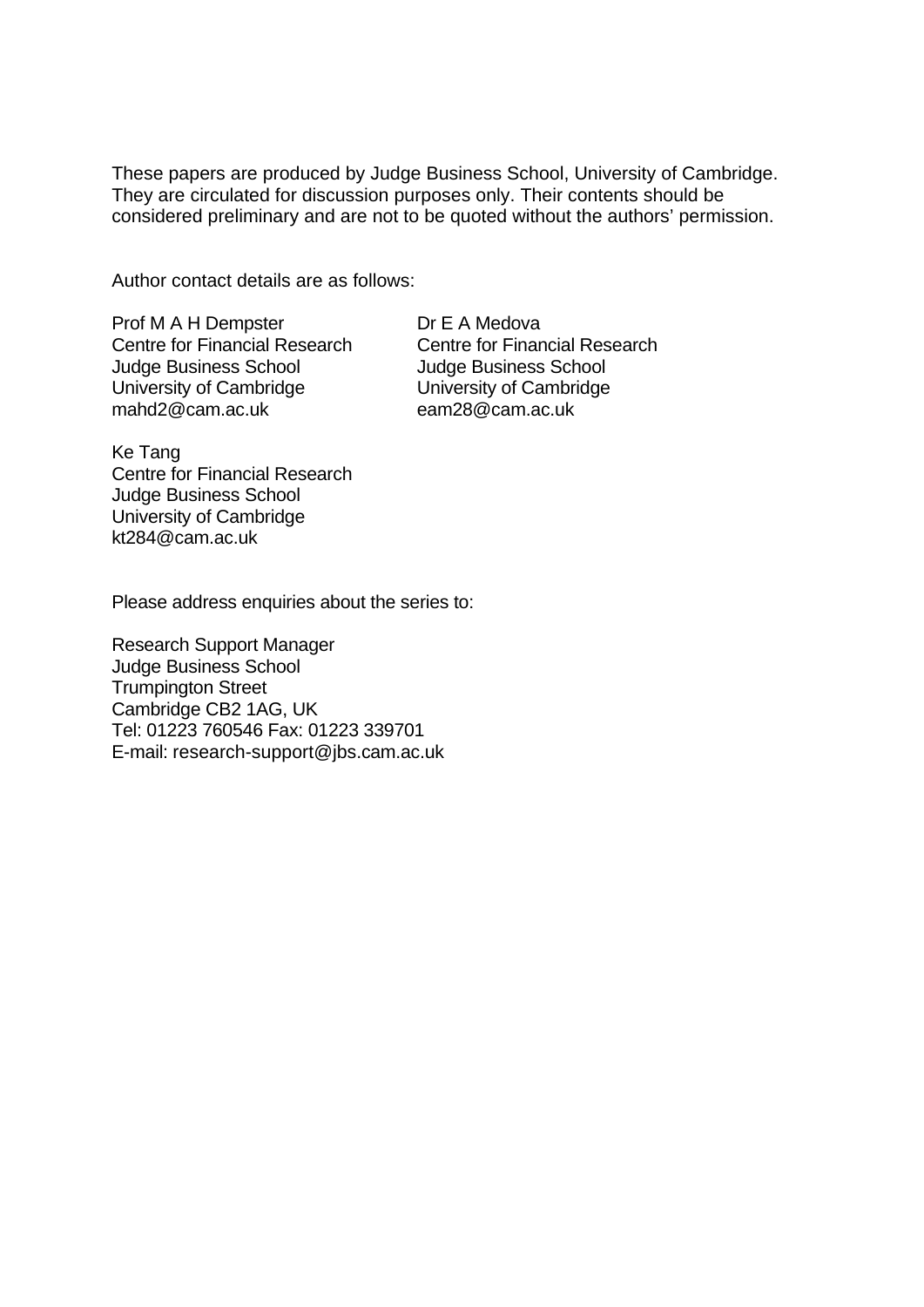These papers are produced by Judge Business School, University of Cambridge. They are circulated for discussion purposes only. Their contents should be considered preliminary and are not to be quoted without the authors' permission.

Author contact details are as follows:

Prof M A H Dempster Centre for Financial Research Judge Business School University of Cambridge mahd2@cam.ac.uk

Dr E A Medova Centre for Financial Research Judge Business School University of Cambridge eam28@cam.ac.uk

Ke Tang Centre for Financial Research Judge Business School University of Cambridge kt284@cam.ac.uk

Please address enquiries about the series to:

Research Support Manager Judge Business School Trumpington Street Cambridge CB2 1AG, UK Tel: 01223 760546 Fax: 01223 339701 E-mail: research-support@jbs.cam.ac.uk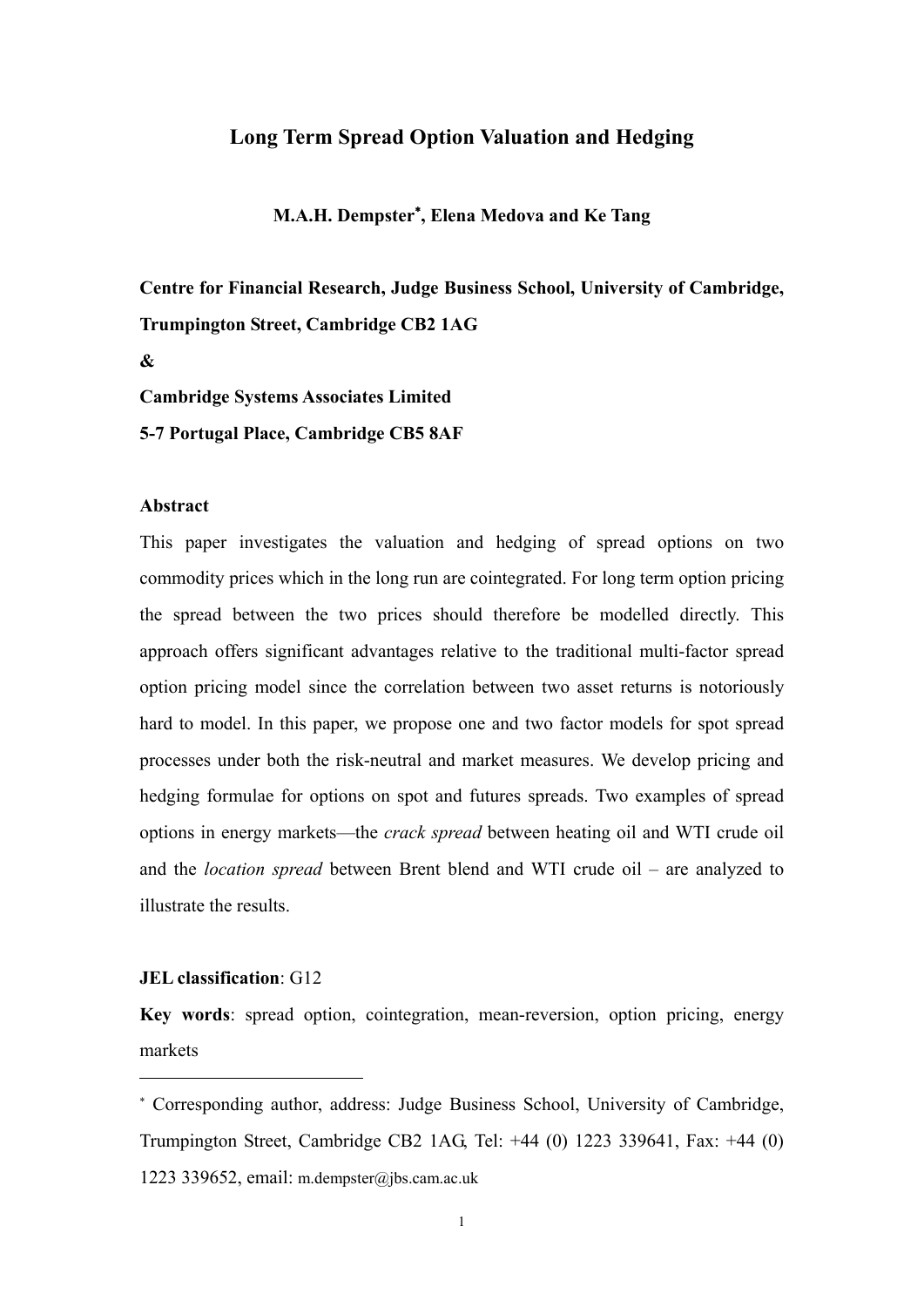#### **Long Term Spread Option Valuation and Hedging**

**M.A.H. Dempster**<sup>∗</sup> **, Elena Medova and Ke Tang**

**Centre for Financial Research, Judge Business School, University of Cambridge, Trumpington Street, Cambridge CB2 1AG** 

**&** 

**Cambridge Systems Associates Limited** 

**5-7 Portugal Place, Cambridge CB5 8AF** 

#### **Abstract**

This paper investigates the valuation and hedging of spread options on two commodity prices which in the long run are cointegrated. For long term option pricing the spread between the two prices should therefore be modelled directly. This approach offers significant advantages relative to the traditional multi-factor spread option pricing model since the correlation between two asset returns is notoriously hard to model. In this paper, we propose one and two factor models for spot spread processes under both the risk-neutral and market measures. We develop pricing and hedging formulae for options on spot and futures spreads. Two examples of spread options in energy markets—the *crack spread* between heating oil and WTI crude oil and the *location spread* between Brent blend and WTI crude oil – are analyzed to illustrate the results.

#### **JEL classification**: G12

<u>.</u>

**Key words**: spread option, cointegration, mean-reversion, option pricing, energy markets

<sup>∗</sup> Corresponding author, address: Judge Business School, University of Cambridge, Trumpington Street, Cambridge CB2 1AG, Tel: +44 (0) 1223 339641, Fax: +44 (0) 1223 339652, email: m.dempster@jbs.cam.ac.uk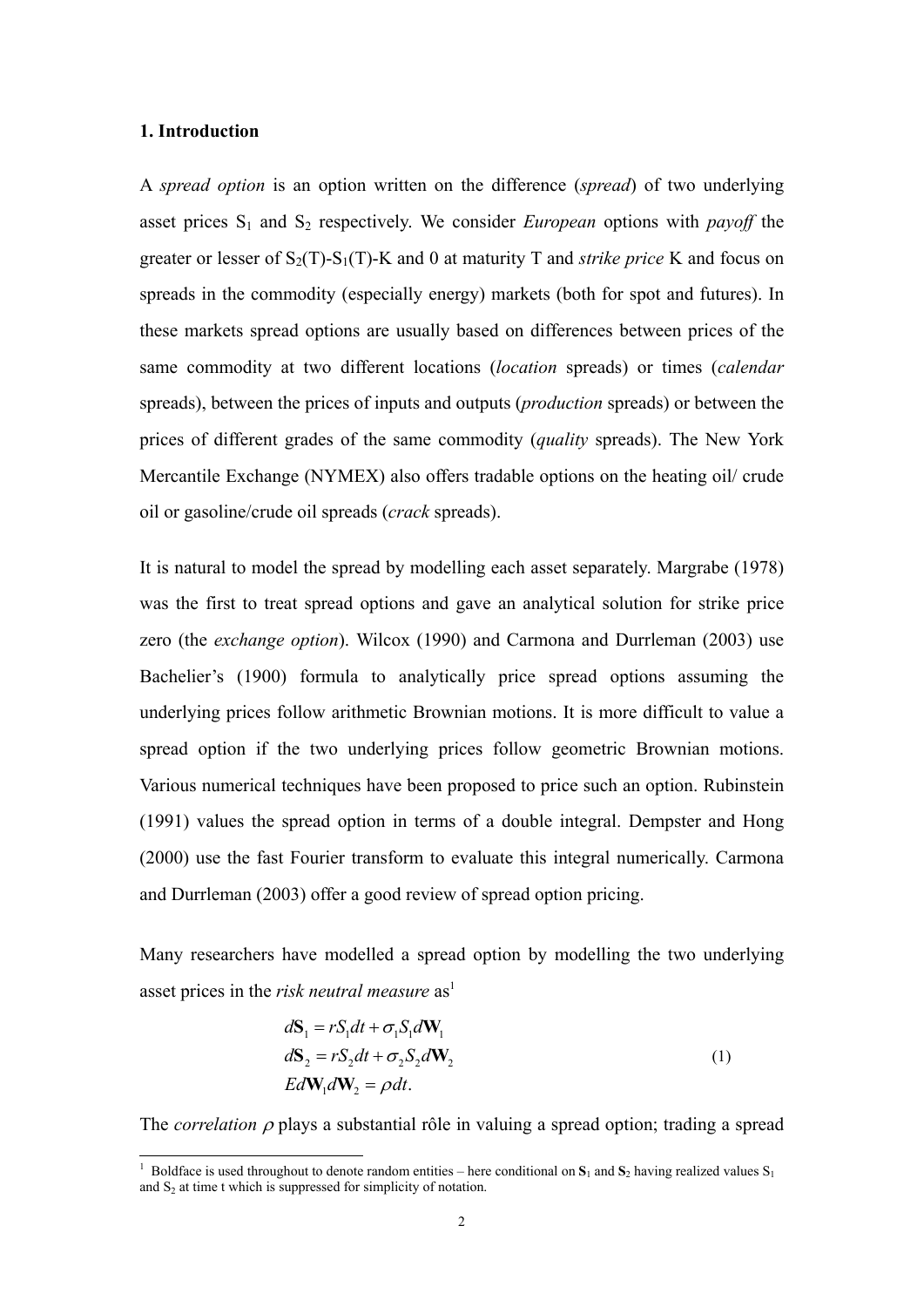#### **1. Introduction**

A *spread option* is an option written on the difference (*spread*) of two underlying asset prices  $S_1$  and  $S_2$  respectively. We consider *European* options with *payoff* the greater or lesser of  $S_2(T)$ - $S_1(T)$ -K and 0 at maturity T and *strike price* K and focus on spreads in the commodity (especially energy) markets (both for spot and futures). In these markets spread options are usually based on differences between prices of the same commodity at two different locations (*location* spreads) or times (*calendar*  spreads), between the prices of inputs and outputs (*production* spreads) or between the prices of different grades of the same commodity (*quality* spreads). The New York Mercantile Exchange (NYMEX) also offers tradable options on the heating oil/ crude oil or gasoline/crude oil spreads (*crack* spreads).

It is natural to model the spread by modelling each asset separately. Margrabe (1978) was the first to treat spread options and gave an analytical solution for strike price zero (the *exchange option*). Wilcox (1990) and Carmona and Durrleman (2003) use Bachelier's (1900) formula to analytically price spread options assuming the underlying prices follow arithmetic Brownian motions. It is more difficult to value a spread option if the two underlying prices follow geometric Brownian motions. Various numerical techniques have been proposed to price such an option. Rubinstein (1991) values the spread option in terms of a double integral. Dempster and Hong (2000) use the fast Fourier transform to evaluate this integral numerically. Carmona and Durrleman (2003) offer a good review of spread option pricing.

Many researchers have modelled a spread option by modelling the two underlying asset prices in the *risk neutral measure* as<sup>1</sup>

$$
d\mathbf{S}_1 = rS_1 dt + \sigma_1 S_1 d\mathbf{W}_1
$$
  
\n
$$
d\mathbf{S}_2 = rS_2 dt + \sigma_2 S_2 d\mathbf{W}_2
$$
  
\n
$$
Ed\mathbf{W}_1 d\mathbf{W}_2 = \rho dt.
$$
\n(1)

The *correlation* <sup>ρ</sup> plays a substantial rôle in valuing a spread option; trading a spread

<sup>&</sup>lt;sup>1</sup> Boldface is used throughout to denote random entities – here conditional on  $S_1$  and  $S_2$  having realized values  $S_1$ and  $S<sub>2</sub>$  at time t which is suppressed for simplicity of notation.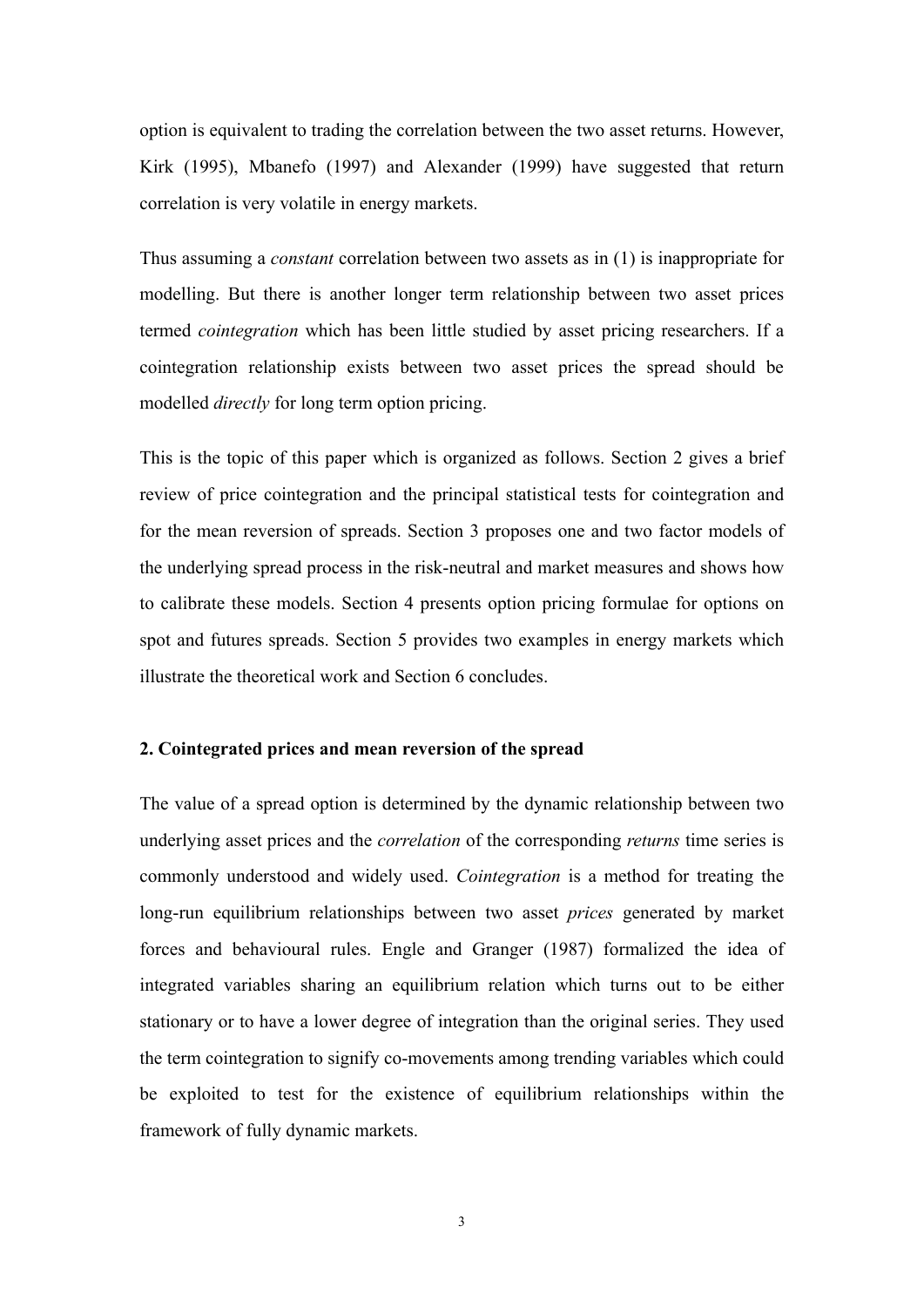option is equivalent to trading the correlation between the two asset returns. However, Kirk (1995), Mbanefo (1997) and Alexander (1999) have suggested that return correlation is very volatile in energy markets.

Thus assuming a *constant* correlation between two assets as in (1) is inappropriate for modelling. But there is another longer term relationship between two asset prices termed *cointegration* which has been little studied by asset pricing researchers. If a cointegration relationship exists between two asset prices the spread should be modelled *directly* for long term option pricing.

This is the topic of this paper which is organized as follows. Section 2 gives a brief review of price cointegration and the principal statistical tests for cointegration and for the mean reversion of spreads. Section 3 proposes one and two factor models of the underlying spread process in the risk-neutral and market measures and shows how to calibrate these models. Section 4 presents option pricing formulae for options on spot and futures spreads. Section 5 provides two examples in energy markets which illustrate the theoretical work and Section 6 concludes.

#### **2. Cointegrated prices and mean reversion of the spread**

The value of a spread option is determined by the dynamic relationship between two underlying asset prices and the *correlation* of the corresponding *returns* time series is commonly understood and widely used. *Cointegration* is a method for treating the long-run equilibrium relationships between two asset *prices* generated by market forces and behavioural rules. Engle and Granger (1987) formalized the idea of integrated variables sharing an equilibrium relation which turns out to be either stationary or to have a lower degree of integration than the original series. They used the term cointegration to signify co-movements among trending variables which could be exploited to test for the existence of equilibrium relationships within the framework of fully dynamic markets.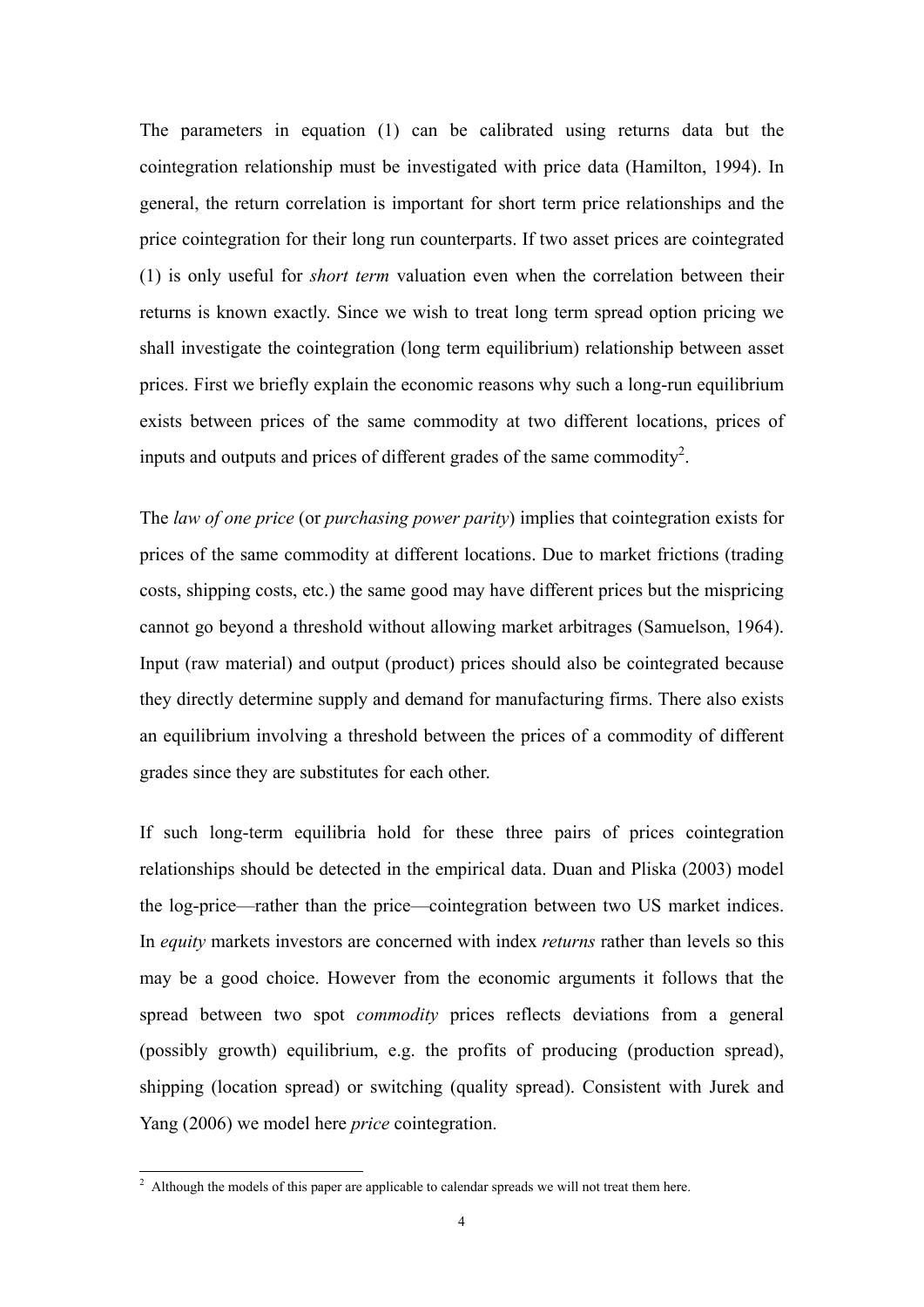The parameters in equation (1) can be calibrated using returns data but the cointegration relationship must be investigated with price data (Hamilton, 1994). In general, the return correlation is important for short term price relationships and the price cointegration for their long run counterparts. If two asset prices are cointegrated (1) is only useful for *short term* valuation even when the correlation between their returns is known exactly. Since we wish to treat long term spread option pricing we shall investigate the cointegration (long term equilibrium) relationship between asset prices. First we briefly explain the economic reasons why such a long-run equilibrium exists between prices of the same commodity at two different locations, prices of inputs and outputs and prices of different grades of the same commodity<sup>2</sup>.

The *law of one price* (or *purchasing power parity*) implies that cointegration exists for prices of the same commodity at different locations. Due to market frictions (trading costs, shipping costs, etc.) the same good may have different prices but the mispricing cannot go beyond a threshold without allowing market arbitrages (Samuelson, 1964). Input (raw material) and output (product) prices should also be cointegrated because they directly determine supply and demand for manufacturing firms. There also exists an equilibrium involving a threshold between the prices of a commodity of different grades since they are substitutes for each other.

If such long-term equilibria hold for these three pairs of prices cointegration relationships should be detected in the empirical data. Duan and Pliska (2003) model the log-price—rather than the price—cointegration between two US market indices. In *equity* markets investors are concerned with index *returns* rather than levels so this may be a good choice. However from the economic arguments it follows that the spread between two spot *commodity* prices reflects deviations from a general (possibly growth) equilibrium, e.g. the profits of producing (production spread), shipping (location spread) or switching (quality spread). Consistent with Jurek and Yang (2006) we model here *price* cointegration.

 $\frac{1}{2}$  Although the models of this paper are applicable to calendar spreads we will not treat them here.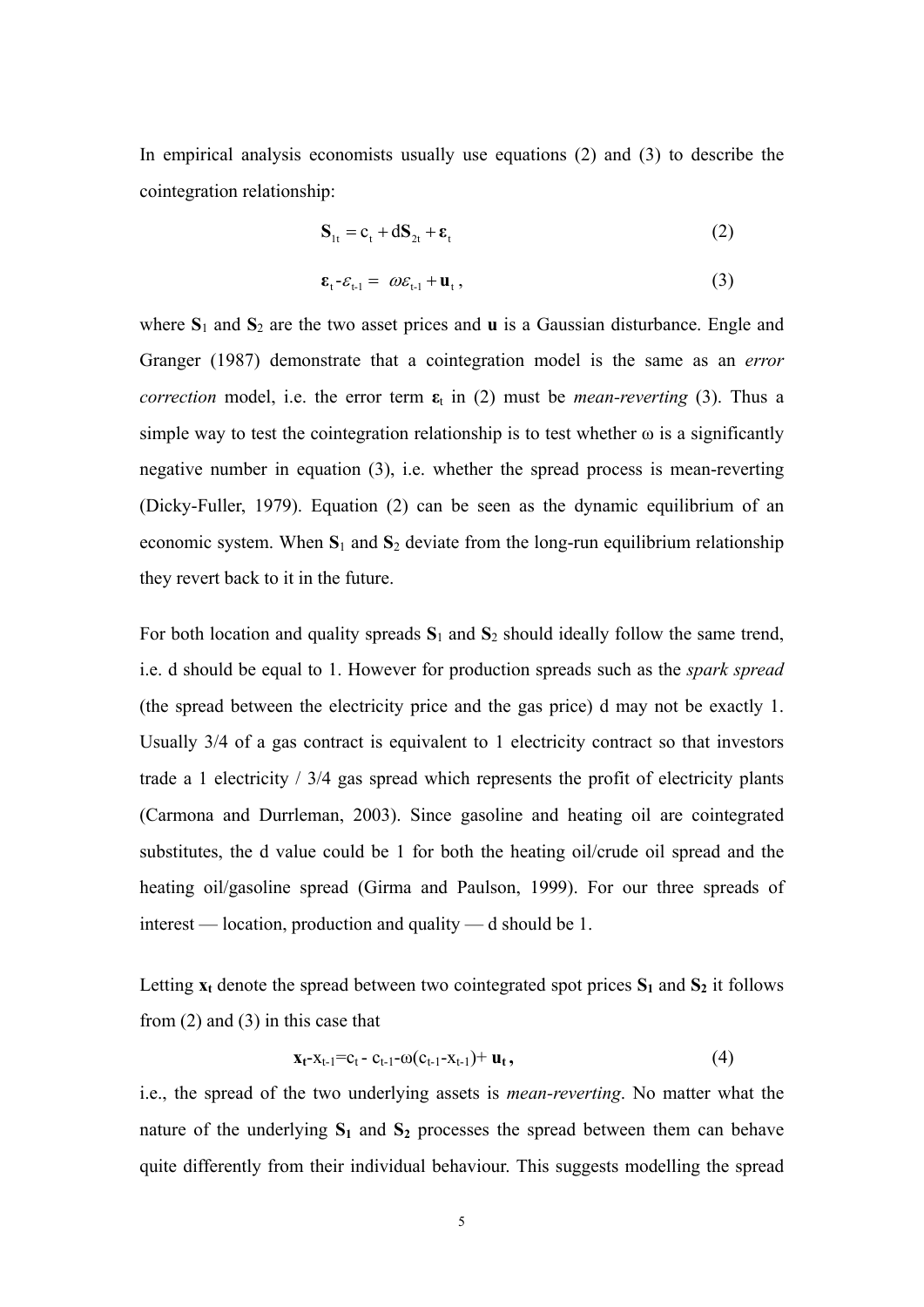In empirical analysis economists usually use equations (2) and (3) to describe the cointegration relationship:

$$
\mathbf{S}_{1t} = \mathbf{c}_t + d\mathbf{S}_{2t} + \boldsymbol{\varepsilon}_t \tag{2}
$$

$$
\boldsymbol{\varepsilon}_{t} - \varepsilon_{t-1} = \omega \varepsilon_{t-1} + \mathbf{u}_{t}, \qquad (3)
$$

where  $S_1$  and  $S_2$  are the two asset prices and **u** is a Gaussian disturbance. Engle and Granger (1987) demonstrate that a cointegration model is the same as an *error correction* model, i.e. the error term  $\varepsilon$ <sub>t</sub> in (2) must be *mean-reverting* (3). Thus a simple way to test the cointegration relationship is to test whether  $\omega$  is a significantly negative number in equation (3), i.e. whether the spread process is mean-reverting (Dicky-Fuller, 1979). Equation (2) can be seen as the dynamic equilibrium of an economic system. When  $S_1$  and  $S_2$  deviate from the long-run equilibrium relationship they revert back to it in the future.

For both location and quality spreads **S**1 and **S**2 should ideally follow the same trend, i.e. d should be equal to 1. However for production spreads such as the *spark spread* (the spread between the electricity price and the gas price) d may not be exactly 1. Usually 3/4 of a gas contract is equivalent to 1 electricity contract so that investors trade a 1 electricity / 3/4 gas spread which represents the profit of electricity plants (Carmona and Durrleman, 2003). Since gasoline and heating oil are cointegrated substitutes, the d value could be 1 for both the heating oil/crude oil spread and the heating oil/gasoline spread (Girma and Paulson, 1999). For our three spreads of interest — location, production and quality — d should be 1.

Letting  $x_t$  denote the spread between two cointegrated spot prices  $S_1$  and  $S_2$  it follows from (2) and (3) in this case that

$$
\mathbf{x}_{t} - x_{t-1} = c_t - c_{t-1} - \omega(c_{t-1} - x_{t-1}) + \mathbf{u}_t, \qquad (4)
$$

i.e., the spread of the two underlying assets is *mean-reverting*. No matter what the nature of the underlying  $S_1$  and  $S_2$  processes the spread between them can behave quite differently from their individual behaviour. This suggests modelling the spread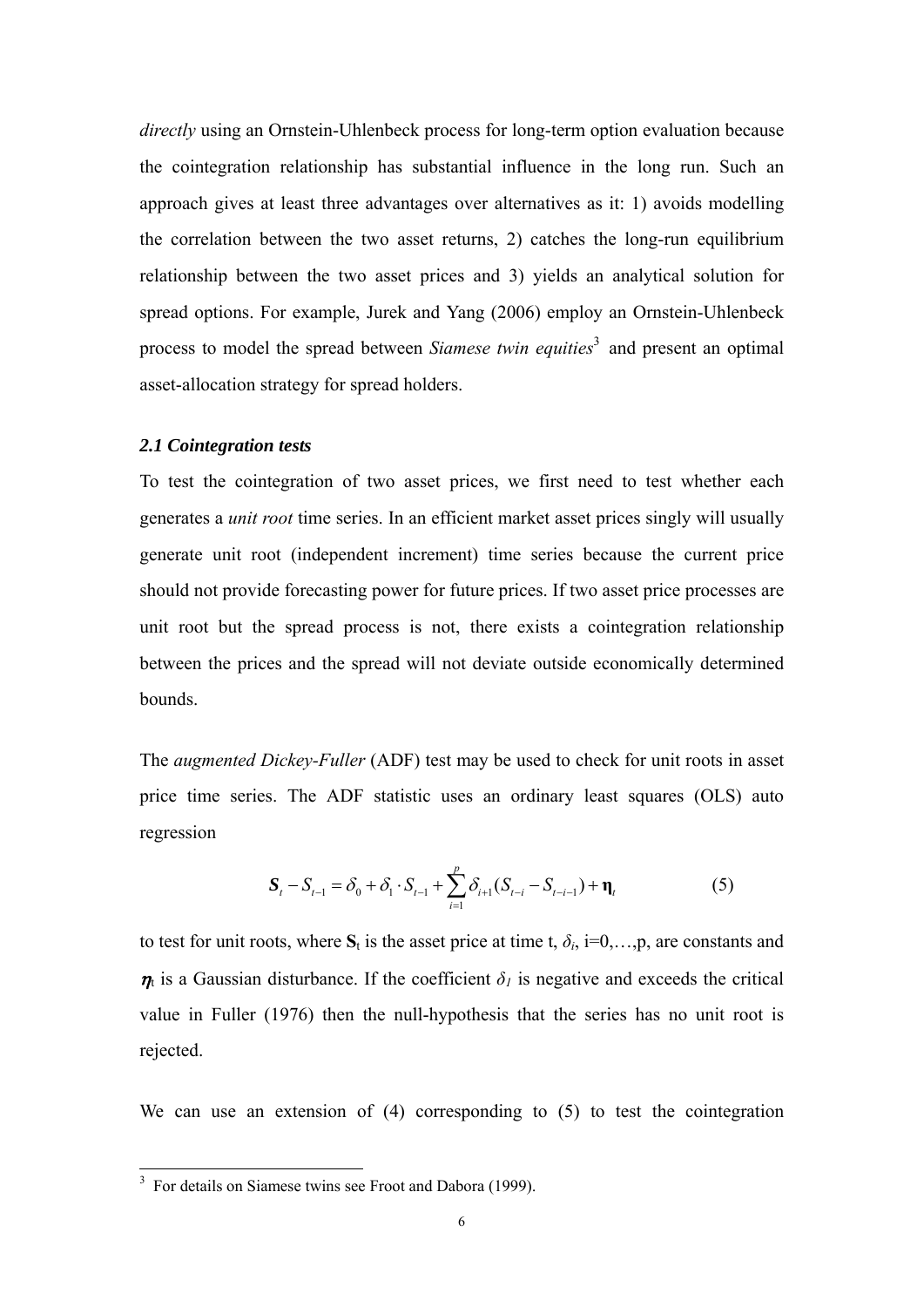*directly* using an Ornstein-Uhlenbeck process for long-term option evaluation because the cointegration relationship has substantial influence in the long run. Such an approach gives at least three advantages over alternatives as it: 1) avoids modelling the correlation between the two asset returns, 2) catches the long-run equilibrium relationship between the two asset prices and 3) yields an analytical solution for spread options. For example, Jurek and Yang (2006) employ an Ornstein-Uhlenbeck process to model the spread between *Siamese twin equities*<sup>3</sup> and present an optimal asset-allocation strategy for spread holders.

#### *2.1 Cointegration tests*

To test the cointegration of two asset prices, we first need to test whether each generates a *unit root* time series. In an efficient market asset prices singly will usually generate unit root (independent increment) time series because the current price should not provide forecasting power for future prices. If two asset price processes are unit root but the spread process is not, there exists a cointegration relationship between the prices and the spread will not deviate outside economically determined bounds.

The *augmented Dickey-Fuller* (ADF) test may be used to check for unit roots in asset price time series. The ADF statistic uses an ordinary least squares (OLS) auto regression

$$
\mathbf{S}_{t} - S_{t-1} = \delta_{0} + \delta_{1} \cdot S_{t-1} + \sum_{i=1}^{p} \delta_{i+1} (S_{t-i} - S_{t-i-1}) + \mathbf{\eta}_{t}
$$
(5)

to test for unit roots, where  $S_t$  is the asset price at time t,  $\delta_i$ , i=0,...,p, are constants and  $\eta_t$  is a Gaussian disturbance. If the coefficient  $\delta_l$  is negative and exceeds the critical value in Fuller (1976) then the null-hypothesis that the series has no unit root is rejected.

We can use an extension of (4) corresponding to (5) to test the cointegration

<sup>&</sup>lt;sup>3</sup> For details on Siamese twins see Froot and Dabora (1999).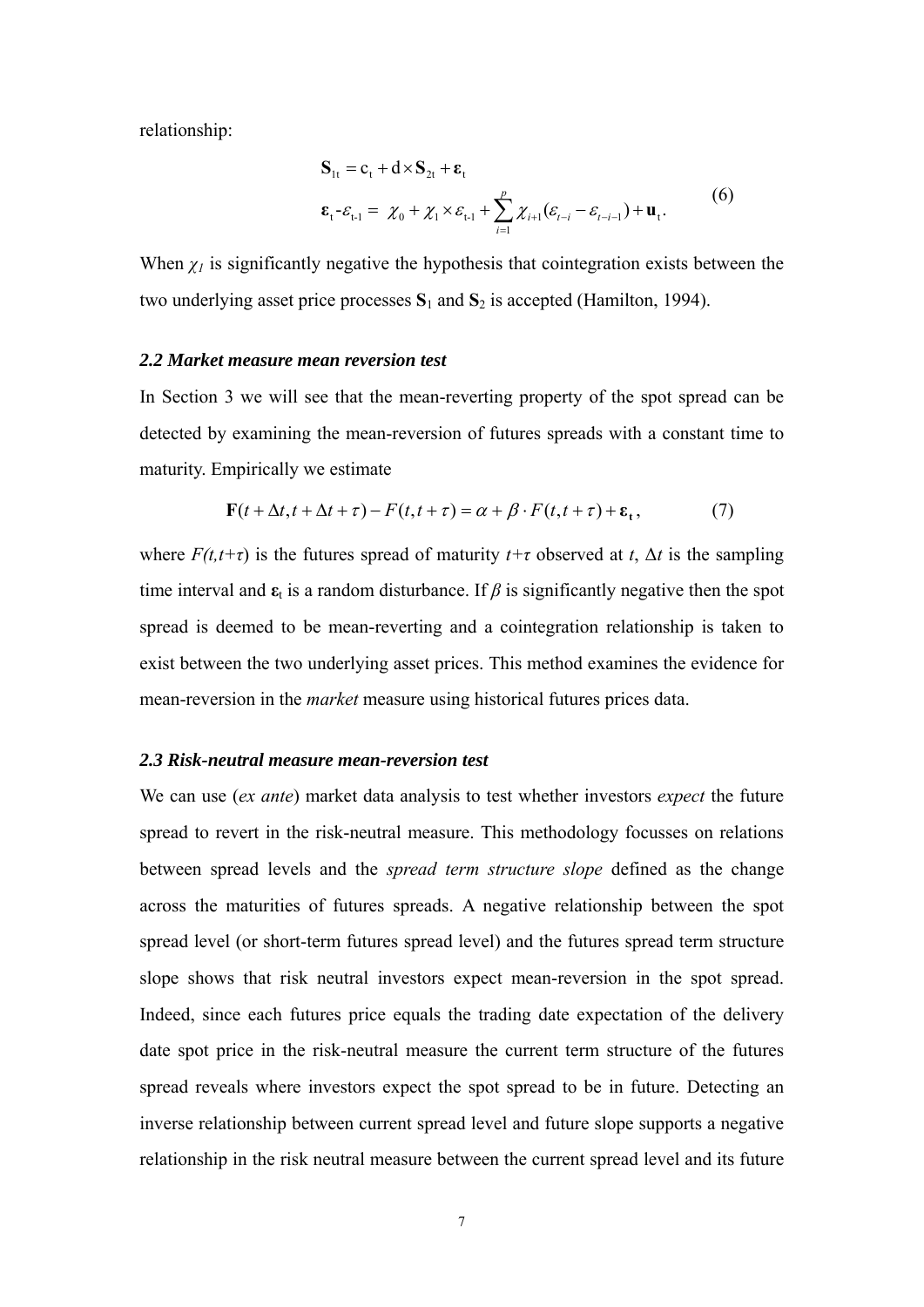relationship:

$$
\mathbf{S}_{1t} = \mathbf{c}_t + \mathbf{d} \times \mathbf{S}_{2t} + \boldsymbol{\varepsilon}_t
$$
  
\n
$$
\boldsymbol{\varepsilon}_t - \varepsilon_{t-1} = \chi_0 + \chi_1 \times \varepsilon_{t-1} + \sum_{i=1}^p \chi_{i+1} (\varepsilon_{t-i} - \varepsilon_{t-i-1}) + \mathbf{u}_t.
$$
 (6)

When  $\chi$ <sup>1</sup> is significantly negative the hypothesis that cointegration exists between the two underlying asset price processes **S**1 and **S**2 is accepted (Hamilton, 1994).

#### *2.2 Market measure mean reversion test*

In Section 3 we will see that the mean-reverting property of the spot spread can be detected by examining the mean-reversion of futures spreads with a constant time to maturity. Empirically we estimate

$$
\mathbf{F}(t + \Delta t, t + \Delta t + \tau) - F(t, t + \tau) = \alpha + \beta \cdot F(t, t + \tau) + \varepsilon_t, \tag{7}
$$

where  $F(t,t+\tau)$  is the futures spread of maturity  $t+\tau$  observed at  $t$ ,  $\Delta t$  is the sampling time interval and  $\epsilon_t$  is a random disturbance. If  $\beta$  is significantly negative then the spot spread is deemed to be mean-reverting and a cointegration relationship is taken to exist between the two underlying asset prices. This method examines the evidence for mean-reversion in the *market* measure using historical futures prices data.

#### *2.3 Risk-neutral measure mean-reversion test*

We can use (*ex ante*) market data analysis to test whether investors *expect* the future spread to revert in the risk-neutral measure. This methodology focusses on relations between spread levels and the *spread term structure slope* defined as the change across the maturities of futures spreads. A negative relationship between the spot spread level (or short-term futures spread level) and the futures spread term structure slope shows that risk neutral investors expect mean-reversion in the spot spread. Indeed, since each futures price equals the trading date expectation of the delivery date spot price in the risk-neutral measure the current term structure of the futures spread reveals where investors expect the spot spread to be in future. Detecting an inverse relationship between current spread level and future slope supports a negative relationship in the risk neutral measure between the current spread level and its future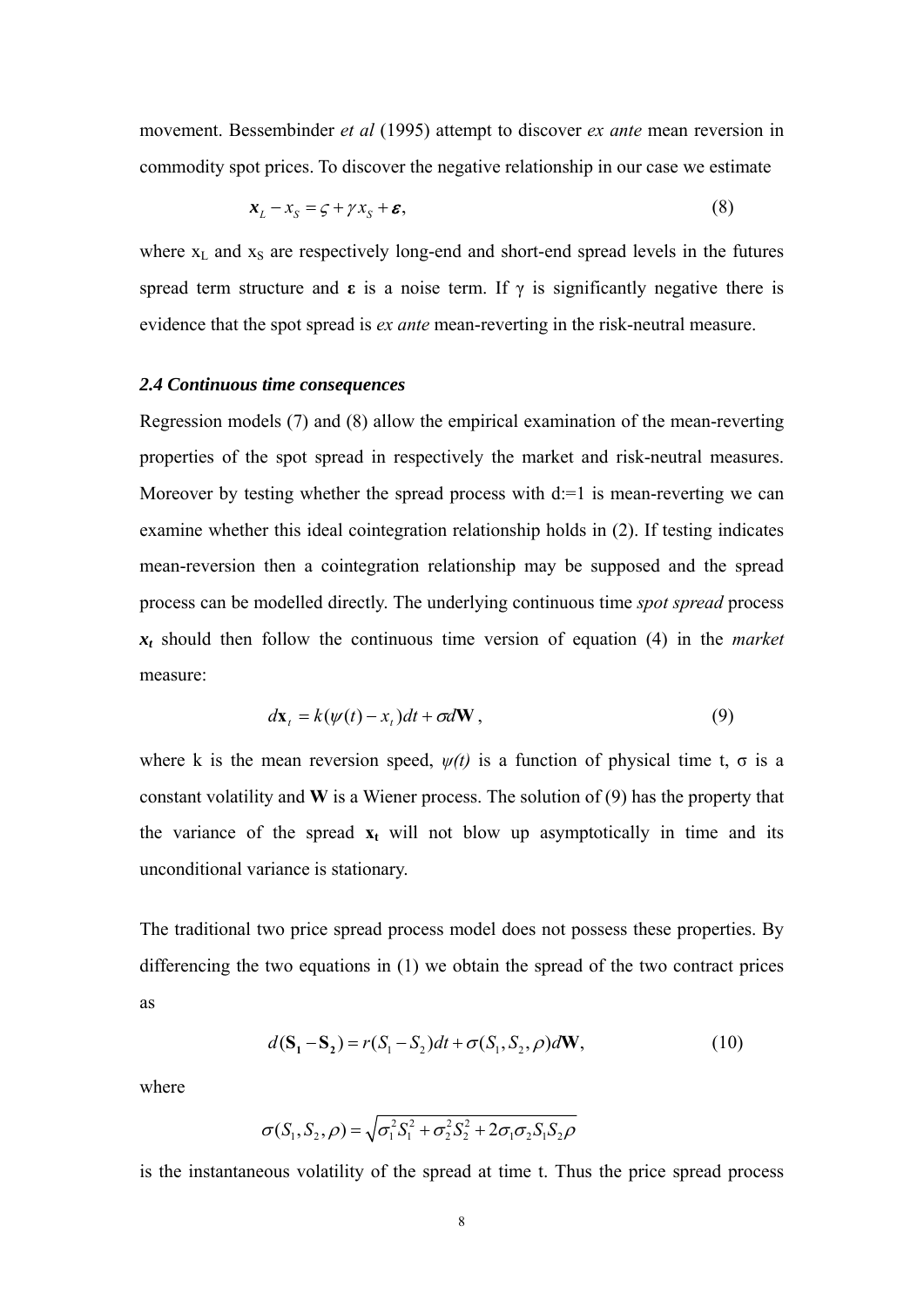movement. Bessembinder *et al* (1995) attempt to discover *ex ante* mean reversion in commodity spot prices. To discover the negative relationship in our case we estimate

$$
x_L - x_S = \zeta + \gamma x_S + \varepsilon, \tag{8}
$$

where  $x_L$  and  $x_S$  are respectively long-end and short-end spread levels in the futures spread term structure and  $\varepsilon$  is a noise term. If  $\gamma$  is significantly negative there is evidence that the spot spread is *ex ante* mean-reverting in the risk-neutral measure.

#### *2.4 Continuous time consequences*

Regression models (7) and (8) allow the empirical examination of the mean-reverting properties of the spot spread in respectively the market and risk-neutral measures. Moreover by testing whether the spread process with  $d=1$  is mean-reverting we can examine whether this ideal cointegration relationship holds in (2). If testing indicates mean-reversion then a cointegration relationship may be supposed and the spread process can be modelled directly. The underlying continuous time *spot spread* process *xt* should then follow the continuous time version of equation (4) in the *market* measure:

$$
d\mathbf{x}_t = k(\psi(t) - x_t)dt + \sigma d\mathbf{W},
$$
\n(9)

where k is the mean reversion speed,  $\psi(t)$  is a function of physical time t,  $\sigma$  is a constant volatility and **W** is a Wiener process. The solution of (9) has the property that the variance of the spread  $x_t$  will not blow up asymptotically in time and its unconditional variance is stationary.

The traditional two price spread process model does not possess these properties. By differencing the two equations in (1) we obtain the spread of the two contract prices as

$$
d(\mathbf{S}_1 - \mathbf{S}_2) = r(S_1 - S_2)dt + \sigma(S_1, S_2, \rho)d\mathbf{W},
$$
\n(10)

where

$$
\sigma(S_1, S_2, \rho) = \sqrt{\sigma_1^2 S_1^2 + \sigma_2^2 S_2^2 + 2 \sigma_1 \sigma_2 S_1 S_2 \rho}
$$

is the instantaneous volatility of the spread at time t. Thus the price spread process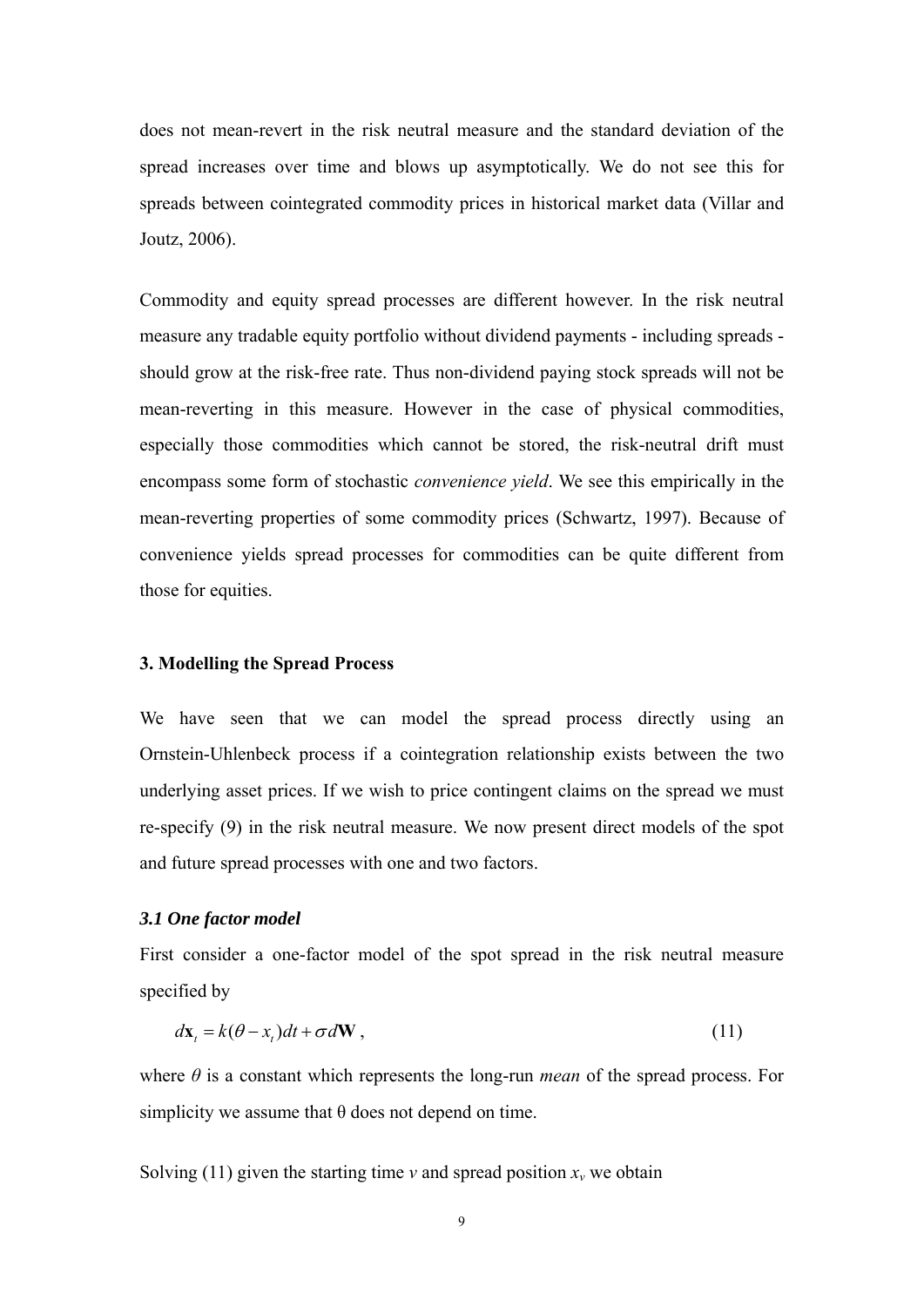does not mean-revert in the risk neutral measure and the standard deviation of the spread increases over time and blows up asymptotically. We do not see this for spreads between cointegrated commodity prices in historical market data (Villar and Joutz, 2006).

Commodity and equity spread processes are different however. In the risk neutral measure any tradable equity portfolio without dividend payments - including spreads should grow at the risk-free rate. Thus non-dividend paying stock spreads will not be mean-reverting in this measure. However in the case of physical commodities, especially those commodities which cannot be stored, the risk-neutral drift must encompass some form of stochastic *convenience yield*. We see this empirically in the mean-reverting properties of some commodity prices (Schwartz, 1997). Because of convenience yields spread processes for commodities can be quite different from those for equities.

#### **3. Modelling the Spread Process**

We have seen that we can model the spread process directly using an Ornstein-Uhlenbeck process if a cointegration relationship exists between the two underlying asset prices. If we wish to price contingent claims on the spread we must re-specify (9) in the risk neutral measure. We now present direct models of the spot and future spread processes with one and two factors.

#### *3.1 One factor model*

First consider a one-factor model of the spot spread in the risk neutral measure specified by

$$
d\mathbf{x}_{t} = k(\theta - x_{t})dt + \sigma d\mathbf{W},
$$
\n(11)

where *θ* is a constant which represents the long-run *mean* of the spread process. For simplicity we assume that  $\theta$  does not depend on time.

Solving (11) given the starting time  $\nu$  and spread position  $x_{\nu}$  we obtain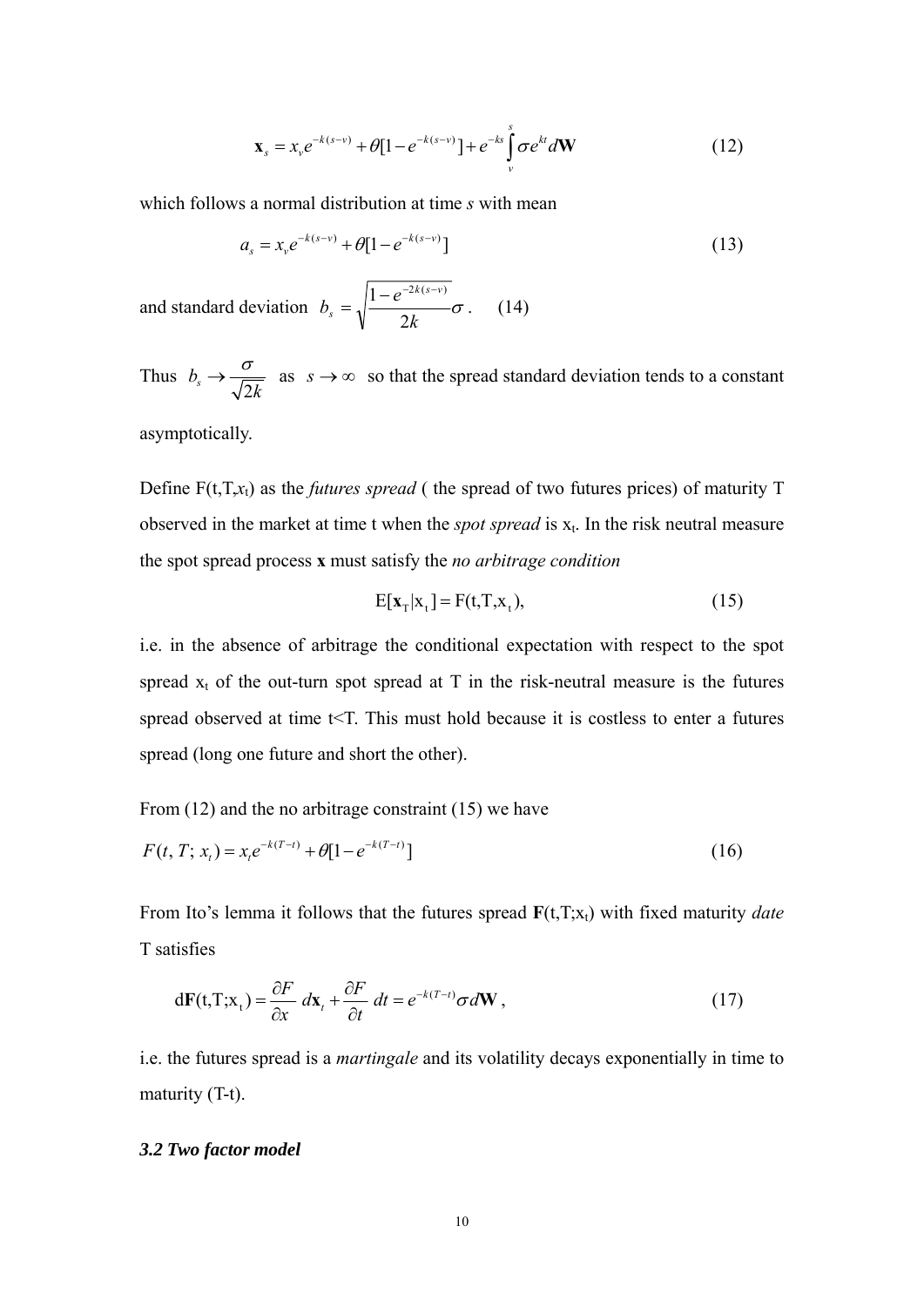$$
\mathbf{x}_{s} = x_{v}e^{-k(s-v)} + \theta[1 - e^{-k(s-v)}] + e^{-ks}\int_{v}^{s} \sigma e^{kt} d\mathbf{W}
$$
 (12)

which follows a normal distribution at time *s* with mean

$$
a_s = x_v e^{-k(s-v)} + \theta [1 - e^{-k(s-v)}]
$$
\n(13)

and standard deviation  $b_s = \sqrt{\frac{1-c}{c_0^2-c_1^2-c_0^2}}$ *k*  $b_s = \sqrt{\frac{1-e^{-2k(s-v)}}{2k}}$  $s - \sqrt{2}$  $=\sqrt{\frac{1-e^{-2k(s-v)}}{2}}\sigma$  (14)

Thus  $b_s \rightarrow \frac{b}{\sqrt{2k}}$  $\rightarrow \frac{\sigma}{\sqrt{2}}$  as  $s \rightarrow \infty$  so that the spread standard deviation tends to a constant

asymptotically.

Define F(t,T,*x*t) as the *futures spread* ( the spread of two futures prices) of maturity T observed in the market at time t when the *spot spread* is  $x_t$ . In the risk neutral measure the spot spread process **x** must satisfy the *no arbitrage condition*

$$
E[\mathbf{x}_{T}|x_{t}] = F(t,T,x_{t}), \qquad (15)
$$

i.e. in the absence of arbitrage the conditional expectation with respect to the spot spread  $x_t$  of the out-turn spot spread at T in the risk-neutral measure is the futures spread observed at time t<T. This must hold because it is costless to enter a futures spread (long one future and short the other).

From (12) and the no arbitrage constraint (15) we have

$$
F(t, T; x_t) = x_t e^{-k(T-t)} + \theta [1 - e^{-k(T-t)}]
$$
\n(16)

From Ito's lemma it follows that the futures spread  $\mathbf{F}(t,T;x_t)$  with fixed maturity *date* T satisfies

$$
d\mathbf{F}(t, T; \mathbf{x}_t) = \frac{\partial F}{\partial x} \, dx_t + \frac{\partial F}{\partial t} \, dt = e^{-k(T-t)} \sigma d\mathbf{W} \,, \tag{17}
$$

i.e. the futures spread is a *martingale* and its volatility decays exponentially in time to maturity (T-t).

#### *3.2 Two factor model*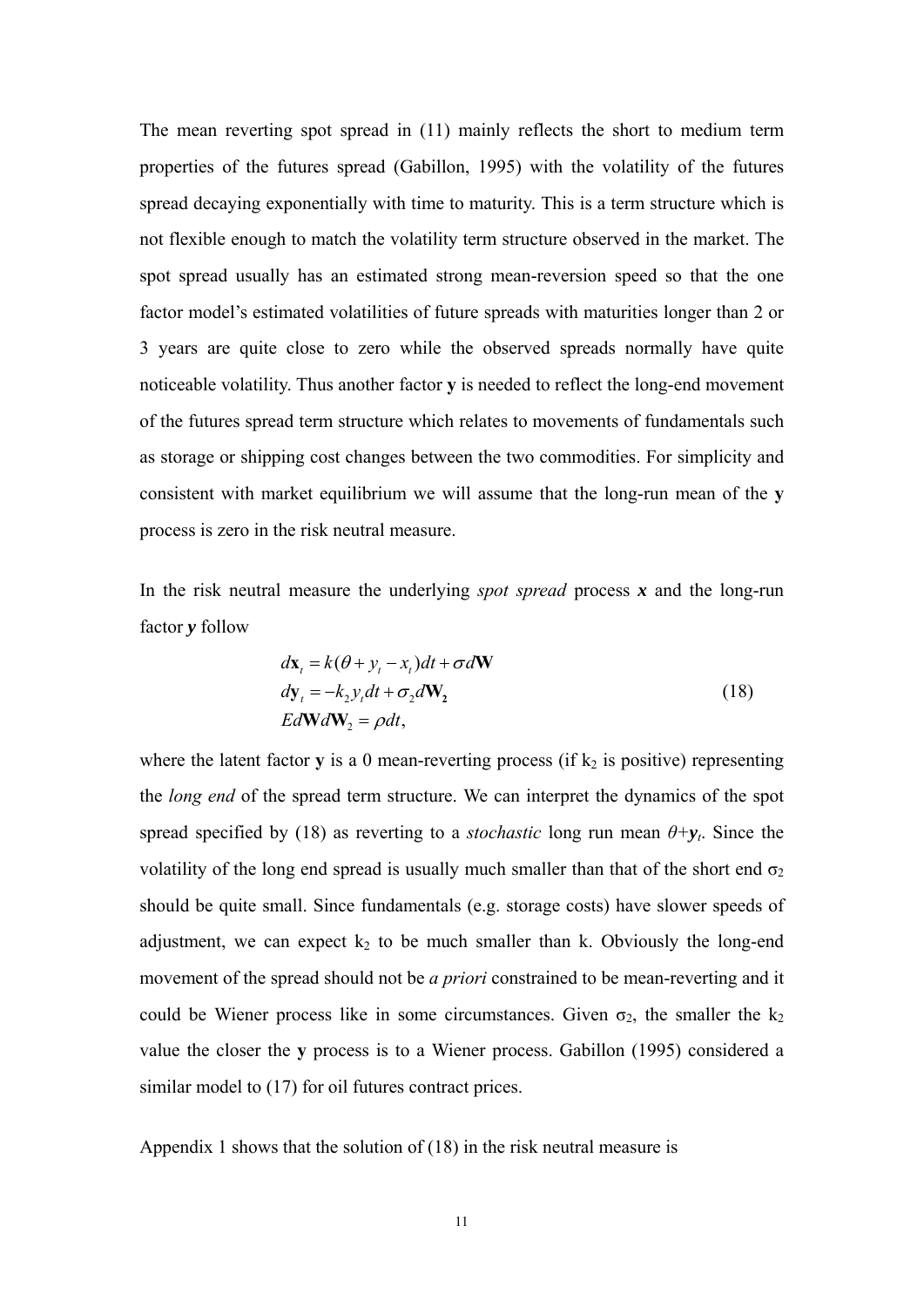The mean reverting spot spread in (11) mainly reflects the short to medium term properties of the futures spread (Gabillon, 1995) with the volatility of the futures spread decaying exponentially with time to maturity. This is a term structure which is not flexible enough to match the volatility term structure observed in the market. The spot spread usually has an estimated strong mean-reversion speed so that the one factor model's estimated volatilities of future spreads with maturities longer than 2 or 3 years are quite close to zero while the observed spreads normally have quite noticeable volatility. Thus another factor **y** is needed to reflect the long-end movement of the futures spread term structure which relates to movements of fundamentals such as storage or shipping cost changes between the two commodities. For simplicity and consistent with market equilibrium we will assume that the long-run mean of the **y** process is zero in the risk neutral measure.

In the risk neutral measure the underlying *spot spread* process *x* and the long-run factor *y* follow

$$
d\mathbf{x}_t = k(\theta + y_t - x_t)dt + \sigma d\mathbf{W}
$$
  
\n
$$
dy_t = -k_2 y_t dt + \sigma_2 d\mathbf{W}_2
$$
  
\n
$$
E d\mathbf{W} d\mathbf{W}_2 = \rho dt,
$$
\n(18)

where the latent factor  $y$  is a 0 mean-reverting process (if  $k_2$  is positive) representing the *long end* of the spread term structure. We can interpret the dynamics of the spot spread specified by (18) as reverting to a *stochastic* long run mean  $\theta + y_t$ . Since the volatility of the long end spread is usually much smaller than that of the short end  $\sigma_2$ should be quite small. Since fundamentals (e.g. storage costs) have slower speeds of adjustment, we can expect  $k_2$  to be much smaller than k. Obviously the long-end movement of the spread should not be *a priori* constrained to be mean-reverting and it could be Wiener process like in some circumstances. Given  $\sigma_2$ , the smaller the  $k_2$ value the closer the **y** process is to a Wiener process. Gabillon (1995) considered a similar model to (17) for oil futures contract prices.

Appendix 1 shows that the solution of (18) in the risk neutral measure is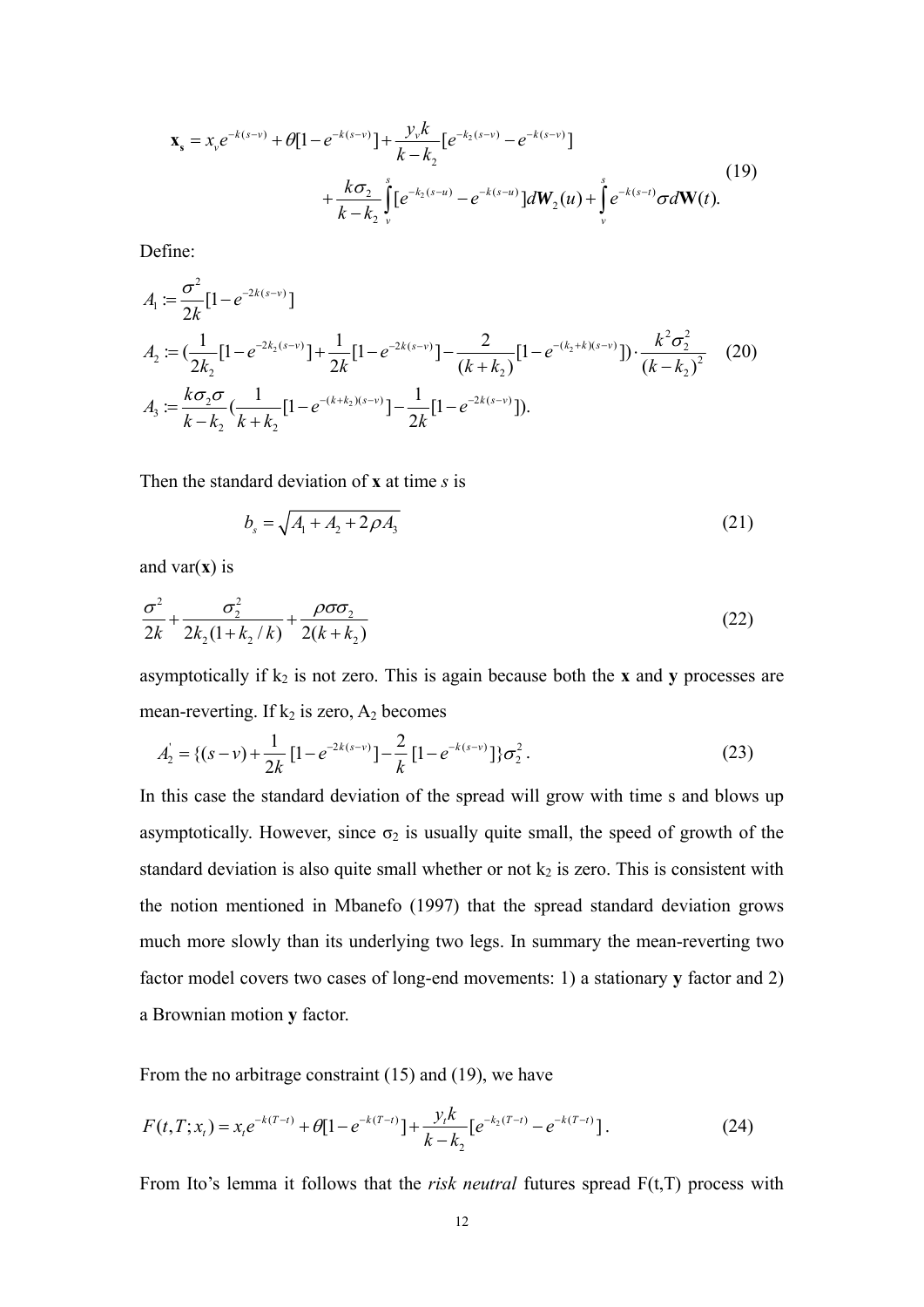$$
\mathbf{x}_{s} = x_{v}e^{-k(s-v)} + \theta[1 - e^{-k(s-v)}] + \frac{y_{v}k}{k - k_{2}}[e^{-k_{2}(s-v)} - e^{-k(s-v)}] + \frac{k\sigma_{2}}{k - k_{2}}\int_{v}^{s}[e^{-k_{2}(s-u)} - e^{-k(s-u)}]dW_{2}(u) + \int_{v}^{s}e^{-k(s-t)}\sigma d\mathbf{W}(t).
$$
\n(19)

Define:

$$
A_1 := \frac{\sigma^2}{2k} [1 - e^{-2k(s-v)}]
$$
  
\n
$$
A_2 := (\frac{1}{2k_2} [1 - e^{-2k_2(s-v)}] + \frac{1}{2k} [1 - e^{-2k(s-v)}] - \frac{2}{(k+k_2)} [1 - e^{-(k_2+k)(s-v)}] \cdot \frac{k^2 \sigma_2^2}{(k-k_2)^2}
$$
 (20)  
\n
$$
A_3 := \frac{k \sigma_2 \sigma}{k - k_2} (\frac{1}{k+k_2} [1 - e^{-(k+k_2)(s-v)}] - \frac{1}{2k} [1 - e^{-2k(s-v)}]).
$$

Then the standard deviation of **x** at time *s* is

$$
b_s = \sqrt{A_1 + A_2 + 2\rho A_3} \tag{21}
$$

and var $(x)$  is

$$
\frac{\sigma^2}{2k} + \frac{\sigma_2^2}{2k_2(1 + k_2/k)} + \frac{\rho \sigma \sigma_2}{2(k + k_2)}
$$
(22)

asymptotically if  $k_2$  is not zero. This is again because both the **x** and **y** processes are mean-reverting. If  $k_2$  is zero,  $A_2$  becomes

$$
A'_{2} = \{(s-v) + \frac{1}{2k} \left[1 - e^{-2k(s-v)}\right] - \frac{2}{k} \left[1 - e^{-k(s-v)}\right] \} \sigma_{2}^{2}. \tag{23}
$$

In this case the standard deviation of the spread will grow with time s and blows up asymptotically. However, since  $\sigma_2$  is usually quite small, the speed of growth of the standard deviation is also quite small whether or not  $k_2$  is zero. This is consistent with the notion mentioned in Mbanefo (1997) that the spread standard deviation grows much more slowly than its underlying two legs. In summary the mean-reverting two factor model covers two cases of long-end movements: 1) a stationary **y** factor and 2) a Brownian motion **y** factor.

From the no arbitrage constraint (15) and (19), we have

$$
F(t,T;x_t) = x_t e^{-k(T-t)} + \theta [1 - e^{-k(T-t)}] + \frac{y_t k}{k - k_2} [e^{-k_2(T-t)} - e^{-k(T-t)}].
$$
\n(24)

From Ito's lemma it follows that the *risk neutral* futures spread F(t,T) process with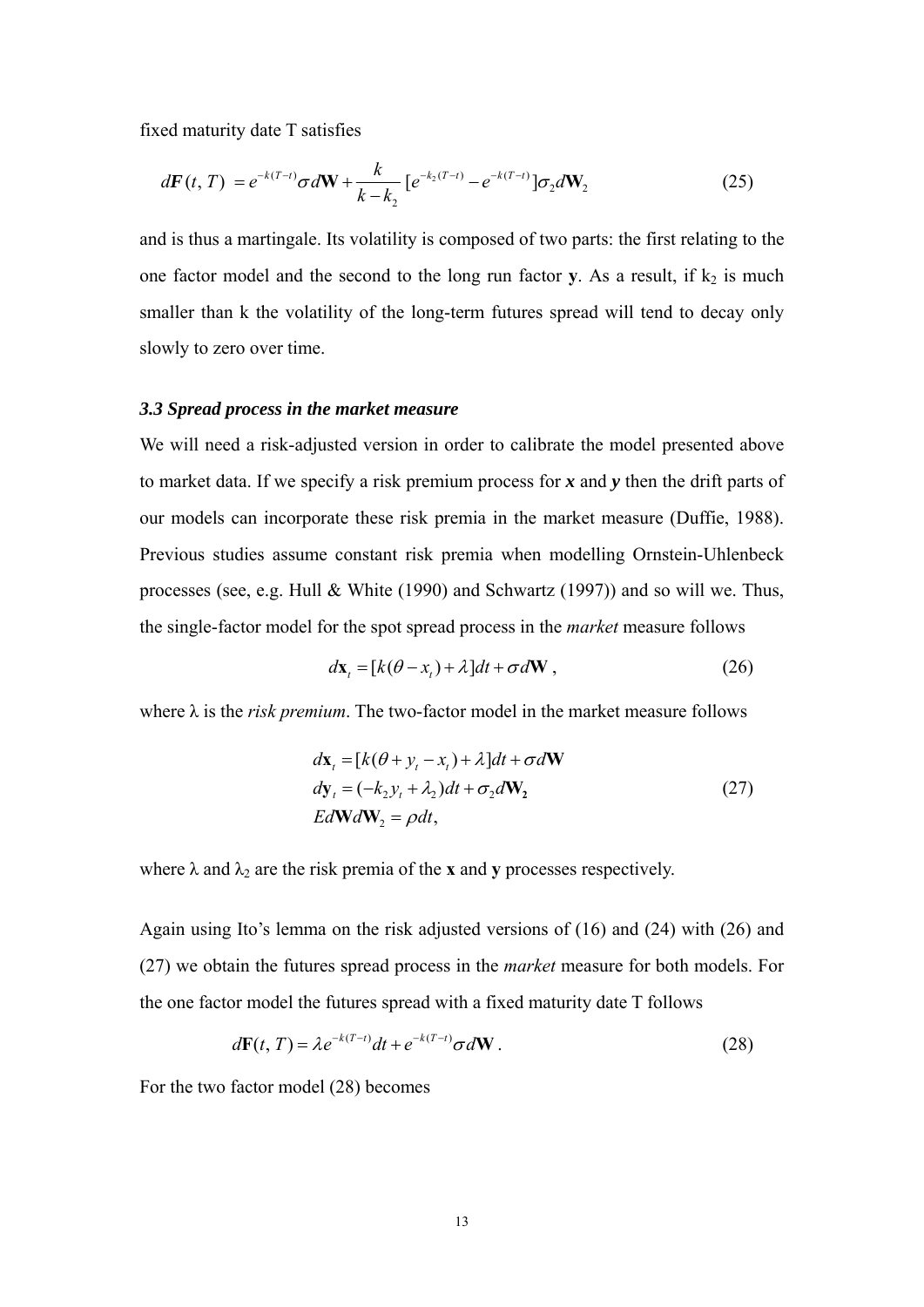fixed maturity date T satisfies

$$
d\mathbf{F}(t,T) = e^{-k(T-t)}\sigma d\mathbf{W} + \frac{k}{k-k_2} \left[ e^{-k_2(T-t)} - e^{-k(T-t)} \right] \sigma_2 d\mathbf{W}_2 \tag{25}
$$

and is thus a martingale. Its volatility is composed of two parts: the first relating to the one factor model and the second to the long run factor **y**. As a result, if  $k_2$  is much smaller than k the volatility of the long-term futures spread will tend to decay only slowly to zero over time.

#### *3.3 Spread process in the market measure*

We will need a risk-adjusted version in order to calibrate the model presented above to market data. If we specify a risk premium process for *x* and *y* then the drift parts of our models can incorporate these risk premia in the market measure (Duffie, 1988). Previous studies assume constant risk premia when modelling Ornstein-Uhlenbeck processes (see, e.g. Hull & White (1990) and Schwartz (1997)) and so will we. Thus, the single-factor model for the spot spread process in the *market* measure follows

$$
d\mathbf{x}_{t} = [k(\theta - x_{t}) + \lambda]dt + \sigma d\mathbf{W}, \qquad (26)
$$

where  $\lambda$  is the *risk premium*. The two-factor model in the market measure follows

$$
d\mathbf{x}_{t} = [k(\theta + y_{t} - x_{t}) + \lambda]dt + \sigma d\mathbf{W}
$$
  
\n
$$
dy_{t} = (-k_{2}y_{t} + \lambda_{2})dt + \sigma_{2}d\mathbf{W}_{2}
$$
  
\n
$$
Ed\mathbf{W}d\mathbf{W}_{2} = \rho dt,
$$
\n(27)

where  $\lambda$  and  $\lambda_2$  are the risk premia of the **x** and **y** processes respectively.

Again using Ito's lemma on the risk adjusted versions of (16) and (24) with (26) and (27) we obtain the futures spread process in the *market* measure for both models. For the one factor model the futures spread with a fixed maturity date T follows

$$
d\mathbf{F}(t,T) = \lambda e^{-k(T-t)}dt + e^{-k(T-t)}\sigma d\mathbf{W}.
$$
\n(28)

For the two factor model (28) becomes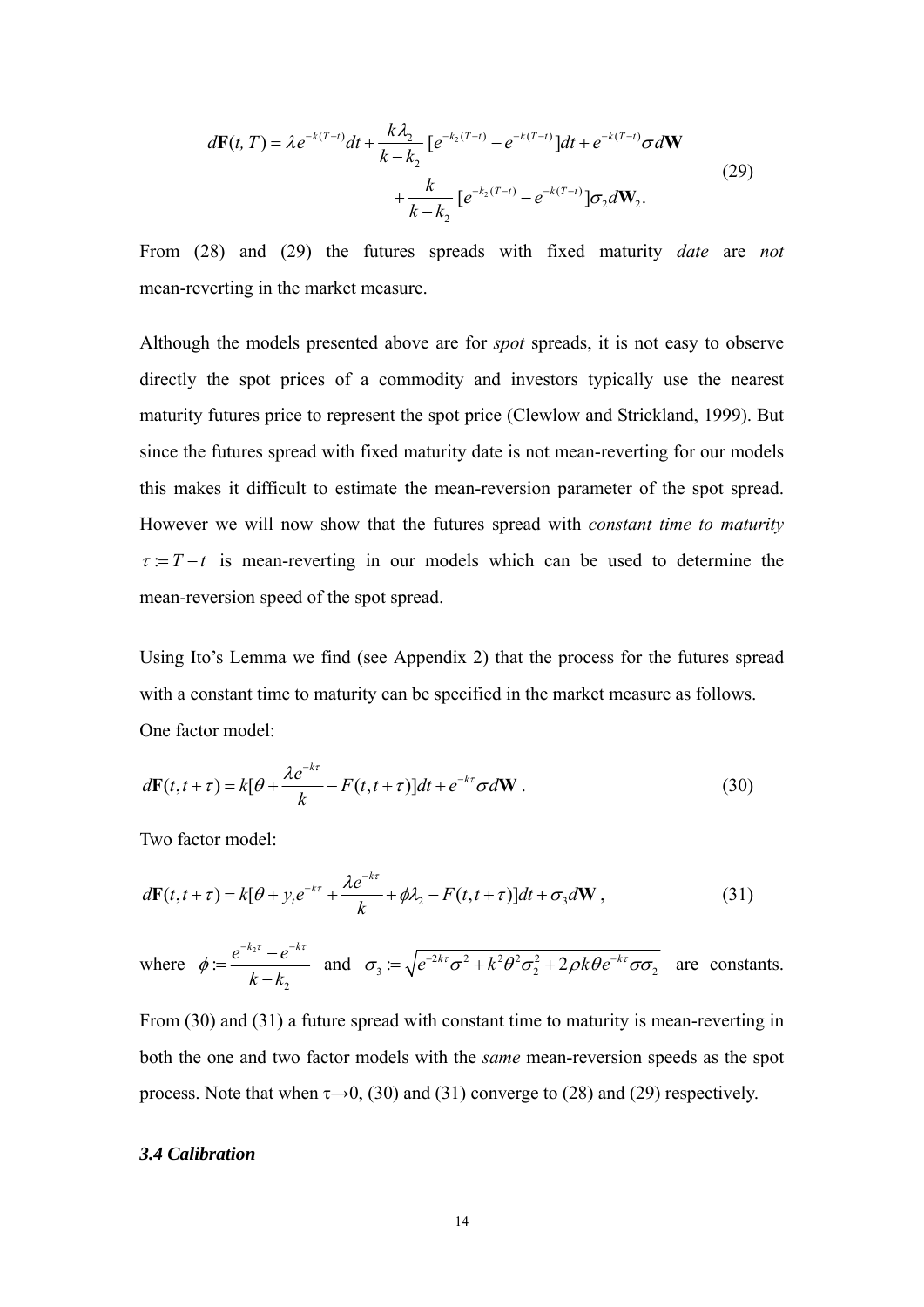$$
d\mathbf{F}(t,T) = \lambda e^{-k(T-t)}dt + \frac{k\lambda_2}{k - k_2} \left[ e^{-k_2(T-t)} - e^{-k(T-t)} \right]dt + e^{-k(T-t)}\sigma d\mathbf{W}
$$
  
+ 
$$
\frac{k}{k - k_2} \left[ e^{-k_2(T-t)} - e^{-k(T-t)} \right] \sigma_2 d\mathbf{W}_2.
$$
 (29)

From (28) and (29) the futures spreads with fixed maturity *date* are *not* mean-reverting in the market measure.

Although the models presented above are for *spot* spreads, it is not easy to observe directly the spot prices of a commodity and investors typically use the nearest maturity futures price to represent the spot price (Clewlow and Strickland, 1999). But since the futures spread with fixed maturity date is not mean-reverting for our models this makes it difficult to estimate the mean-reversion parameter of the spot spread. However we will now show that the futures spread with *constant time to maturity*  $\tau = T - t$  is mean-reverting in our models which can be used to determine the mean-reversion speed of the spot spread.

Using Ito's Lemma we find (see Appendix 2) that the process for the futures spread with a constant time to maturity can be specified in the market measure as follows. One factor model:

$$
d\mathbf{F}(t, t+\tau) = k[\theta + \frac{\lambda e^{-k\tau}}{k} - F(t, t+\tau)]dt + e^{-k\tau}\sigma d\mathbf{W}.
$$
 (30)

Two factor model:

$$
d\mathbf{F}(t, t+\tau) = k[\theta + y_t e^{-k\tau} + \frac{\lambda e^{-k\tau}}{k} + \phi \lambda_2 - F(t, t+\tau)]dt + \sigma_3 d\mathbf{W},
$$
\n(31)

where 
$$
\phi := \frac{e^{-k_2 \tau} - e^{-k\tau}}{k - k_2}
$$
 and  $\sigma_3 := \sqrt{e^{-2k\tau} \sigma^2 + k^2 \theta^2 \sigma_2^2 + 2\rho k \theta e^{-k\tau} \sigma \sigma_2}$  are constants.

From (30) and (31) a future spread with constant time to maturity is mean-reverting in both the one and two factor models with the *same* mean-reversion speeds as the spot process. Note that when  $\tau \rightarrow 0$ , (30) and (31) converge to (28) and (29) respectively.

#### *3.4 Calibration*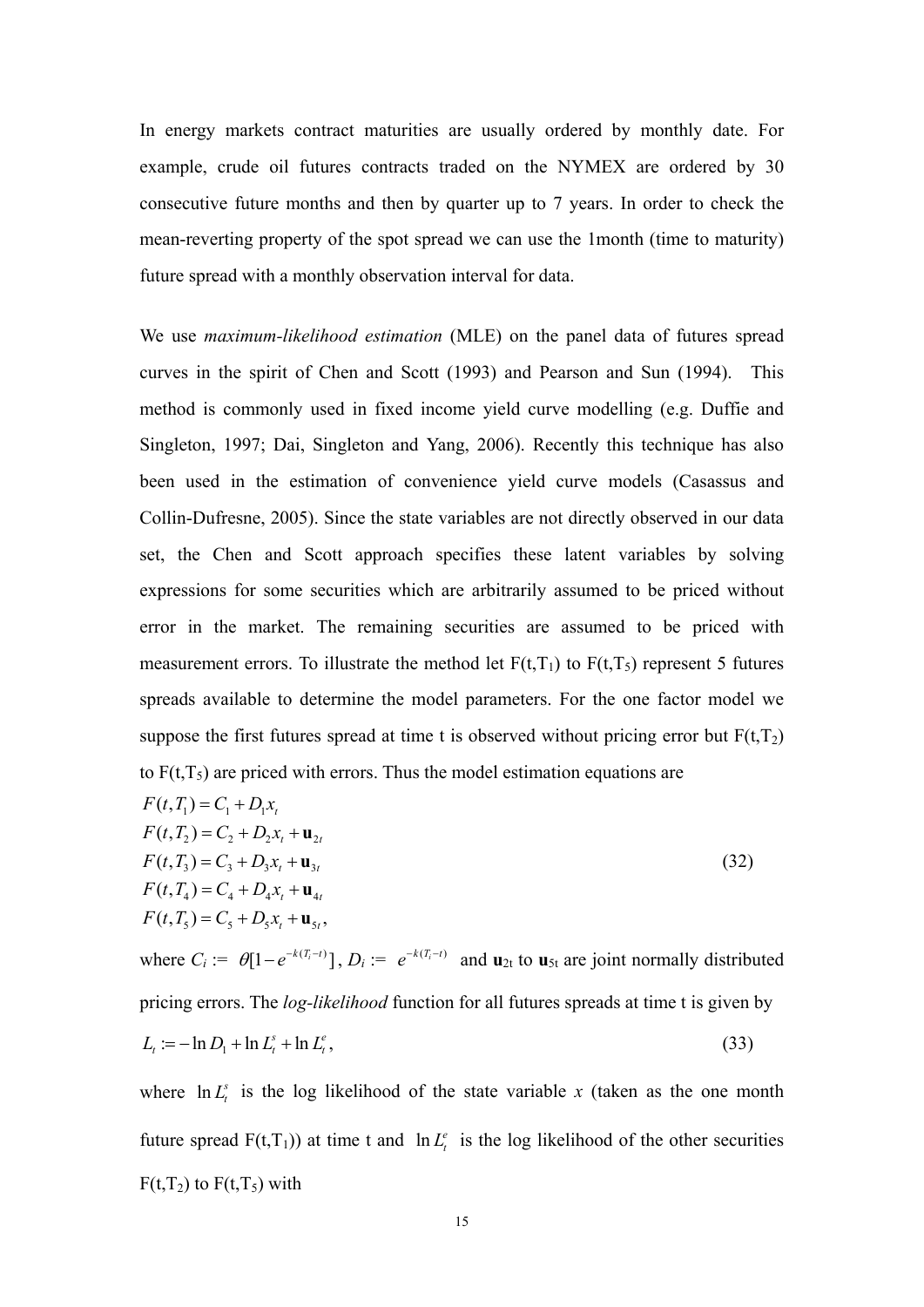In energy markets contract maturities are usually ordered by monthly date. For example, crude oil futures contracts traded on the NYMEX are ordered by 30 consecutive future months and then by quarter up to 7 years. In order to check the mean-reverting property of the spot spread we can use the 1month (time to maturity) future spread with a monthly observation interval for data.

We use *maximum-likelihood estimation* (MLE) on the panel data of futures spread curves in the spirit of Chen and Scott (1993) and Pearson and Sun (1994). This method is commonly used in fixed income yield curve modelling (e.g. Duffie and Singleton, 1997; Dai, Singleton and Yang, 2006). Recently this technique has also been used in the estimation of convenience yield curve models (Casassus and Collin-Dufresne, 2005). Since the state variables are not directly observed in our data set, the Chen and Scott approach specifies these latent variables by solving expressions for some securities which are arbitrarily assumed to be priced without error in the market. The remaining securities are assumed to be priced with measurement errors. To illustrate the method let  $F(t,T_1)$  to  $F(t,T_5)$  represent 5 futures spreads available to determine the model parameters. For the one factor model we suppose the first futures spread at time t is observed without pricing error but  $F(t,T_2)$ to  $F(t,T_5)$  are priced with errors. Thus the model estimation equations are

$$
F(t, T_1) = C_1 + D_1 x_t
$$
  
\n
$$
F(t, T_2) = C_2 + D_2 x_t + \mathbf{u}_{2t}
$$
  
\n
$$
F(t, T_3) = C_3 + D_3 x_t + \mathbf{u}_{3t}
$$
  
\n
$$
F(t, T_4) = C_4 + D_4 x_t + \mathbf{u}_{4t}
$$
  
\n
$$
F(t, T_5) = C_5 + D_5 x_t + \mathbf{u}_{5t},
$$
\n(32)

where  $C_i := \theta[1 - e^{-k(T_i - t)}], D_i := e^{-k(T_i - t)}$  and  $\mathbf{u}_{2t}$  to  $\mathbf{u}_{5t}$  are joint normally distributed pricing errors. The *log-likelihood* function for all futures spreads at time t is given by  $L_t := -\ln D_1 + \ln L_t^s + \ln L_t^e$ , (33)

where  $\ln L_t^s$  is the log likelihood of the state variable x (taken as the one month future spread  $F(t,T_1)$ ) at time t and  $\ln L_t^e$  is the log likelihood of the other securities  $F(t,T_2)$  to  $F(t,T_5)$  with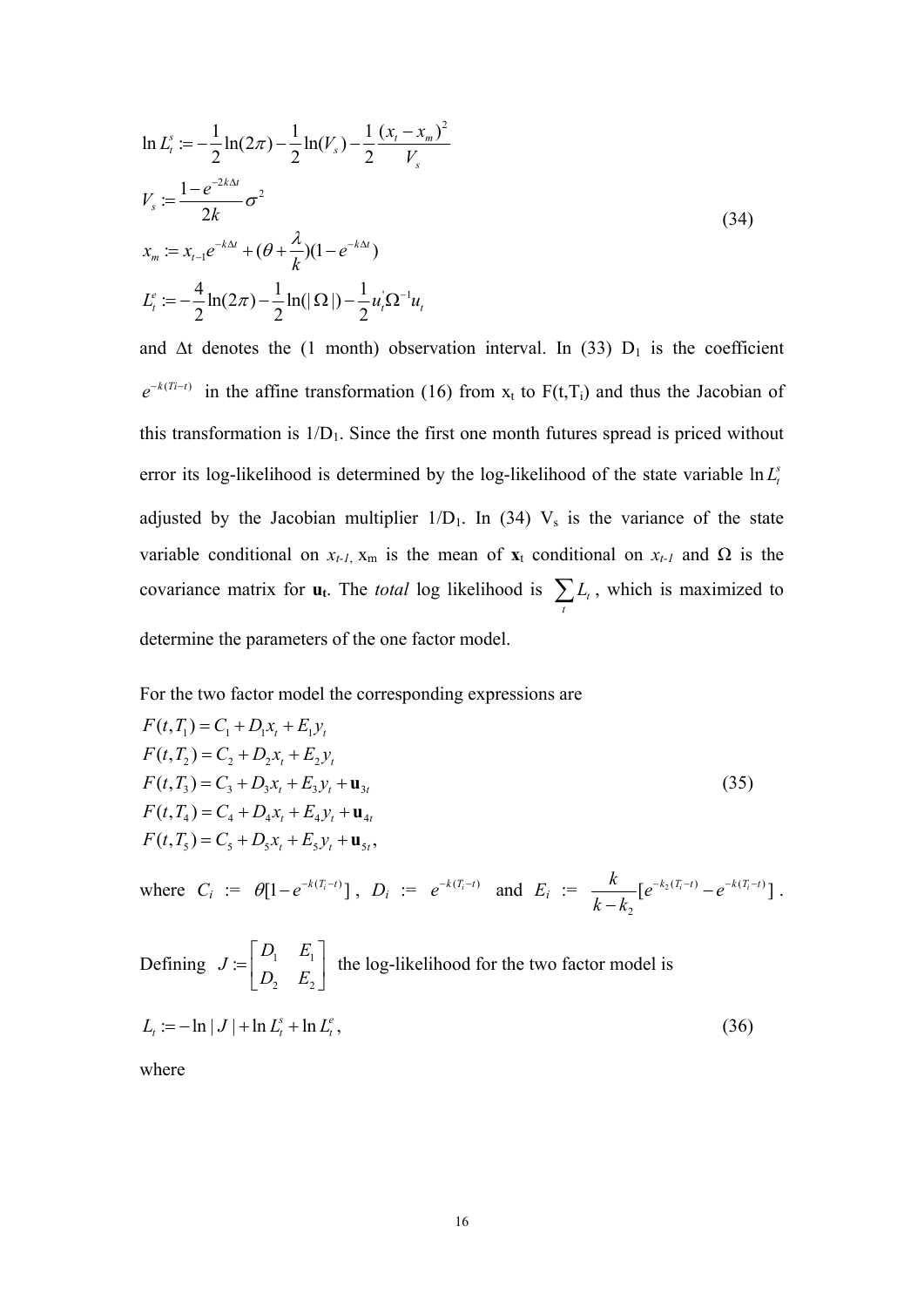$$
\ln L_t^s := -\frac{1}{2}\ln(2\pi) - \frac{1}{2}\ln(V_s) - \frac{1}{2}\frac{(x_t - x_m)^2}{V_s}
$$
\n
$$
V_s := \frac{1 - e^{-2k\Delta t}}{2k}\sigma^2
$$
\n
$$
x_m := x_{t-1}e^{-k\Delta t} + (\theta + \frac{\lambda}{k})(1 - e^{-k\Delta t})
$$
\n
$$
L_t^e := -\frac{4}{2}\ln(2\pi) - \frac{1}{2}\ln(|\Omega|) - \frac{1}{2}u_t^{\prime}\Omega^{-1}u_t
$$
\n(34)

and  $\Delta t$  denotes the (1 month) observation interval. In (33) D<sub>1</sub> is the coefficient  $e^{-k(T_i-t)}$  in the affine transformation (16) from x<sub>t</sub> to F(t,T<sub>i</sub>) and thus the Jacobian of this transformation is  $1/D_1$ . Since the first one month futures spread is priced without error its log-likelihood is determined by the log-likelihood of the state variable  $\ln L_t^s$ adjusted by the Jacobian multiplier  $1/D_1$ . In (34)  $V_s$  is the variance of the state variable conditional on  $x_{t-1}$ ,  $x_m$  is the mean of  $x_t$  conditional on  $x_{t-1}$  and  $\Omega$  is the covariance matrix for  $\mathbf{u}_t$ . The *total* log likelihood is  $\sum L_i$  $\sum_{t} L_{t}$ , which is maximized to determine the parameters of the one factor model.

For the two factor model the corresponding expressions are

$$
F(t, T_1) = C_1 + D_1 x_t + E_1 y_t
$$
  
\n
$$
F(t, T_2) = C_2 + D_2 x_t + E_2 y_t
$$
  
\n
$$
F(t, T_3) = C_3 + D_3 x_t + E_3 y_t + u_{3t}
$$
  
\n
$$
F(t, T_4) = C_4 + D_4 x_t + E_4 y_t + u_{4t}
$$
  
\n
$$
F(t, T_5) = C_5 + D_5 x_t + E_5 y_t + u_{5t}
$$
 (35)

where  $C_i := \theta[1 - e^{-k(T_i - t)}]$ ,  $D_i := e^{-k(T_i - t)}$  and  $E_i := \frac{k}{1 - t} [e^{-k_2(T_i - t)} - e^{-k(T_i - t)}]$ 2  $\frac{k}{\sqrt{t}} [ e^{-k_2(T_i-t)} - e^{-k(T_i-t)} ]$  $\frac{\kappa}{k-k_2} [e^{-k_2(T_i-t)} - e^{-k(T_i-t)}]$ .

Defining  $J = \begin{bmatrix} D_1 & D_1 \\ D_1 & D_1 \end{bmatrix}$ 2  $E_2$ :  $D_1$  *E J*  $=\begin{bmatrix} D_1 & E_1 \ D_2 & E_2 \end{bmatrix}$  the log-likelihood for the two factor model is  $L_{\iota} := -\ln|J| + \ln L_{\iota}^{s} + \ln L_{\iota}^{e},$  (36)

where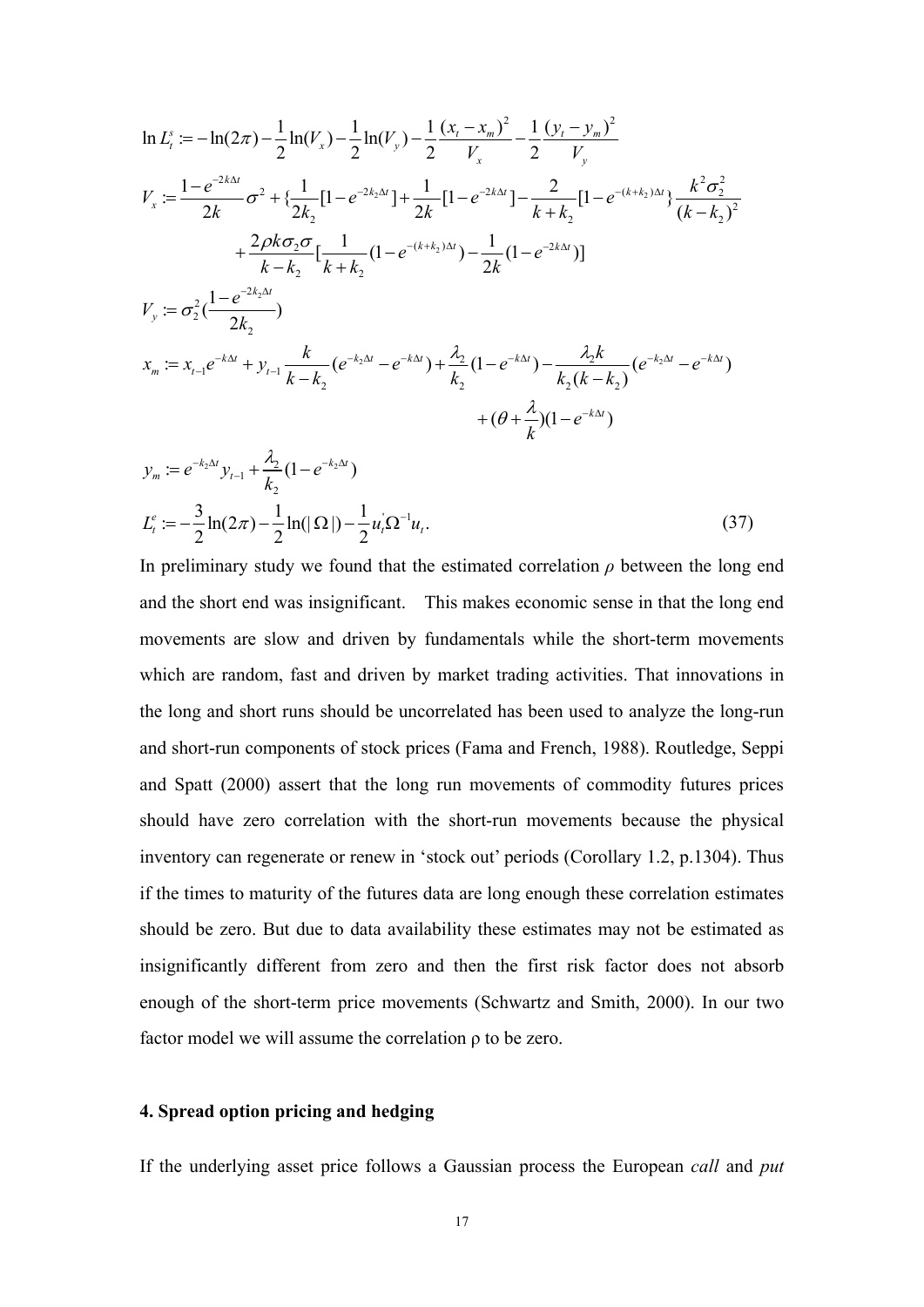$$
\ln L_{i}^{s} := -\ln(2\pi) - \frac{1}{2}\ln(V_{x}) - \frac{1}{2}\ln(V_{y}) - \frac{1}{2}\frac{(x_{i} - x_{m})^{2}}{V_{x}} - \frac{1}{2}\frac{(y_{i} - y_{m})^{2}}{V_{y}}
$$
\n
$$
V_{x} := \frac{1 - e^{-2k\Delta t}}{2k} \sigma^{2} + \{\frac{1}{2k_{2}}[1 - e^{-2k_{2}\Delta t}] + \frac{1}{2k}[1 - e^{-2k\Delta t}] - \frac{2}{k + k_{2}}[1 - e^{-(k + k_{2})\Delta t}\}\frac{k^{2} \sigma_{2}^{2}}{(k - k_{2})^{2}} + \frac{2\rho k \sigma_{2} \sigma}{k - k_{2}}[\frac{1}{k + k_{2}}(1 - e^{-(k + k_{2})\Delta t}) - \frac{1}{2k}(1 - e^{-2k\Delta t})]
$$
\n
$$
V_{y} := \sigma_{2}^{2}(\frac{1 - e^{-2k_{2}\Delta t}}{2k_{2}})
$$
\n
$$
x_{m} := x_{t-1}e^{-k\Delta t} + y_{t-1}\frac{k}{k - k_{2}}(e^{-k_{2}\Delta t} - e^{-k\Delta t}) + \frac{\lambda_{2}}{k_{2}}(1 - e^{-k\Delta t}) - \frac{\lambda_{2}k}{k_{2}(k - k_{2})}(e^{-k_{2}\Delta t} - e^{-k\Delta t}) + (\theta + \frac{\lambda}{k})(1 - e^{-k\Delta t})
$$
\n
$$
y_{m} := e^{-k_{2}\Delta t}y_{t-1} + \frac{\lambda_{2}}{k_{2}}(1 - e^{-k_{2}\Delta t})
$$
\n
$$
L_{t}^{e} := -\frac{3}{2}\ln(2\pi) - \frac{1}{2}\ln(|\Omega|) - \frac{1}{2}u_{i}^{2}\Omega^{-1}u_{i}.
$$
\n(37)

In preliminary study we found that the estimated correlation  $\rho$  between the long end and the short end was insignificant. This makes economic sense in that the long end movements are slow and driven by fundamentals while the short-term movements which are random, fast and driven by market trading activities. That innovations in the long and short runs should be uncorrelated has been used to analyze the long-run and short-run components of stock prices (Fama and French, 1988). Routledge, Seppi and Spatt (2000) assert that the long run movements of commodity futures prices should have zero correlation with the short-run movements because the physical inventory can regenerate or renew in 'stock out' periods (Corollary 1.2, p.1304). Thus if the times to maturity of the futures data are long enough these correlation estimates should be zero. But due to data availability these estimates may not be estimated as insignificantly different from zero and then the first risk factor does not absorb enough of the short-term price movements (Schwartz and Smith, 2000). In our two factor model we will assume the correlation ρ to be zero.

#### **4. Spread option pricing and hedging**

If the underlying asset price follows a Gaussian process the European *call* and *put*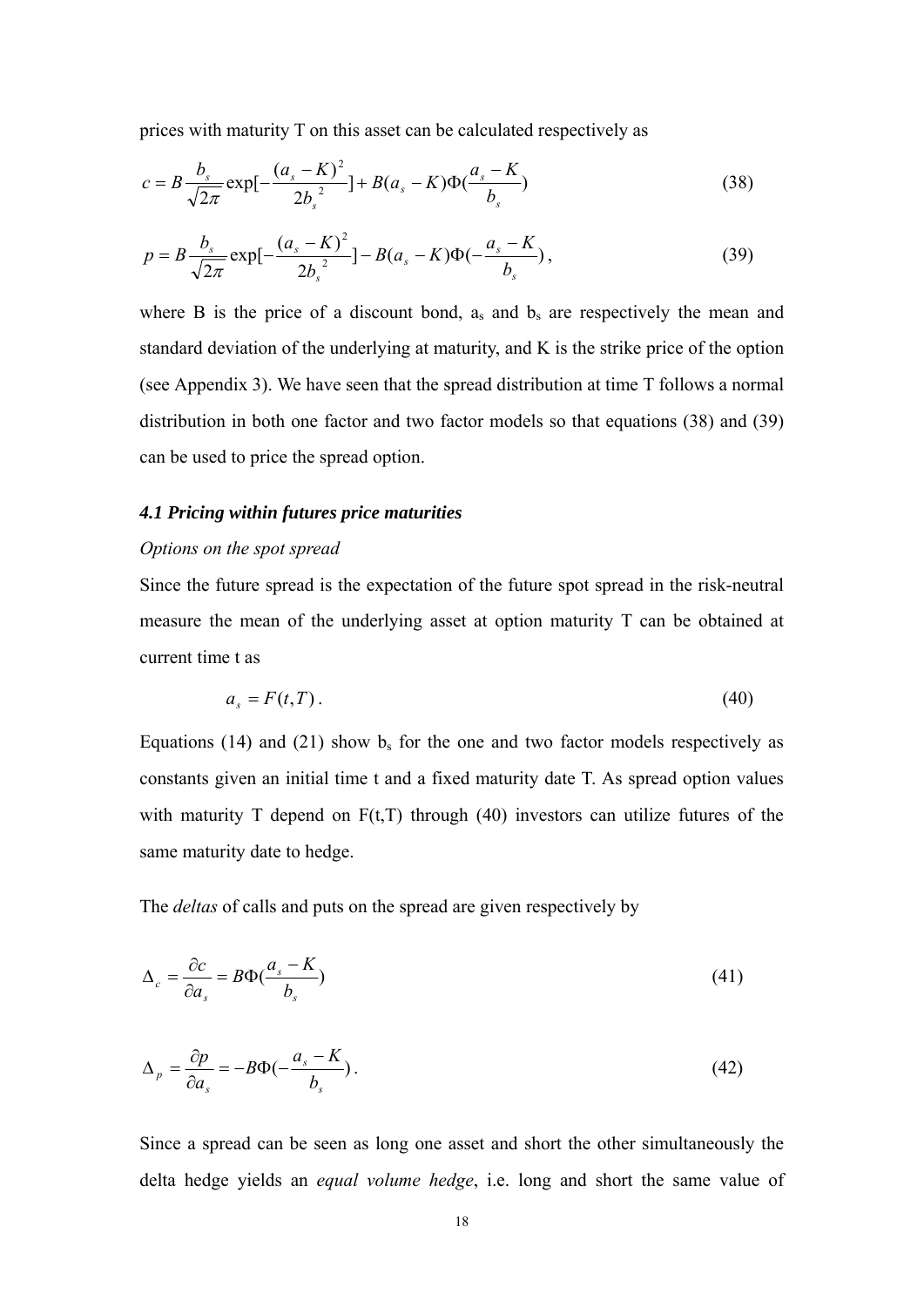prices with maturity T on this asset can be calculated respectively as

$$
c = B \frac{b_s}{\sqrt{2\pi}} \exp[-\frac{(a_s - K)^2}{2b_s^2}] + B(a_s - K)\Phi(\frac{a_s - K}{b_s})
$$
\n(38)

$$
p = B \frac{b_s}{\sqrt{2\pi}} \exp[-\frac{(a_s - K)^2}{2b_s^2}] - B(a_s - K)\Phi(-\frac{a_s - K}{b_s}),
$$
\n(39)

where B is the price of a discount bond,  $a_s$  and  $b_s$  are respectively the mean and standard deviation of the underlying at maturity, and K is the strike price of the option (see Appendix 3). We have seen that the spread distribution at time T follows a normal distribution in both one factor and two factor models so that equations (38) and (39) can be used to price the spread option.

#### *4.1 Pricing within futures price maturities*

#### *Options on the spot spread*

Since the future spread is the expectation of the future spot spread in the risk-neutral measure the mean of the underlying asset at option maturity T can be obtained at current time t as

$$
a_s = F(t, T). \tag{40}
$$

Equations (14) and (21) show  $b_s$  for the one and two factor models respectively as constants given an initial time t and a fixed maturity date T. As spread option values with maturity T depend on  $F(t,T)$  through (40) investors can utilize futures of the same maturity date to hedge.

The *deltas* of calls and puts on the spread are given respectively by

$$
\Delta_c = \frac{\partial c}{\partial a_s} = B\Phi(\frac{a_s - K}{b_s})\tag{41}
$$

$$
\Delta_p = \frac{\partial p}{\partial a_s} = -B\Phi(-\frac{a_s - K}{b_s}).\tag{42}
$$

Since a spread can be seen as long one asset and short the other simultaneously the delta hedge yields an *equal volume hedge*, i.e. long and short the same value of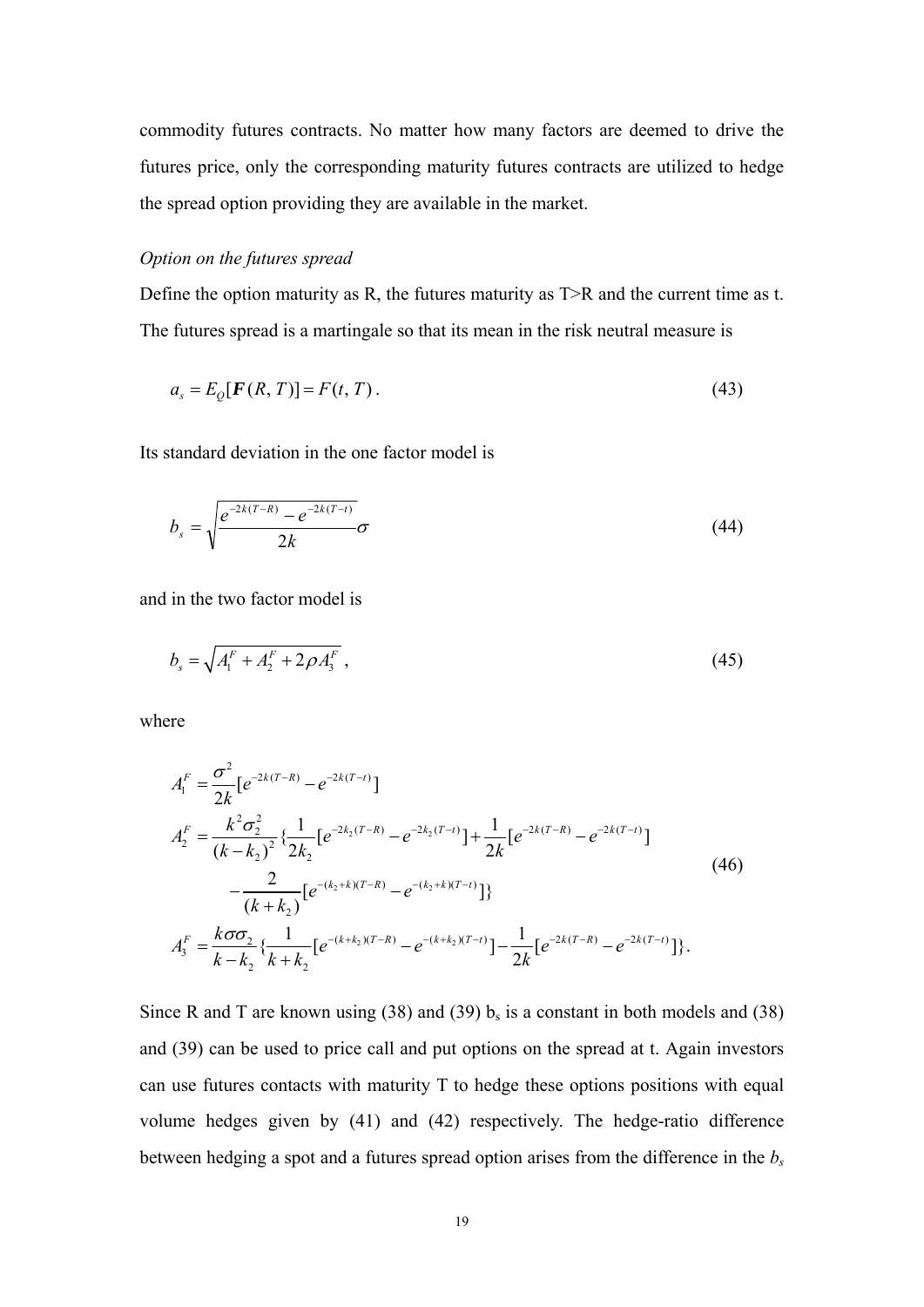commodity futures contracts. No matter how many factors are deemed to drive the futures price, only the corresponding maturity futures contracts are utilized to hedge the spread option providing they are available in the market.

#### *Option on the futures spread*

Define the option maturity as R, the futures maturity as T>R and the current time as t. The futures spread is a martingale so that its mean in the risk neutral measure is

$$
a_s = E_Q[F(R, T)] = F(t, T). \tag{43}
$$

Its standard deviation in the one factor model is

$$
b_{s} = \sqrt{\frac{e^{-2k(T-R)} - e^{-2k(T-t)}}{2k}} \sigma
$$
\n(44)

and in the two factor model is

$$
b_s = \sqrt{A_1^F + A_2^F + 2\rho A_3^F} \,, \tag{45}
$$

where

$$
A_1^F = \frac{\sigma^2}{2k} [e^{-2k(T-R)} - e^{-2k(T-t)}]
$$
  
\n
$$
A_2^F = \frac{k^2 \sigma_2^2}{(k - k_2)^2} \left\{ \frac{1}{2k_2} [e^{-2k_2(T-R)} - e^{-2k_2(T-t)}] + \frac{1}{2k} [e^{-2k(T-R)} - e^{-2k(T-t)}] - \frac{2}{(k + k_2)} [e^{-(k_2 + k)(T-R)} - e^{-(k_2 + k)(T-t)}] \right\}
$$
\n
$$
A_3^F = \frac{k \sigma \sigma_2}{k - k_2} \left\{ \frac{1}{k + k_2} [e^{-(k + k_2)(T-R)} - e^{-(k + k_2)(T-t)}] - \frac{1}{2k} [e^{-2k(T-R)} - e^{-2k(T-t)}] \right\}.
$$
\n(46)

Since R and T are known using (38) and (39)  $b_s$  is a constant in both models and (38) and (39) can be used to price call and put options on the spread at t. Again investors can use futures contacts with maturity T to hedge these options positions with equal volume hedges given by (41) and (42) respectively. The hedge-ratio difference between hedging a spot and a futures spread option arises from the difference in the *bs*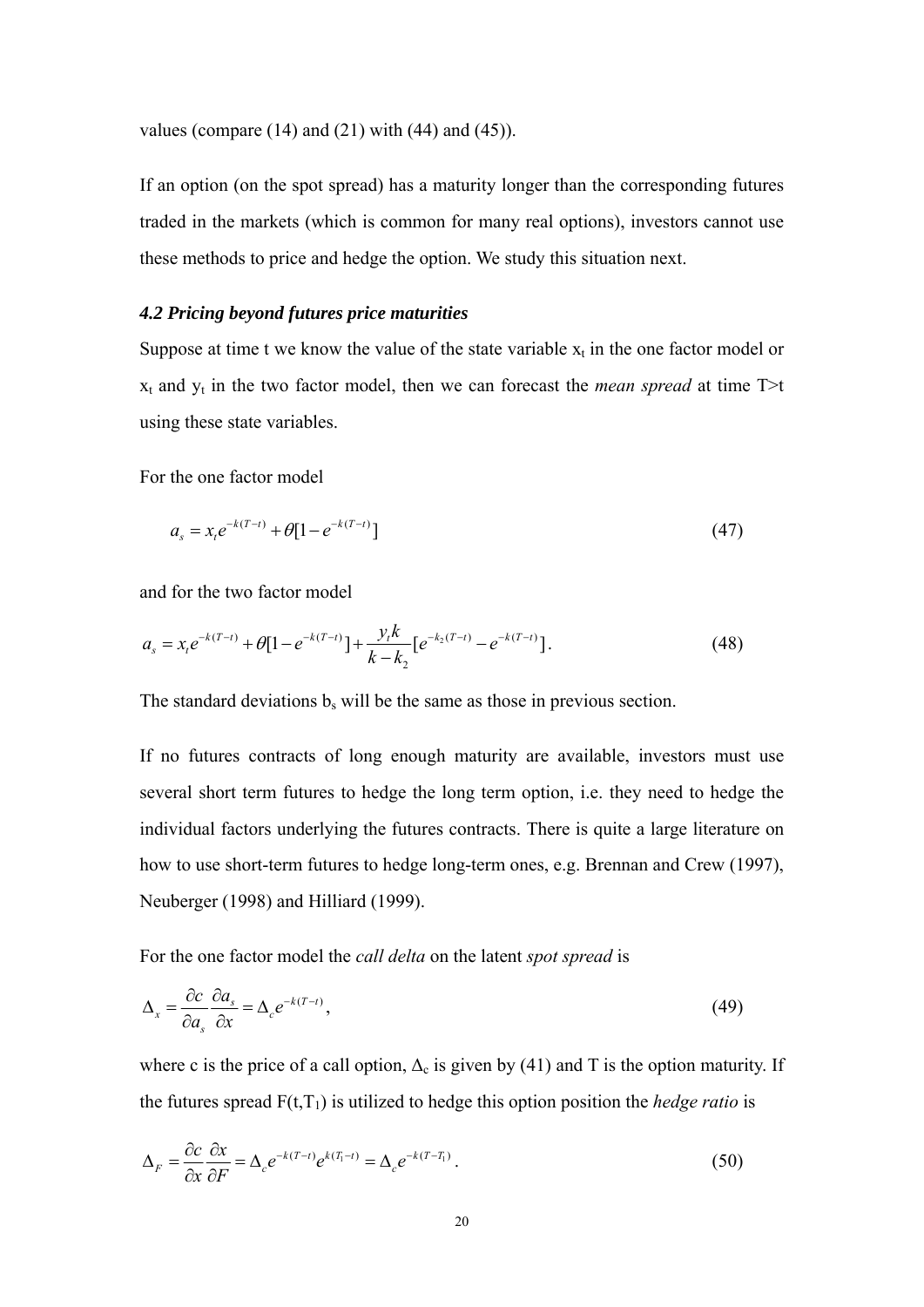values (compare  $(14)$  and  $(21)$  with  $(44)$  and  $(45)$ ).

If an option (on the spot spread) has a maturity longer than the corresponding futures traded in the markets (which is common for many real options), investors cannot use these methods to price and hedge the option. We study this situation next.

#### *4.2 Pricing beyond futures price maturities*

Suppose at time t we know the value of the state variable  $x_t$  in the one factor model or  $x_t$  and  $y_t$  in the two factor model, then we can forecast the *mean spread* at time T>t using these state variables.

For the one factor model

$$
a_s = x_t e^{-k(T-t)} + \theta [1 - e^{-k(T-t)}]
$$
\n(47)

and for the two factor model

$$
a_s = x_t e^{-k(T-t)} + \theta [1 - e^{-k(T-t)}] + \frac{y_t k}{k - k_2} [e^{-k_2(T-t)} - e^{-k(T-t)}].
$$
\n(48)

The standard deviations  $b_s$  will be the same as those in previous section.

If no futures contracts of long enough maturity are available, investors must use several short term futures to hedge the long term option, i.e. they need to hedge the individual factors underlying the futures contracts. There is quite a large literature on how to use short-term futures to hedge long-term ones, e.g. Brennan and Crew (1997), Neuberger (1998) and Hilliard (1999).

For the one factor model the *call delta* on the latent *spot spread* is

$$
\Delta_x = \frac{\partial c}{\partial a_s} \frac{\partial a_s}{\partial x} = \Delta_c e^{-k(T-t)},\tag{49}
$$

where c is the price of a call option,  $\Delta_c$  is given by (41) and T is the option maturity. If the futures spread  $F(t,T_1)$  is utilized to hedge this option position the *hedge ratio* is

$$
\Delta_F = \frac{\partial c}{\partial x} \frac{\partial x}{\partial F} = \Delta_c e^{-k(T-t)} e^{k(T_1-t)} = \Delta_c e^{-k(T-T_1)}.
$$
\n(50)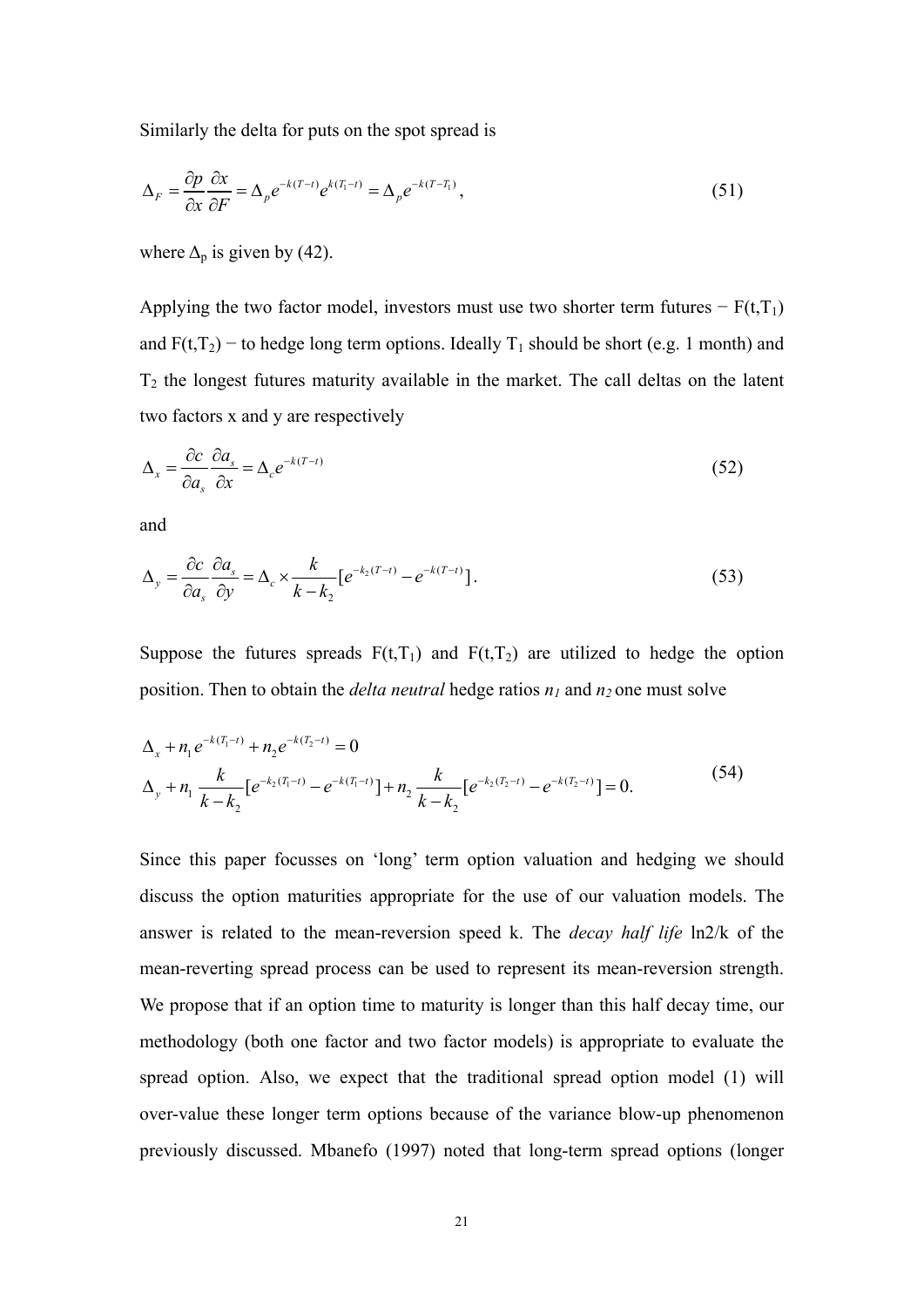Similarly the delta for puts on the spot spread is

$$
\Delta_F = \frac{\partial p}{\partial x} \frac{\partial x}{\partial F} = \Delta_p e^{-k(T-t)} e^{k(T_1-t)} = \Delta_p e^{-k(T-T_1)},
$$
\n(51)

where  $\Delta_p$  is given by (42).

Applying the two factor model, investors must use two shorter term futures  $-F(t,T_1)$ and  $F(t,T_2)$  – to hedge long term options. Ideally  $T_1$  should be short (e.g. 1 month) and  $T_2$  the longest futures maturity available in the market. The call deltas on the latent two factors x and y are respectively

$$
\Delta_x = \frac{\partial c}{\partial a_s} \frac{\partial a_s}{\partial x} = \Delta_c e^{-k(T-t)}
$$
\n(52)

and

$$
\Delta_y = \frac{\partial c}{\partial a_s} \frac{\partial a_s}{\partial y} = \Delta_c \times \frac{k}{k - k_2} \left[ e^{-k_2(T - t)} - e^{-k(T - t)} \right].
$$
\n(53)

Suppose the futures spreads  $F(t,T_1)$  and  $F(t,T_2)$  are utilized to hedge the option position. Then to obtain the *delta neutral* hedge ratios  $n_1$  and  $n_2$  one must solve

$$
\Delta_{x} + n_{1} e^{-k(T_{1}-t)} + n_{2} e^{-k(T_{2}-t)} = 0
$$
\n
$$
\Delta_{y} + n_{1} \frac{k}{k - k_{2}} \left[ e^{-k_{2}(T_{1}-t)} - e^{-k(T_{1}-t)} \right] + n_{2} \frac{k}{k - k_{2}} \left[ e^{-k_{2}(T_{2}-t)} - e^{-k(T_{2}-t)} \right] = 0.
$$
\n(54)

Since this paper focusses on 'long' term option valuation and hedging we should discuss the option maturities appropriate for the use of our valuation models. The answer is related to the mean-reversion speed k. The *decay half life* ln2/k of the mean-reverting spread process can be used to represent its mean-reversion strength. We propose that if an option time to maturity is longer than this half decay time, our methodology (both one factor and two factor models) is appropriate to evaluate the spread option. Also, we expect that the traditional spread option model (1) will over-value these longer term options because of the variance blow-up phenomenon previously discussed. Mbanefo (1997) noted that long-term spread options (longer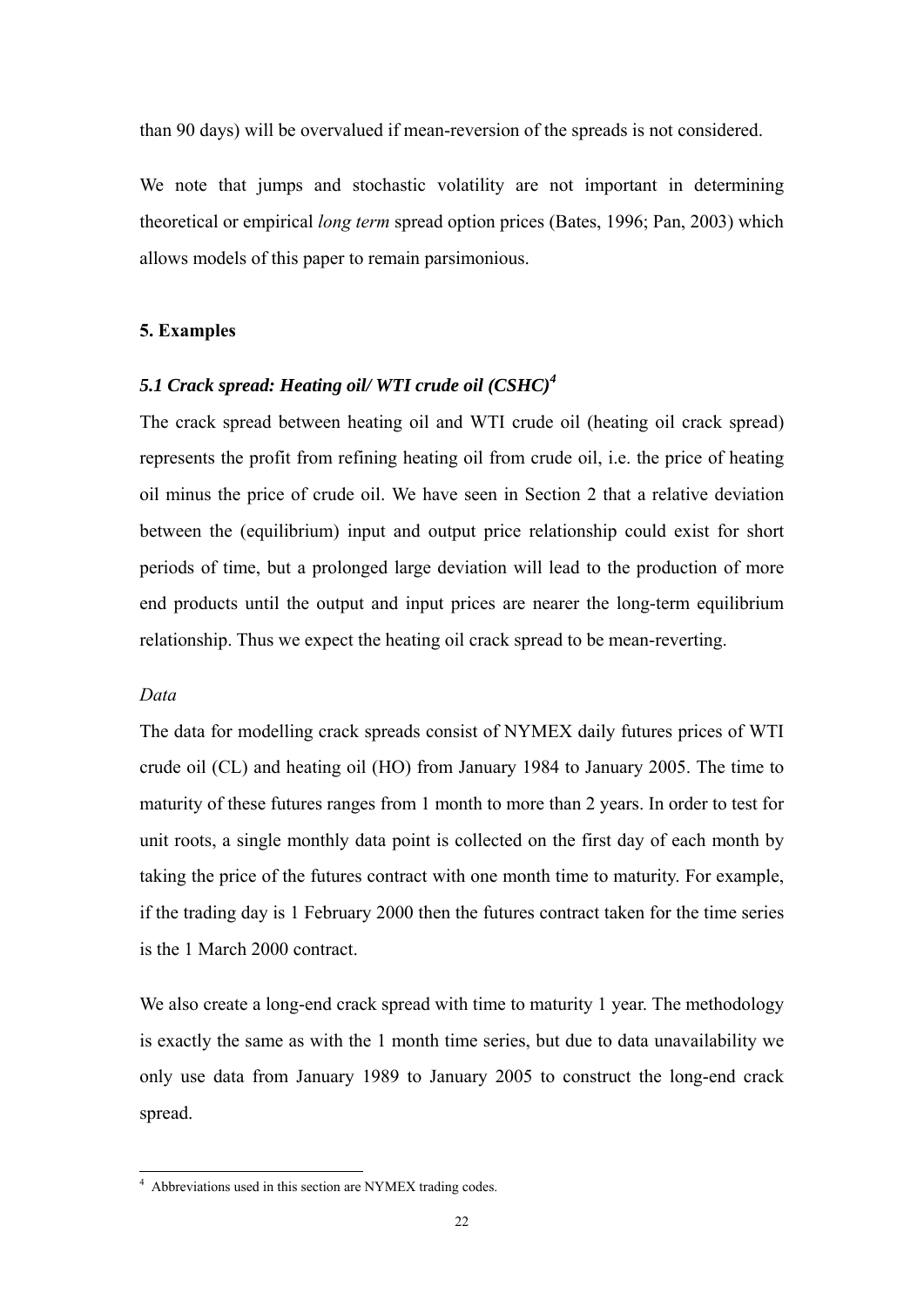than 90 days) will be overvalued if mean-reversion of the spreads is not considered.

We note that jumps and stochastic volatility are not important in determining theoretical or empirical *long term* spread option prices (Bates, 1996; Pan, 2003) which allows models of this paper to remain parsimonious.

#### **5. Examples**

#### *5.1 Crack spread: Heating oil/ WTI crude oil (CSHC)4*

The crack spread between heating oil and WTI crude oil (heating oil crack spread) represents the profit from refining heating oil from crude oil, i.e. the price of heating oil minus the price of crude oil. We have seen in Section 2 that a relative deviation between the (equilibrium) input and output price relationship could exist for short periods of time, but a prolonged large deviation will lead to the production of more end products until the output and input prices are nearer the long-term equilibrium relationship. Thus we expect the heating oil crack spread to be mean-reverting.

#### *Data*

The data for modelling crack spreads consist of NYMEX daily futures prices of WTI crude oil (CL) and heating oil (HO) from January 1984 to January 2005. The time to maturity of these futures ranges from 1 month to more than 2 years. In order to test for unit roots, a single monthly data point is collected on the first day of each month by taking the price of the futures contract with one month time to maturity. For example, if the trading day is 1 February 2000 then the futures contract taken for the time series is the 1 March 2000 contract.

We also create a long-end crack spread with time to maturity 1 year. The methodology is exactly the same as with the 1 month time series, but due to data unavailability we only use data from January 1989 to January 2005 to construct the long-end crack spread.

 4 Abbreviations used in this section are NYMEX trading codes.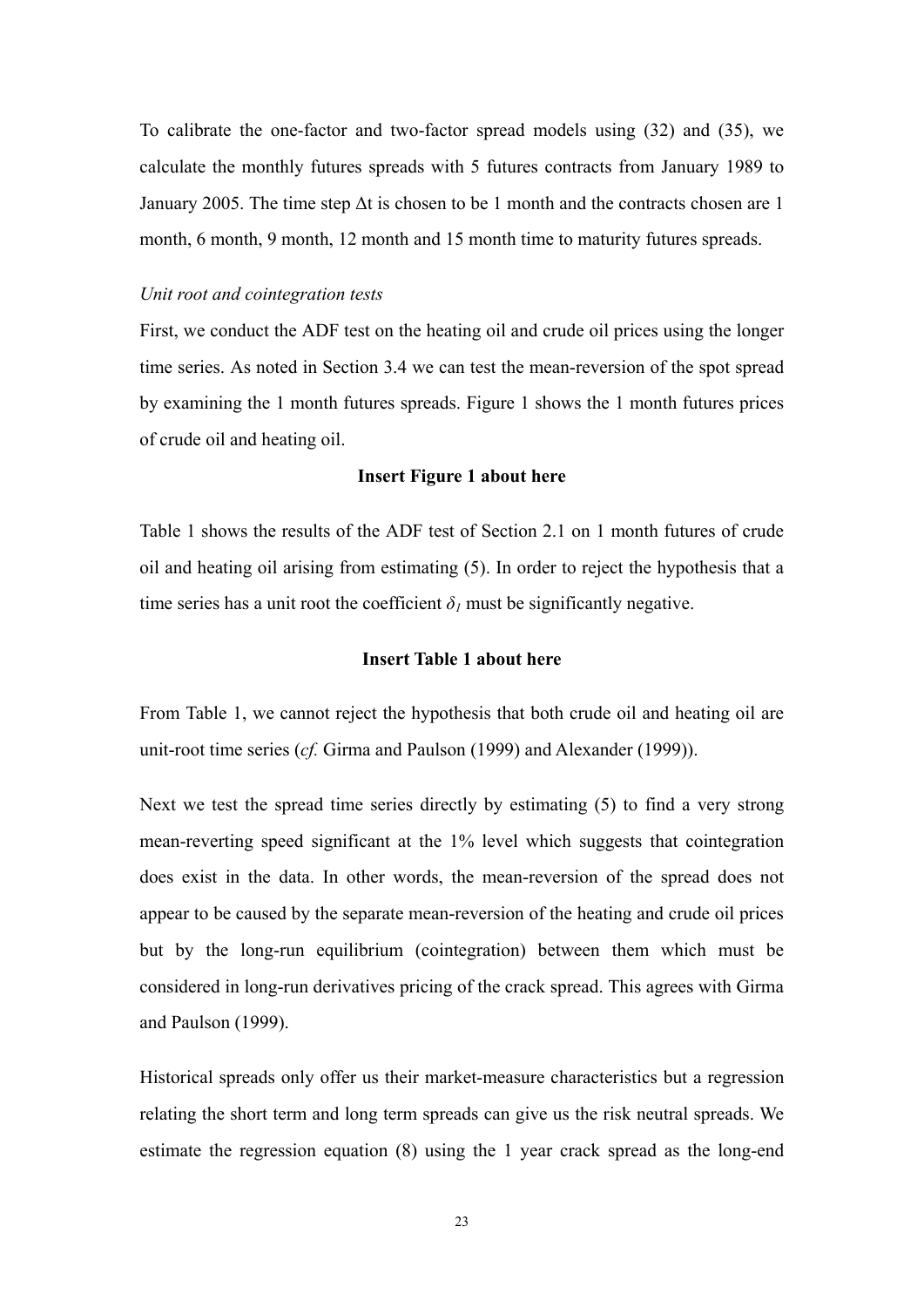To calibrate the one-factor and two-factor spread models using (32) and (35), we calculate the monthly futures spreads with 5 futures contracts from January 1989 to January 2005. The time step  $\Delta t$  is chosen to be 1 month and the contracts chosen are 1 month, 6 month, 9 month, 12 month and 15 month time to maturity futures spreads.

#### *Unit root and cointegration tests*

First, we conduct the ADF test on the heating oil and crude oil prices using the longer time series. As noted in Section 3.4 we can test the mean-reversion of the spot spread by examining the 1 month futures spreads. Figure 1 shows the 1 month futures prices of crude oil and heating oil.

#### **Insert Figure 1 about here**

Table 1 shows the results of the ADF test of Section 2.1 on 1 month futures of crude oil and heating oil arising from estimating (5). In order to reject the hypothesis that a time series has a unit root the coefficient  $\delta$ <sup>*I*</sup> must be significantly negative.

#### **Insert Table 1 about here**

From Table 1, we cannot reject the hypothesis that both crude oil and heating oil are unit-root time series (*cf.* Girma and Paulson (1999) and Alexander (1999)).

Next we test the spread time series directly by estimating (5) to find a very strong mean-reverting speed significant at the 1% level which suggests that cointegration does exist in the data. In other words, the mean-reversion of the spread does not appear to be caused by the separate mean-reversion of the heating and crude oil prices but by the long-run equilibrium (cointegration) between them which must be considered in long-run derivatives pricing of the crack spread. This agrees with Girma and Paulson (1999).

Historical spreads only offer us their market-measure characteristics but a regression relating the short term and long term spreads can give us the risk neutral spreads. We estimate the regression equation (8) using the 1 year crack spread as the long-end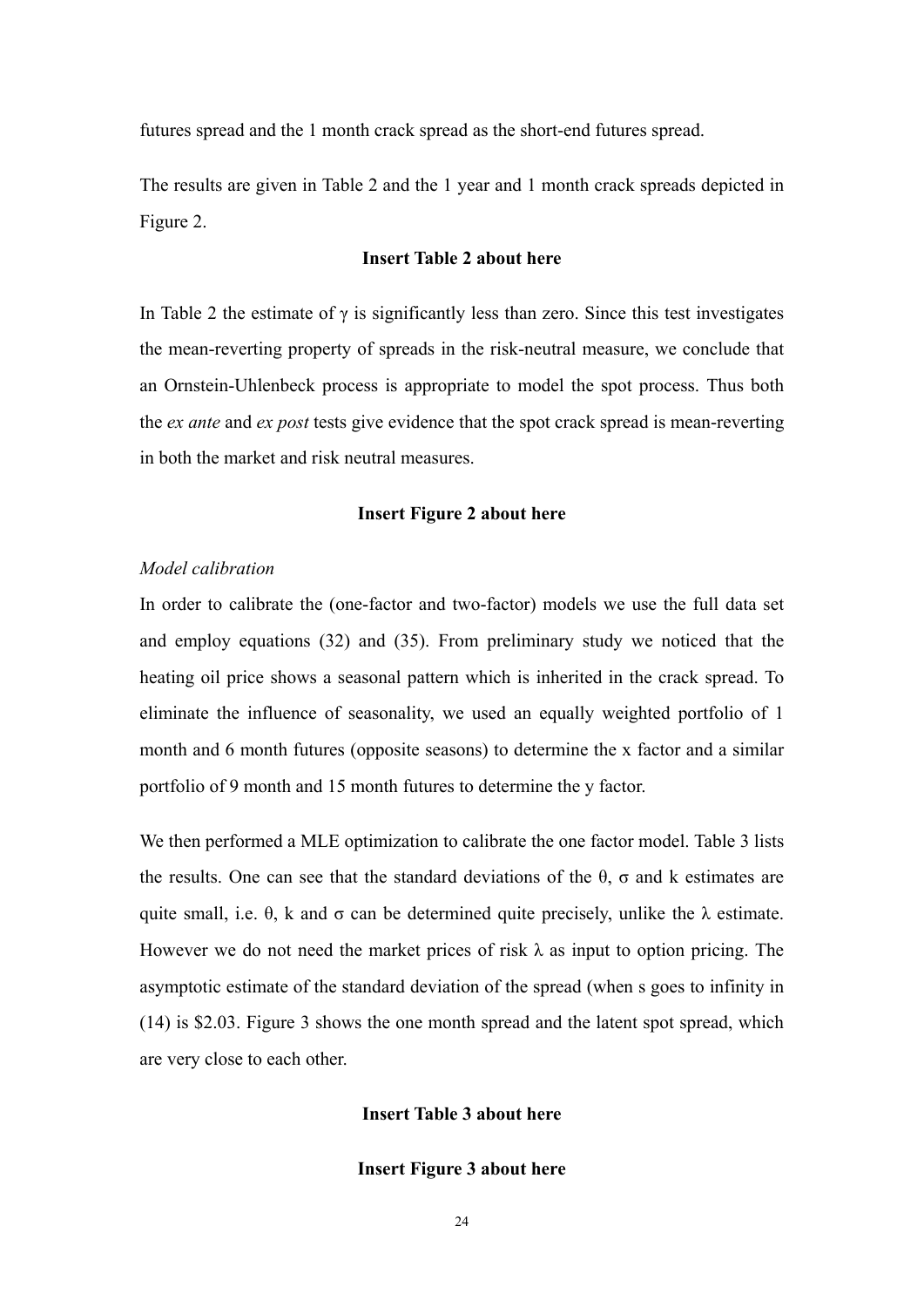futures spread and the 1 month crack spread as the short-end futures spread.

The results are given in Table 2 and the 1 year and 1 month crack spreads depicted in Figure 2.

#### **Insert Table 2 about here**

In Table 2 the estimate of  $\gamma$  is significantly less than zero. Since this test investigates the mean-reverting property of spreads in the risk-neutral measure, we conclude that an Ornstein-Uhlenbeck process is appropriate to model the spot process. Thus both the *ex ante* and *ex post* tests give evidence that the spot crack spread is mean-reverting in both the market and risk neutral measures.

#### **Insert Figure 2 about here**

#### *Model calibration*

In order to calibrate the (one-factor and two-factor) models we use the full data set and employ equations (32) and (35). From preliminary study we noticed that the heating oil price shows a seasonal pattern which is inherited in the crack spread. To eliminate the influence of seasonality, we used an equally weighted portfolio of 1 month and 6 month futures (opposite seasons) to determine the x factor and a similar portfolio of 9 month and 15 month futures to determine the y factor.

We then performed a MLE optimization to calibrate the one factor model. Table 3 lists the results. One can see that the standard deviations of the θ, σ and k estimates are quite small, i.e.  $\theta$ , k and  $\sigma$  can be determined quite precisely, unlike the  $\lambda$  estimate. However we do not need the market prices of risk  $\lambda$  as input to option pricing. The asymptotic estimate of the standard deviation of the spread (when s goes to infinity in (14) is \$2.03. Figure 3 shows the one month spread and the latent spot spread, which are very close to each other.

#### **Insert Table 3 about here**

#### **Insert Figure 3 about here**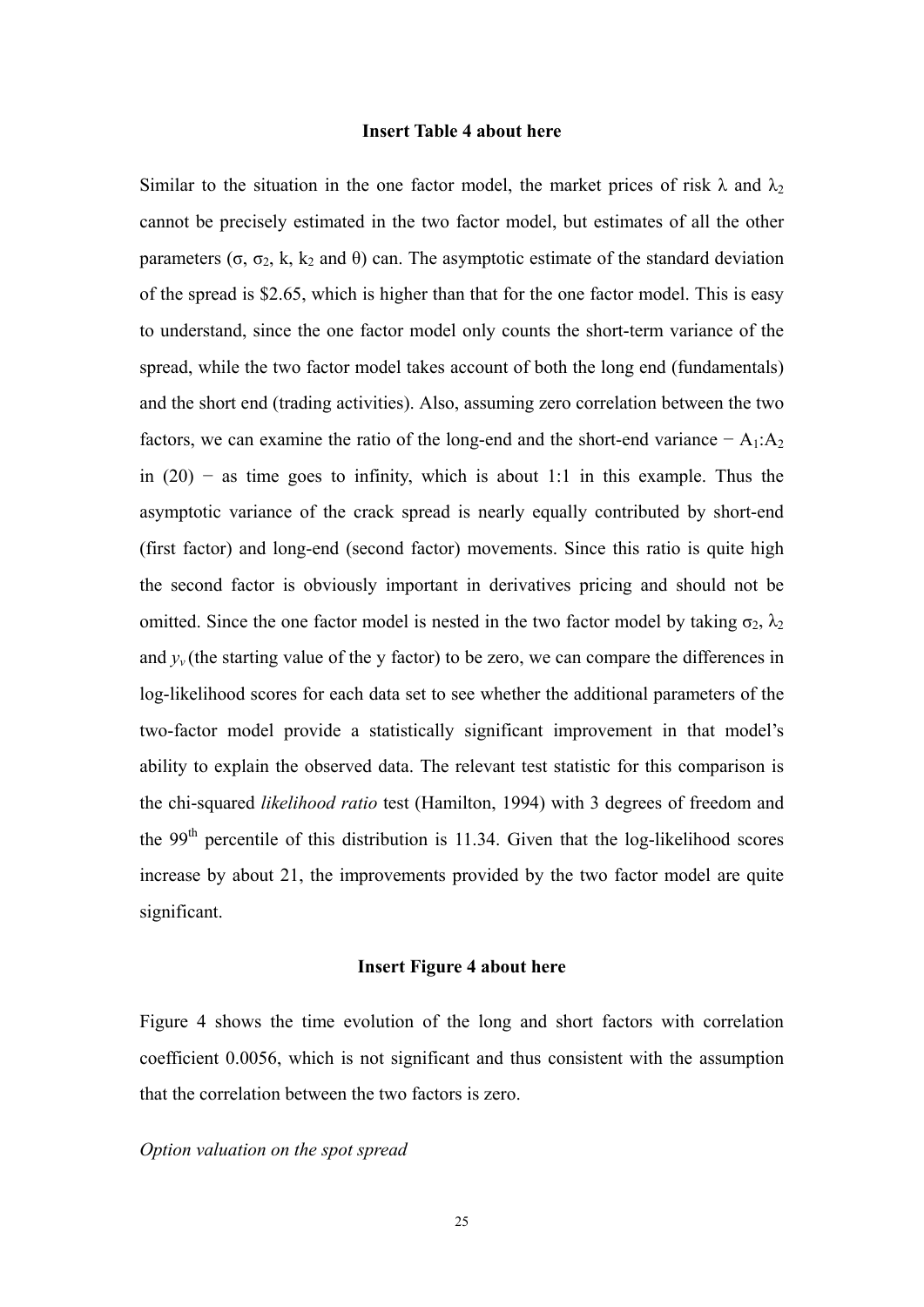#### **Insert Table 4 about here**

Similar to the situation in the one factor model, the market prices of risk  $\lambda$  and  $\lambda_2$ cannot be precisely estimated in the two factor model, but estimates of all the other parameters (σ, σ<sub>2</sub>, k, k<sub>2</sub> and θ) can. The asymptotic estimate of the standard deviation of the spread is \$2.65, which is higher than that for the one factor model. This is easy to understand, since the one factor model only counts the short-term variance of the spread, while the two factor model takes account of both the long end (fundamentals) and the short end (trading activities). Also, assuming zero correlation between the two factors, we can examine the ratio of the long-end and the short-end variance  $- A_1$ : $A_2$ in  $(20)$  – as time goes to infinity, which is about 1:1 in this example. Thus the asymptotic variance of the crack spread is nearly equally contributed by short-end (first factor) and long-end (second factor) movements. Since this ratio is quite high the second factor is obviously important in derivatives pricing and should not be omitted. Since the one factor model is nested in the two factor model by taking  $\sigma_2$ ,  $\lambda_2$ and  $y<sub>v</sub>$  (the starting value of the y factor) to be zero, we can compare the differences in log-likelihood scores for each data set to see whether the additional parameters of the two-factor model provide a statistically significant improvement in that model's ability to explain the observed data. The relevant test statistic for this comparison is the chi-squared *likelihood ratio* test (Hamilton, 1994) with 3 degrees of freedom and the 99<sup>th</sup> percentile of this distribution is 11.34. Given that the log-likelihood scores increase by about 21, the improvements provided by the two factor model are quite significant.

#### **Insert Figure 4 about here**

Figure 4 shows the time evolution of the long and short factors with correlation coefficient 0.0056, which is not significant and thus consistent with the assumption that the correlation between the two factors is zero.

#### *Option valuation on the spot spread*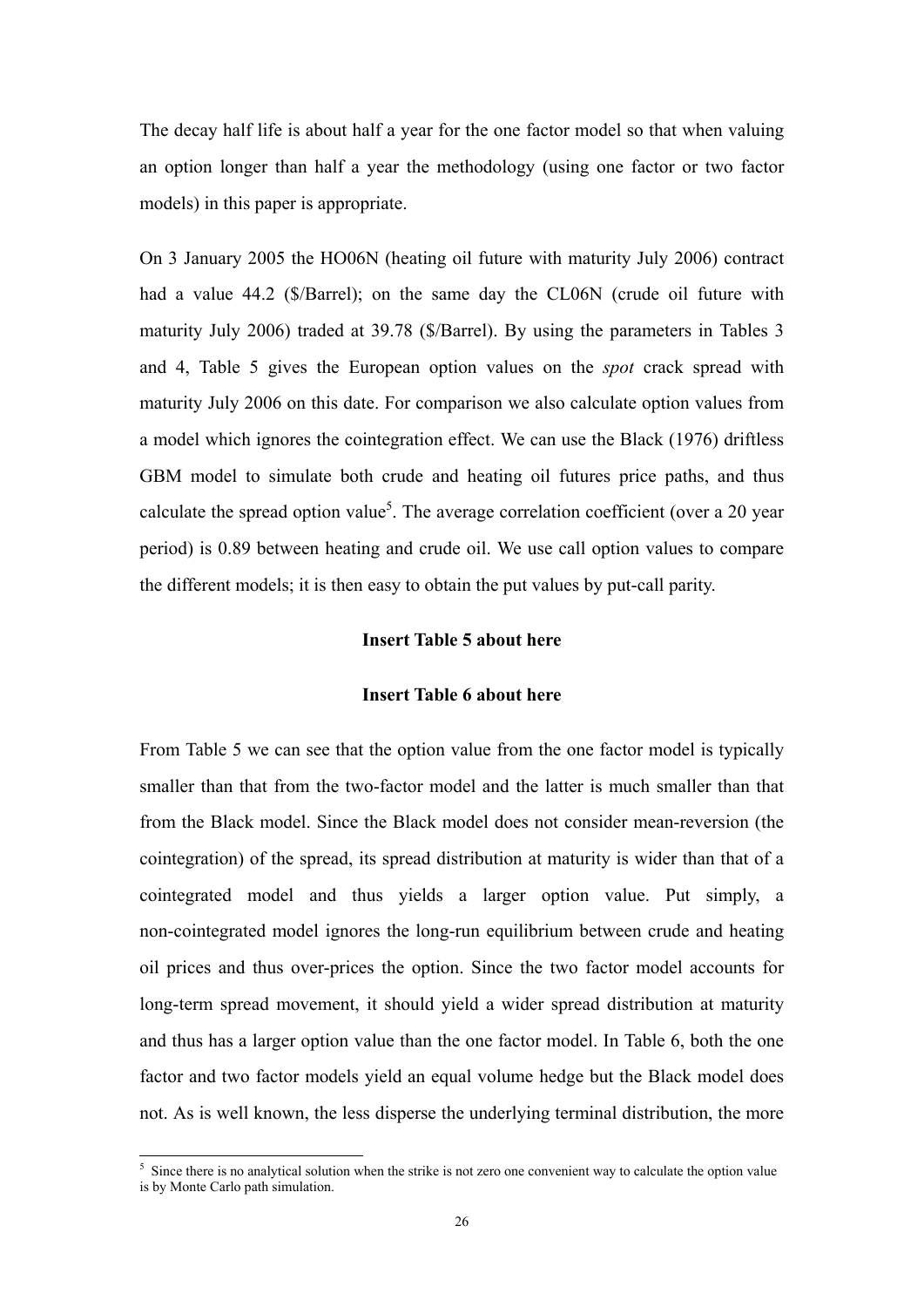The decay half life is about half a year for the one factor model so that when valuing an option longer than half a year the methodology (using one factor or two factor models) in this paper is appropriate.

On 3 January 2005 the HO06N (heating oil future with maturity July 2006) contract had a value 44.2 (\$/Barrel); on the same day the CL06N (crude oil future with maturity July 2006) traded at 39.78 (\$/Barrel). By using the parameters in Tables 3 and 4, Table 5 gives the European option values on the *spot* crack spread with maturity July 2006 on this date. For comparison we also calculate option values from a model which ignores the cointegration effect. We can use the Black (1976) driftless GBM model to simulate both crude and heating oil futures price paths, and thus calculate the spread option value<sup>5</sup>. The average correlation coefficient (over a 20 year period) is 0.89 between heating and crude oil. We use call option values to compare the different models; it is then easy to obtain the put values by put-call parity.

#### **Insert Table 5 about here**

#### **Insert Table 6 about here**

From Table 5 we can see that the option value from the one factor model is typically smaller than that from the two-factor model and the latter is much smaller than that from the Black model. Since the Black model does not consider mean-reversion (the cointegration) of the spread, its spread distribution at maturity is wider than that of a cointegrated model and thus yields a larger option value. Put simply, a non-cointegrated model ignores the long-run equilibrium between crude and heating oil prices and thus over-prices the option. Since the two factor model accounts for long-term spread movement, it should yield a wider spread distribution at maturity and thus has a larger option value than the one factor model. In Table 6, both the one factor and two factor models yield an equal volume hedge but the Black model does not. As is well known, the less disperse the underlying terminal distribution, the more

<sup>&</sup>lt;sup>5</sup> Since there is no analytical solution when the strike is not zero one convenient way to calculate the option value is by Monte Carlo path simulation.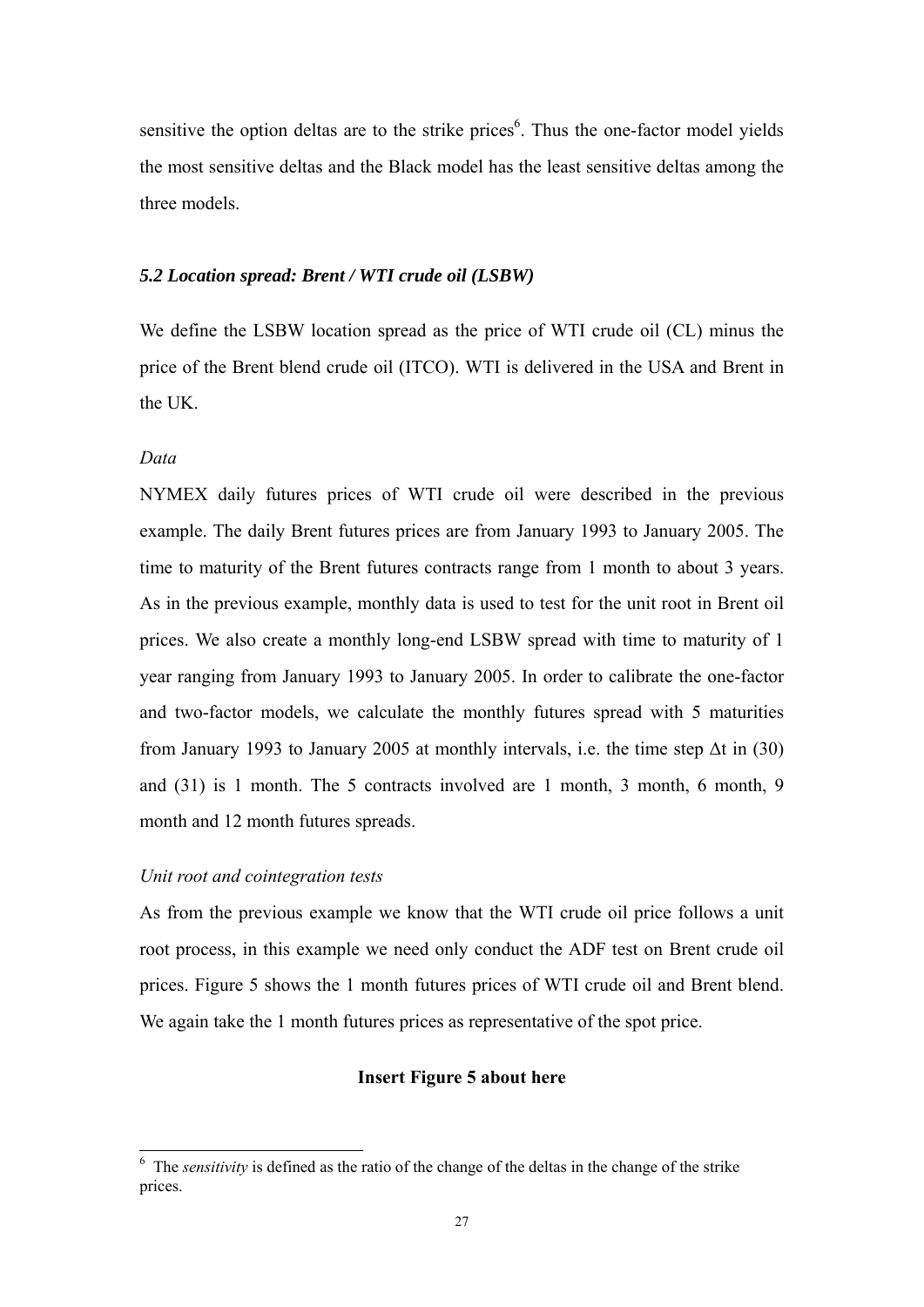sensitive the option deltas are to the strike prices<sup>6</sup>. Thus the one-factor model yields the most sensitive deltas and the Black model has the least sensitive deltas among the three models.

#### *5.2 Location spread: Brent / WTI crude oil (LSBW)*

We define the LSBW location spread as the price of WTI crude oil (CL) minus the price of the Brent blend crude oil (ITCO). WTI is delivered in the USA and Brent in the UK.

#### *Data*

<u>.</u>

NYMEX daily futures prices of WTI crude oil were described in the previous example. The daily Brent futures prices are from January 1993 to January 2005. The time to maturity of the Brent futures contracts range from 1 month to about 3 years. As in the previous example, monthly data is used to test for the unit root in Brent oil prices. We also create a monthly long-end LSBW spread with time to maturity of 1 year ranging from January 1993 to January 2005. In order to calibrate the one-factor and two-factor models, we calculate the monthly futures spread with 5 maturities from January 1993 to January 2005 at monthly intervals, i.e. the time step  $\Delta t$  in (30) and (31) is 1 month. The 5 contracts involved are 1 month, 3 month, 6 month, 9 month and 12 month futures spreads.

#### *Unit root and cointegration tests*

As from the previous example we know that the WTI crude oil price follows a unit root process, in this example we need only conduct the ADF test on Brent crude oil prices. Figure 5 shows the 1 month futures prices of WTI crude oil and Brent blend. We again take the 1 month futures prices as representative of the spot price.

#### **Insert Figure 5 about here**

<sup>&</sup>lt;sup>6</sup> The *sensitivity* is defined as the ratio of the change of the deltas in the change of the strike prices.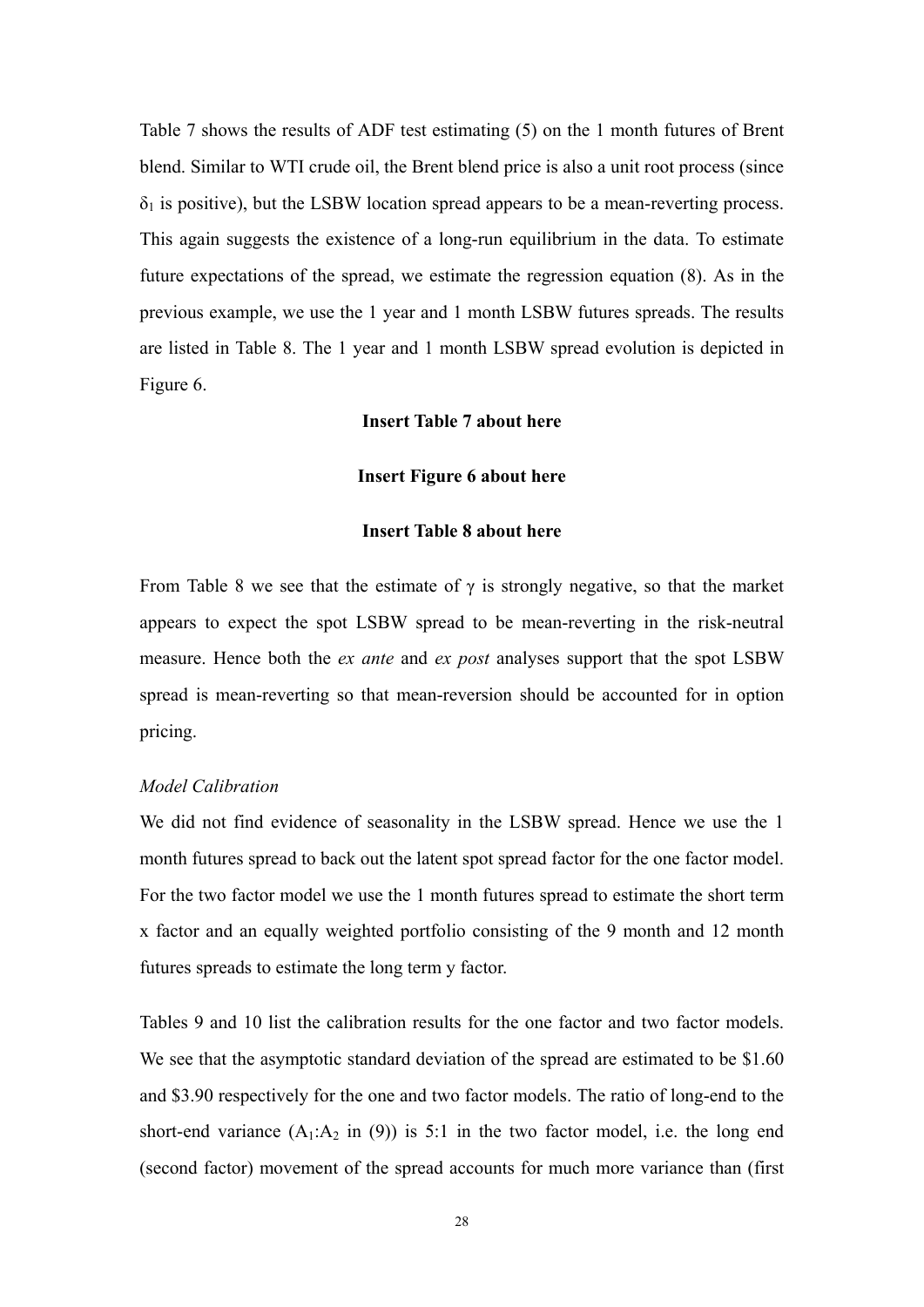Table 7 shows the results of ADF test estimating (5) on the 1 month futures of Brent blend. Similar to WTI crude oil, the Brent blend price is also a unit root process (since  $\delta_1$  is positive), but the LSBW location spread appears to be a mean-reverting process. This again suggests the existence of a long-run equilibrium in the data. To estimate future expectations of the spread, we estimate the regression equation (8). As in the previous example, we use the 1 year and 1 month LSBW futures spreads. The results are listed in Table 8. The 1 year and 1 month LSBW spread evolution is depicted in Figure 6.

#### **Insert Table 7 about here**

#### **Insert Figure 6 about here**

#### **Insert Table 8 about here**

From Table 8 we see that the estimate of  $\gamma$  is strongly negative, so that the market appears to expect the spot LSBW spread to be mean-reverting in the risk-neutral measure. Hence both the *ex ante* and *ex post* analyses support that the spot LSBW spread is mean-reverting so that mean-reversion should be accounted for in option pricing.

#### *Model Calibration*

We did not find evidence of seasonality in the LSBW spread. Hence we use the 1 month futures spread to back out the latent spot spread factor for the one factor model. For the two factor model we use the 1 month futures spread to estimate the short term x factor and an equally weighted portfolio consisting of the 9 month and 12 month futures spreads to estimate the long term y factor.

Tables 9 and 10 list the calibration results for the one factor and two factor models. We see that the asymptotic standard deviation of the spread are estimated to be \$1.60 and \$3.90 respectively for the one and two factor models. The ratio of long-end to the short-end variance  $(A_1:A_2 \text{ in } (9))$  is 5:1 in the two factor model, i.e. the long end (second factor) movement of the spread accounts for much more variance than (first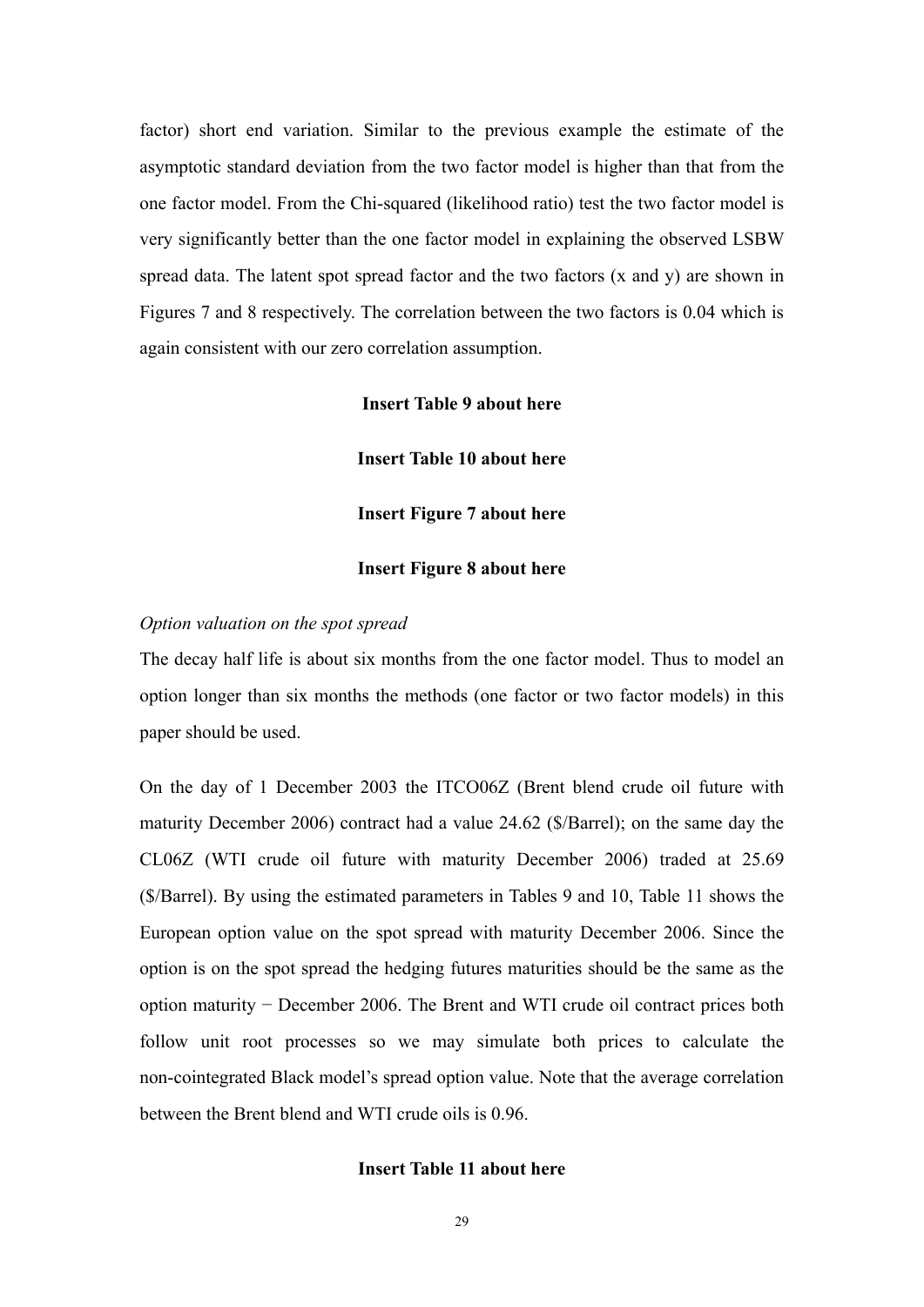factor) short end variation. Similar to the previous example the estimate of the asymptotic standard deviation from the two factor model is higher than that from the one factor model. From the Chi-squared (likelihood ratio) test the two factor model is very significantly better than the one factor model in explaining the observed LSBW spread data. The latent spot spread factor and the two factors (x and y) are shown in Figures 7 and 8 respectively. The correlation between the two factors is 0.04 which is again consistent with our zero correlation assumption.

#### **Insert Table 9 about here**

**Insert Table 10 about here** 

**Insert Figure 7 about here** 

#### **Insert Figure 8 about here**

#### *Option valuation on the spot spread*

The decay half life is about six months from the one factor model. Thus to model an option longer than six months the methods (one factor or two factor models) in this paper should be used.

On the day of 1 December 2003 the ITCO06Z (Brent blend crude oil future with maturity December 2006) contract had a value 24.62 (\$/Barrel); on the same day the CL06Z (WTI crude oil future with maturity December 2006) traded at 25.69 (\$/Barrel). By using the estimated parameters in Tables 9 and 10, Table 11 shows the European option value on the spot spread with maturity December 2006. Since the option is on the spot spread the hedging futures maturities should be the same as the option maturity − December 2006. The Brent and WTI crude oil contract prices both follow unit root processes so we may simulate both prices to calculate the non-cointegrated Black model's spread option value. Note that the average correlation between the Brent blend and WTI crude oils is 0.96.

#### **Insert Table 11 about here**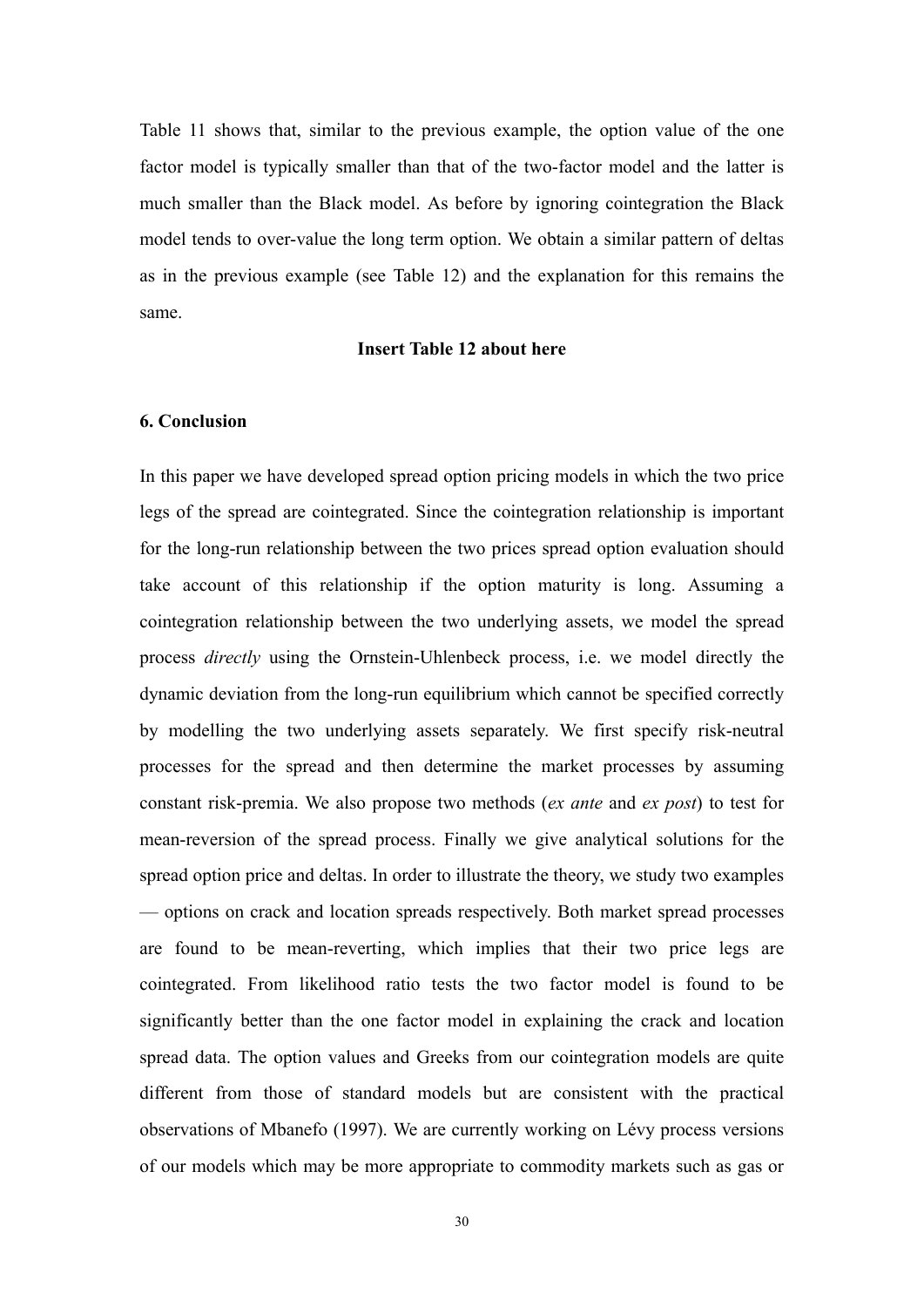Table 11 shows that, similar to the previous example, the option value of the one factor model is typically smaller than that of the two-factor model and the latter is much smaller than the Black model. As before by ignoring cointegration the Black model tends to over-value the long term option. We obtain a similar pattern of deltas as in the previous example (see Table 12) and the explanation for this remains the same.

#### **Insert Table 12 about here**

#### **6. Conclusion**

In this paper we have developed spread option pricing models in which the two price legs of the spread are cointegrated. Since the cointegration relationship is important for the long-run relationship between the two prices spread option evaluation should take account of this relationship if the option maturity is long. Assuming a cointegration relationship between the two underlying assets, we model the spread process *directly* using the Ornstein-Uhlenbeck process, i.e. we model directly the dynamic deviation from the long-run equilibrium which cannot be specified correctly by modelling the two underlying assets separately. We first specify risk-neutral processes for the spread and then determine the market processes by assuming constant risk-premia. We also propose two methods (*ex ante* and *ex post*) to test for mean-reversion of the spread process. Finally we give analytical solutions for the spread option price and deltas. In order to illustrate the theory, we study two examples — options on crack and location spreads respectively. Both market spread processes are found to be mean-reverting, which implies that their two price legs are cointegrated. From likelihood ratio tests the two factor model is found to be significantly better than the one factor model in explaining the crack and location spread data. The option values and Greeks from our cointegration models are quite different from those of standard models but are consistent with the practical observations of Mbanefo (1997). We are currently working on Lévy process versions of our models which may be more appropriate to commodity markets such as gas or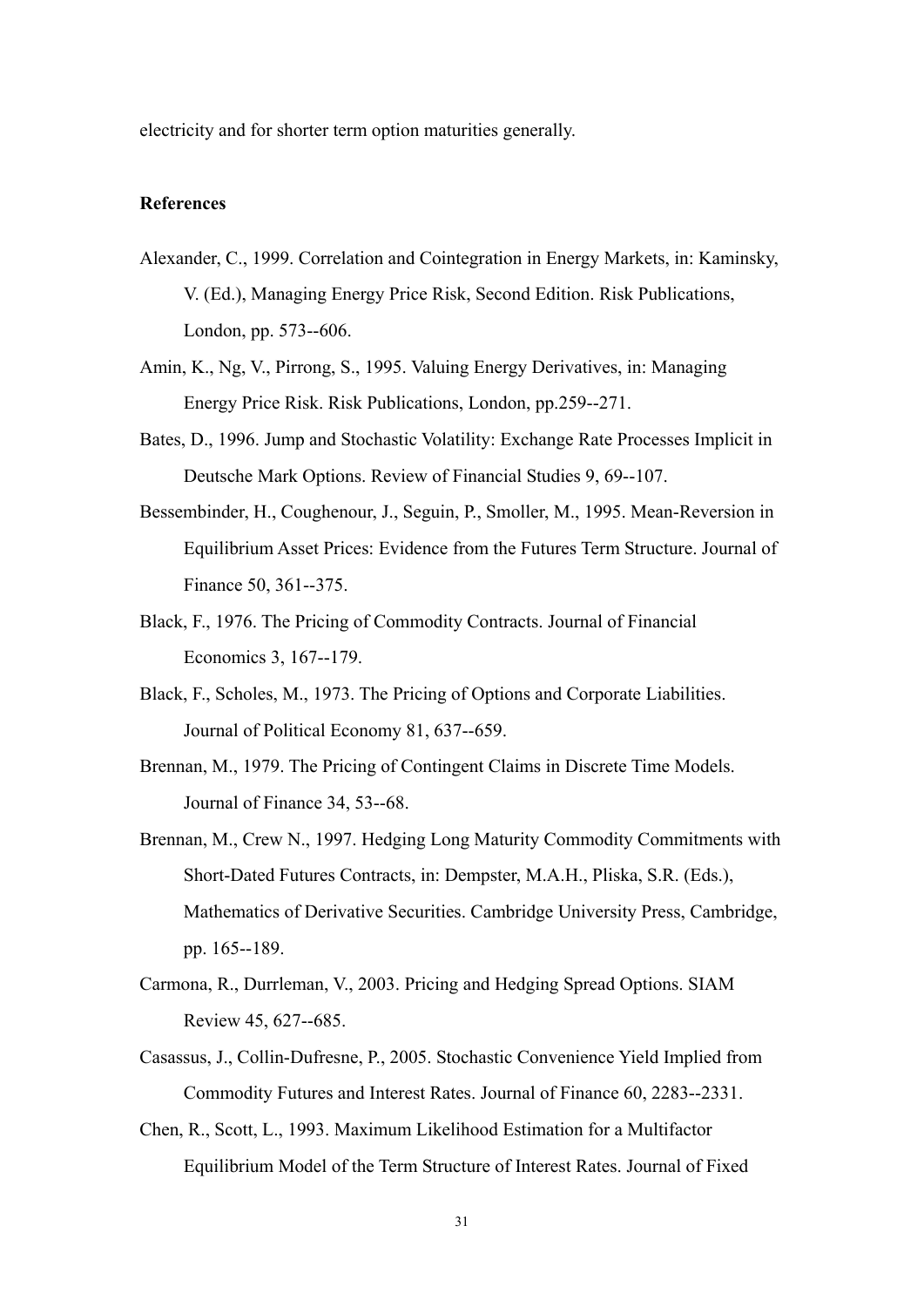electricity and for shorter term option maturities generally.

#### **References**

- Alexander, C., 1999. Correlation and Cointegration in Energy Markets, in: Kaminsky, V. (Ed.), Managing Energy Price Risk, Second Edition. Risk Publications, London, pp. 573--606.
- Amin, K., Ng, V., Pirrong, S., 1995. Valuing Energy Derivatives, in: Managing Energy Price Risk. Risk Publications, London, pp.259--271.
- Bates, D., 1996. Jump and Stochastic Volatility: Exchange Rate Processes Implicit in Deutsche Mark Options. Review of Financial Studies 9, 69--107.
- Bessembinder, H., Coughenour, J., Seguin, P., Smoller, M., 1995. Mean-Reversion in Equilibrium Asset Prices: Evidence from the Futures Term Structure. Journal of Finance 50, 361--375.
- Black, F., 1976. The Pricing of Commodity Contracts. Journal of Financial Economics 3, 167--179.
- Black, F., Scholes, M., 1973. The Pricing of Options and Corporate Liabilities. Journal of Political Economy 81, 637--659.
- Brennan, M., 1979. The Pricing of Contingent Claims in Discrete Time Models. Journal of Finance 34, 53--68.
- Brennan, M., Crew N., 1997. Hedging Long Maturity Commodity Commitments with Short-Dated Futures Contracts, in: Dempster, M.A.H., Pliska, S.R. (Eds.), Mathematics of Derivative Securities. Cambridge University Press, Cambridge, pp. 165--189.
- Carmona, R., Durrleman, V., 2003. Pricing and Hedging Spread Options. SIAM Review 45, 627--685.
- Casassus, J., Collin-Dufresne, P., 2005. Stochastic Convenience Yield Implied from Commodity Futures and Interest Rates. Journal of Finance 60, 2283--2331.
- Chen, R., Scott, L., 1993. Maximum Likelihood Estimation for a Multifactor Equilibrium Model of the Term Structure of Interest Rates. Journal of Fixed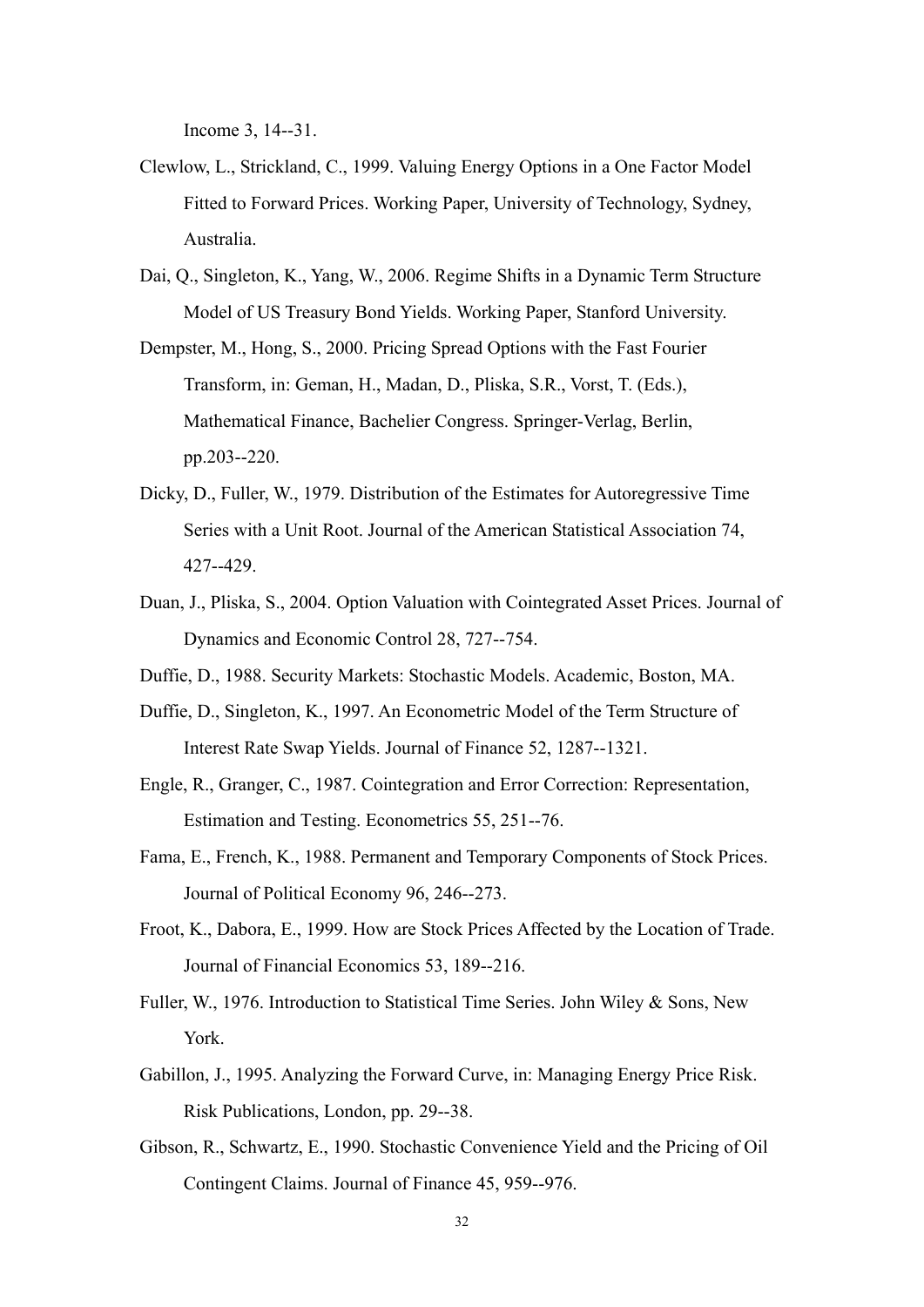Income 3, 14--31.

- Clewlow, L., Strickland, C., 1999. Valuing Energy Options in a One Factor Model Fitted to Forward Prices. Working Paper, University of Technology, Sydney, Australia.
- Dai, Q., Singleton, K., Yang, W., 2006. Regime Shifts in a Dynamic Term Structure Model of US Treasury Bond Yields. Working Paper, Stanford University.
- Dempster, M., Hong, S., 2000. Pricing Spread Options with the Fast Fourier Transform, in: Geman, H., Madan, D., Pliska, S.R., Vorst, T. (Eds.), Mathematical Finance, Bachelier Congress. Springer-Verlag, Berlin, pp.203--220.
- Dicky, D., Fuller, W., 1979. Distribution of the Estimates for Autoregressive Time Series with a Unit Root. Journal of the American Statistical Association 74, 427--429.
- Duan, J., Pliska, S., 2004. Option Valuation with Cointegrated Asset Prices. Journal of Dynamics and Economic Control 28, 727--754.
- Duffie, D., 1988. Security Markets: Stochastic Models. Academic, Boston, MA.
- Duffie, D., Singleton, K., 1997. An Econometric Model of the Term Structure of Interest Rate Swap Yields. Journal of Finance 52, 1287--1321.
- Engle, R., Granger, C., 1987. Cointegration and Error Correction: Representation, Estimation and Testing. Econometrics 55, 251--76.
- Fama, E., French, K., 1988. Permanent and Temporary Components of Stock Prices. Journal of Political Economy 96, 246--273.
- Froot, K., Dabora, E., 1999. How are Stock Prices Affected by the Location of Trade. Journal of Financial Economics 53, 189--216.
- Fuller, W., 1976. Introduction to Statistical Time Series. John Wiley & Sons, New York.
- Gabillon, J., 1995. Analyzing the Forward Curve, in: Managing Energy Price Risk. Risk Publications, London, pp. 29--38.
- Gibson, R., Schwartz, E., 1990. Stochastic Convenience Yield and the Pricing of Oil Contingent Claims. Journal of Finance 45, 959--976.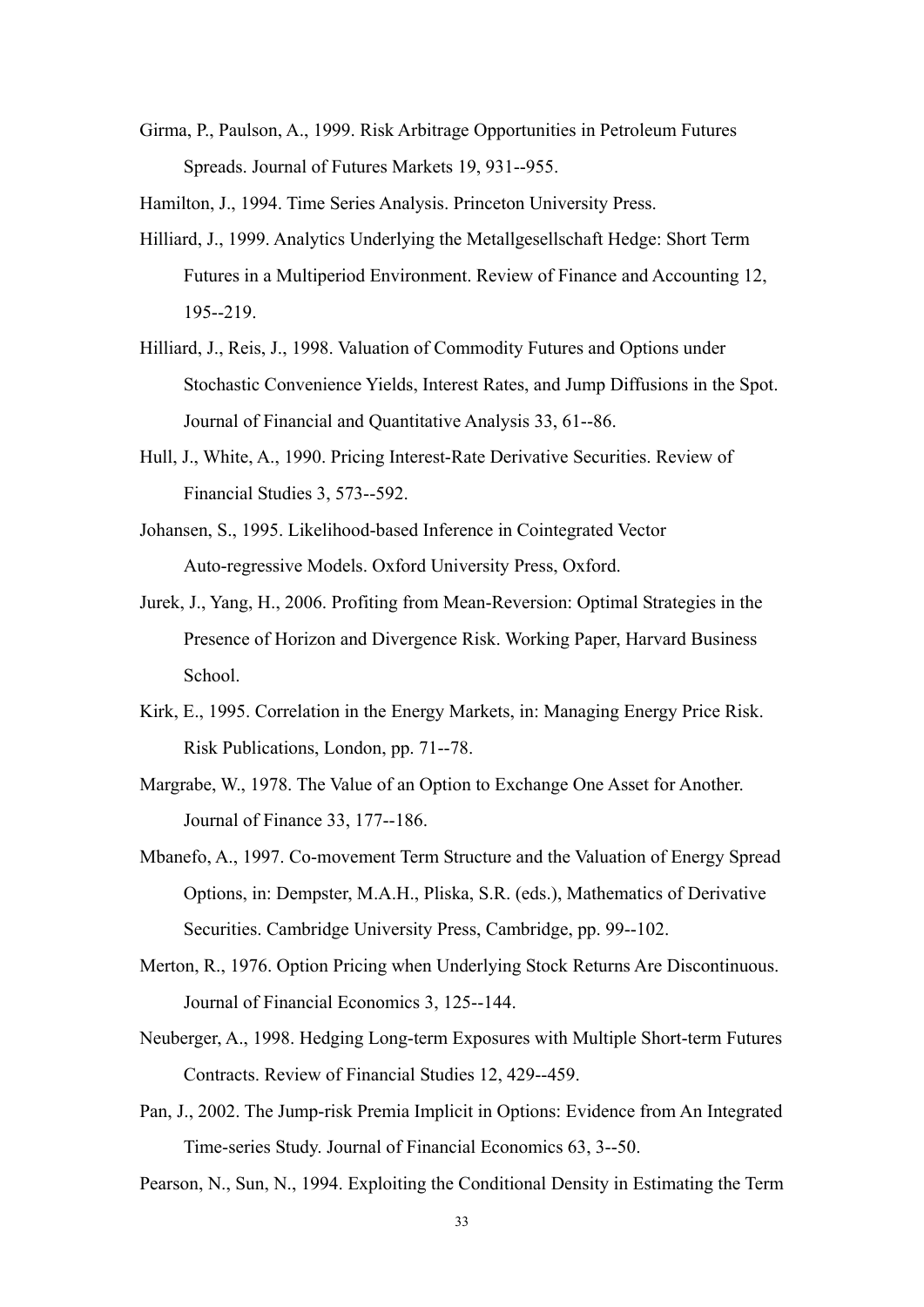Girma, P., Paulson, A., 1999. Risk Arbitrage Opportunities in Petroleum Futures Spreads. Journal of Futures Markets 19, 931--955.

Hamilton, J., 1994. Time Series Analysis. Princeton University Press.

- Hilliard, J., 1999. Analytics Underlying the Metallgesellschaft Hedge: Short Term Futures in a Multiperiod Environment. Review of Finance and Accounting 12, 195--219.
- Hilliard, J., Reis, J., 1998. Valuation of Commodity Futures and Options under Stochastic Convenience Yields, Interest Rates, and Jump Diffusions in the Spot. Journal of Financial and Quantitative Analysis 33, 61--86.
- Hull, J., White, A., 1990. Pricing Interest-Rate Derivative Securities. Review of Financial Studies 3, 573--592.
- Johansen, S., 1995. Likelihood-based Inference in Cointegrated Vector Auto-regressive Models. Oxford University Press, Oxford.
- Jurek, J., Yang, H., 2006. Profiting from Mean-Reversion: Optimal Strategies in the Presence of Horizon and Divergence Risk. Working Paper, Harvard Business School<sup>.</sup>
- Kirk, E., 1995. Correlation in the Energy Markets, in: Managing Energy Price Risk. Risk Publications, London, pp. 71--78.
- Margrabe, W., 1978. The Value of an Option to Exchange One Asset for Another. Journal of Finance 33, 177--186.
- Mbanefo, A., 1997. Co-movement Term Structure and the Valuation of Energy Spread Options, in: Dempster, M.A.H., Pliska, S.R. (eds.), Mathematics of Derivative Securities. Cambridge University Press, Cambridge, pp. 99--102.
- Merton, R., 1976. Option Pricing when Underlying Stock Returns Are Discontinuous. Journal of Financial Economics 3, 125--144.
- Neuberger, A., 1998. Hedging Long-term Exposures with Multiple Short-term Futures Contracts. Review of Financial Studies 12, 429--459.
- Pan, J., 2002. The Jump-risk Premia Implicit in Options: Evidence from An Integrated Time-series Study. Journal of Financial Economics 63, 3--50.

Pearson, N., Sun, N., 1994. Exploiting the Conditional Density in Estimating the Term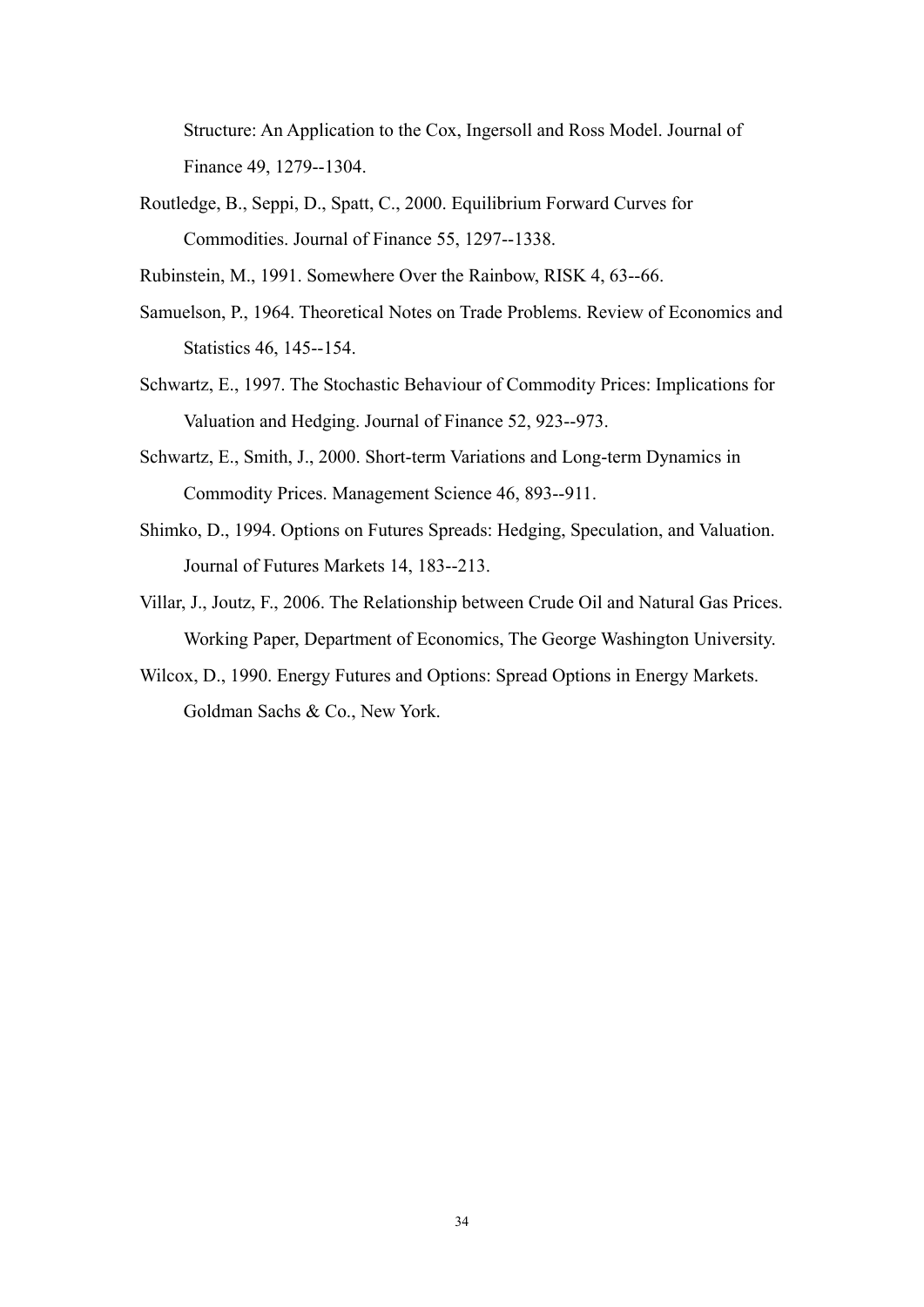Structure: An Application to the Cox, Ingersoll and Ross Model. Journal of Finance 49, 1279--1304.

- Routledge, B., Seppi, D., Spatt, C., 2000. Equilibrium Forward Curves for Commodities. Journal of Finance 55, 1297--1338.
- Rubinstein, M., 1991. Somewhere Over the Rainbow, RISK 4, 63--66.
- Samuelson, P., 1964. Theoretical Notes on Trade Problems. Review of Economics and Statistics 46, 145--154.
- Schwartz, E., 1997. The Stochastic Behaviour of Commodity Prices: Implications for Valuation and Hedging. Journal of Finance 52, 923--973.
- Schwartz, E., Smith, J., 2000. Short-term Variations and Long-term Dynamics in Commodity Prices. Management Science 46, 893--911.
- Shimko, D., 1994. Options on Futures Spreads: Hedging, Speculation, and Valuation. Journal of Futures Markets 14, 183--213.
- Villar, J., Joutz, F., 2006. The Relationship between Crude Oil and Natural Gas Prices. Working Paper, Department of Economics, The George Washington University.
- Wilcox, D., 1990. Energy Futures and Options: Spread Options in Energy Markets. Goldman Sachs & Co., New York.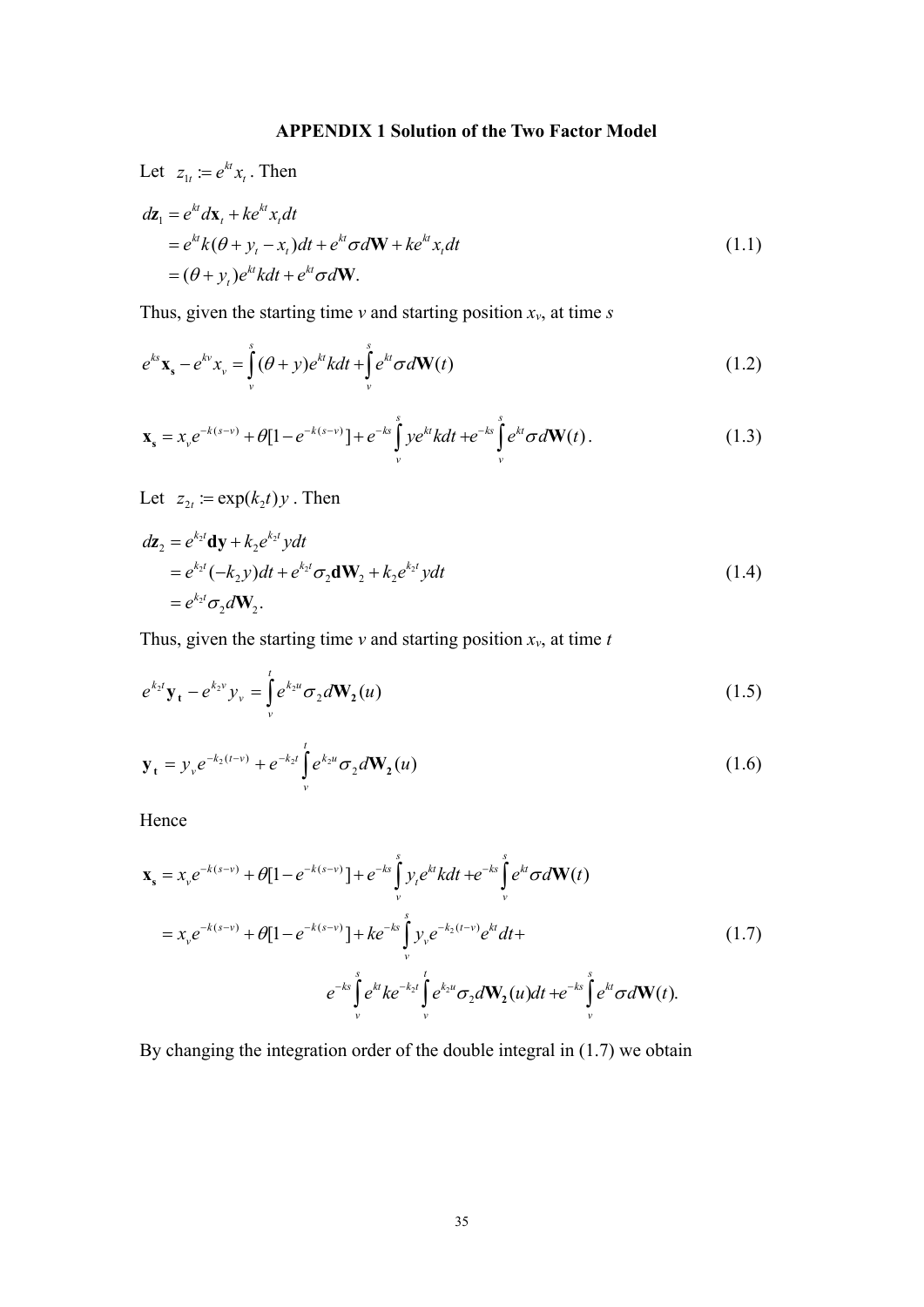### **APPENDIX 1 Solution of the Two Factor Model**

Let  $z_{1t} := e^{kt} x_t$ . Then

$$
dz_1 = e^{kt} d\mathbf{x}_t + k e^{kt} x_t dt
$$
  
=  $e^{kt} k(\theta + y_t - x_t) dt + e^{kt} \sigma d\mathbf{W} + k e^{kt} x_t dt$   
=  $(\theta + y_t) e^{kt} k dt + e^{kt} \sigma d\mathbf{W}$ . (1.1)

Thus, given the starting time  $v$  and starting position  $x_v$ , at time  $s$ 

$$
e^{ks}\mathbf{x}_s - e^{kv}x_v = \int_{v}^{s} (\theta + y)e^{kt}kdt + \int_{v}^{s} e^{kt}\sigma d\mathbf{W}(t)
$$
 (1.2)

$$
\mathbf{x}_{s} = x_{v}e^{-k(s-v)} + \theta[1 - e^{-k(s-v)}] + e^{-ks}\int_{v}^{s} ye^{kt}kdt + e^{-ks}\int_{v}^{s} e^{kt}\sigma d\mathbf{W}(t).
$$
 (1.3)

Let  $z_{2t} := \exp(k_2 t) y$ . Then

$$
dz_2 = e^{k_2 t} dy + k_2 e^{k_2 t} y dt
$$
  
=  $e^{k_2 t} (-k_2 y) dt + e^{k_2 t} \sigma_2 dW_2 + k_2 e^{k_2 t} y dt$   
=  $e^{k_2 t} \sigma_2 dW_2$ . (1.4)

Thus, given the starting time  $v$  and starting position  $x_v$ , at time  $t$ 

$$
e^{k_2 t} \mathbf{y}_t - e^{k_2 v} y_v = \int_{v}^{t} e^{k_2 u} \sigma_2 d\mathbf{W}_2(u)
$$
 (1.5)

$$
\mathbf{y}_{t} = y_{v} e^{-k_{2}(t-v)} + e^{-k_{2}t} \int_{v}^{t} e^{k_{2}u} \sigma_{2} d\mathbf{W}_{2}(u)
$$
 (1.6)

Hence

$$
\mathbf{x}_{s} = x_{v}e^{-k(s-v)} + \theta[1 - e^{-k(s-v)}] + e^{-ks} \int_{v}^{s} y_{t}e^{kt}kdt + e^{-ks} \int_{v}^{s} e^{kt} \sigma d\mathbf{W}(t)
$$
  
\n
$$
= x_{v}e^{-k(s-v)} + \theta[1 - e^{-k(s-v)}] + ke^{-ks} \int_{v}^{s} y_{v}e^{-k_{2}(t-v)}e^{kt}dt +
$$
  
\n
$$
e^{-ks} \int_{v}^{s} e^{kt}ke^{-k_{2}t} \int_{v}^{t} e^{k_{2}u} \sigma_{2}d\mathbf{W}_{2}(u)dt + e^{-ks} \int_{v}^{s} e^{kt} \sigma d\mathbf{W}(t).
$$
\n(1.7)

By changing the integration order of the double integral in (1.7) we obtain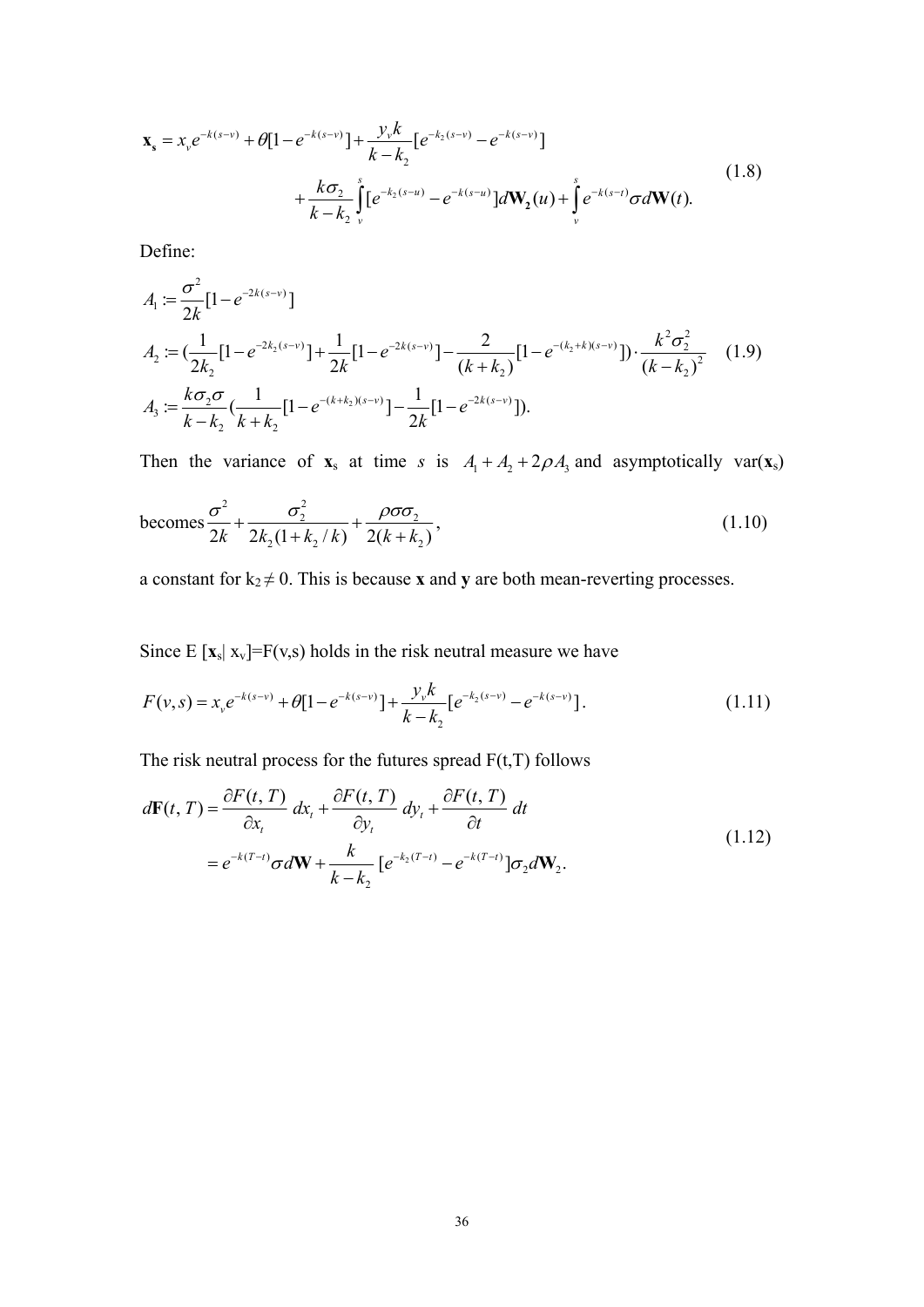$$
\mathbf{x}_{s} = x_{v}e^{-k(s-v)} + \theta[1 - e^{-k(s-v)}] + \frac{y_{v}k}{k - k_{2}}[e^{-k_{2}(s-v)} - e^{-k(s-v)}] + \frac{k\sigma_{2}}{k - k_{2}}\int_{v}^{s}[e^{-k_{2}(s-u)} - e^{-k(s-u)}]d\mathbf{W}_{2}(u) + \int_{v}^{s}e^{-k(s-t)}\sigma d\mathbf{W}(t).
$$
\n(1.8)

Define:

$$
A_1 := \frac{\sigma^2}{2k} [1 - e^{-2k(s-v)}]
$$
  
\n
$$
A_2 := (\frac{1}{2k_2} [1 - e^{-2k_2(s-v)}] + \frac{1}{2k} [1 - e^{-2k(s-v)}] - \frac{2}{(k+k_2)} [1 - e^{-(k_2+k)(s-v)}] \cdot \frac{k^2 \sigma_2^2}{(k-k_2)^2}
$$
 (1.9)  
\n
$$
A_3 := \frac{k \sigma_2 \sigma}{k - k_2} (\frac{1}{k + k_2} [1 - e^{-(k+k_2)(s-v)}] - \frac{1}{2k} [1 - e^{-2k(s-v)}]).
$$

Then the variance of  $\mathbf{x}_s$  at time *s* is  $A_1 + A_2 + 2\rho A_3$  and asymptotically var( $\mathbf{x}_s$ )

becomes 
$$
\frac{\sigma^2}{2k} + \frac{\sigma_2^2}{2k_2(1 + k_2/k)} + \frac{\rho \sigma \sigma_2}{2(k + k_2)},
$$
 (1.10)

a constant for  $k_2 \neq 0$ . This is because **x** and **y** are both mean-reverting processes.

Since  $E [x_s | x_v] = F(v,s)$  holds in the risk neutral measure we have

$$
F(v,s) = x_v e^{-k(s-v)} + \theta [1 - e^{-k(s-v)}] + \frac{y_v k}{k - k_2} [e^{-k_2(s-v)} - e^{-k(s-v)}].
$$
\n(1.11)

The risk neutral process for the futures spread  $F(t,T)$  follows

$$
d\mathbf{F}(t,T) = \frac{\partial F(t,T)}{\partial x_t} dx_t + \frac{\partial F(t,T)}{\partial y_t} dy_t + \frac{\partial F(t,T)}{\partial t} dt
$$
  
=  $e^{-k(T-t)} \sigma d\mathbf{W} + \frac{k}{k-k_2} [e^{-k_2(T-t)} - e^{-k(T-t)}] \sigma_2 d\mathbf{W}_2.$  (1.12)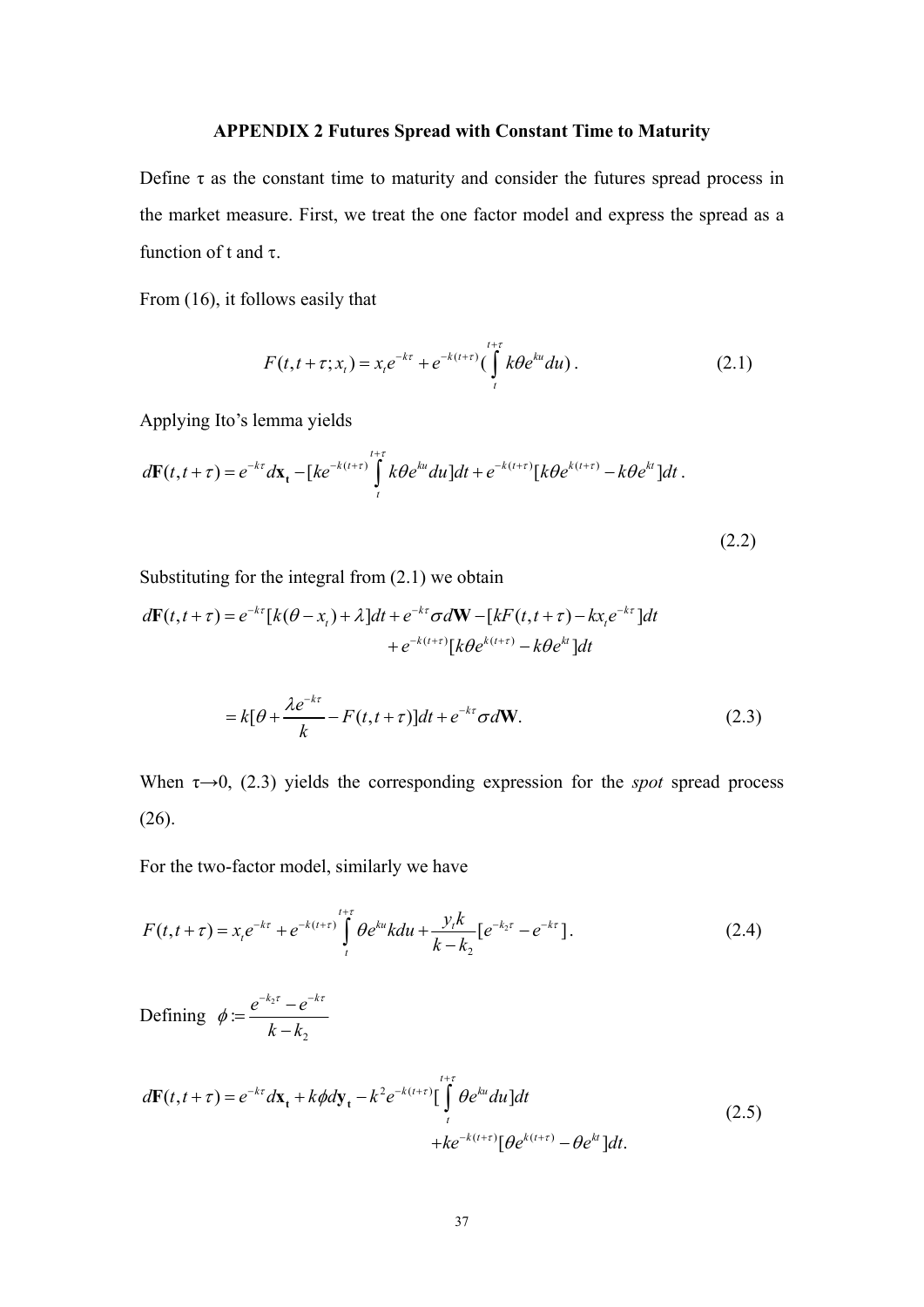#### **APPENDIX 2 Futures Spread with Constant Time to Maturity**

Define  $\tau$  as the constant time to maturity and consider the futures spread process in the market measure. First, we treat the one factor model and express the spread as a function of t and τ.

From (16), it follows easily that

$$
F(t, t + \tau; x_t) = x_t e^{-k\tau} + e^{-k(t+\tau)} \left( \int_t^{t+\tau} k\theta e^{ku} du \right).
$$
 (2.1)

Applying Ito's lemma yields

$$
d\mathbf{F}(t,t+\tau) = e^{-k\tau} d\mathbf{x}_t - [ke^{-k(t+\tau)} \int\limits_t^{t+\tau} k\theta e^{ku} du] dt + e^{-k(t+\tau)} [k\theta e^{k(t+\tau)} - k\theta e^{kt}] dt.
$$

(2.2)

Substituting for the integral from (2.1) we obtain

$$
d\mathbf{F}(t, t+\tau) = e^{-k\tau} [k(\theta - x_t) + \lambda] dt + e^{-k\tau} \sigma d\mathbf{W} - [kF(t, t+\tau) - kx_t e^{-k\tau}] dt
$$
  
+ 
$$
e^{-k(t+\tau)} [k\theta e^{k(t+\tau)} - k\theta e^{kt}] dt
$$

$$
= k[\theta + \frac{\lambda e^{-k\tau}}{k} - F(t, t + \tau)]dt + e^{-k\tau}\sigma d\mathbf{W}.
$$
 (2.3)

When  $\tau \rightarrow 0$ , (2.3) yields the corresponding expression for the *spot* spread process (26).

For the two-factor model, similarly we have

$$
F(t, t + \tau) = x_t e^{-k\tau} + e^{-k(t+\tau)} \int_{t}^{t+\tau} \theta e^{ku} k du + \frac{y_t k}{k - k_2} [e^{-k_2 \tau} - e^{-k\tau}].
$$
 (2.4)

Defining  $\phi = \frac{e^{-\kappa_2}}{2}$ 2 :  $e^{-k_2 \tau} - e^{-k}$  $k - k$  $\phi = \frac{e^{-\kappa_2 \tau} - e^{-\kappa \tau}}{1 - \tau}$  $=\frac{e^{-k_2\tau}-e^{-k\tau}}{k-k_2}$ 

$$
d\mathbf{F}(t, t + \tau) = e^{-k\tau} d\mathbf{x}_t + k\phi d\mathbf{y}_t - k^2 e^{-k(t+\tau)} \Big[ \int_t^{t+\tau} \theta e^{ku} du \Big] dt
$$
  
+  $ke^{-k(t+\tau)} [\theta e^{k(t+\tau)} - \theta e^{kt}] dt.$  (2.5)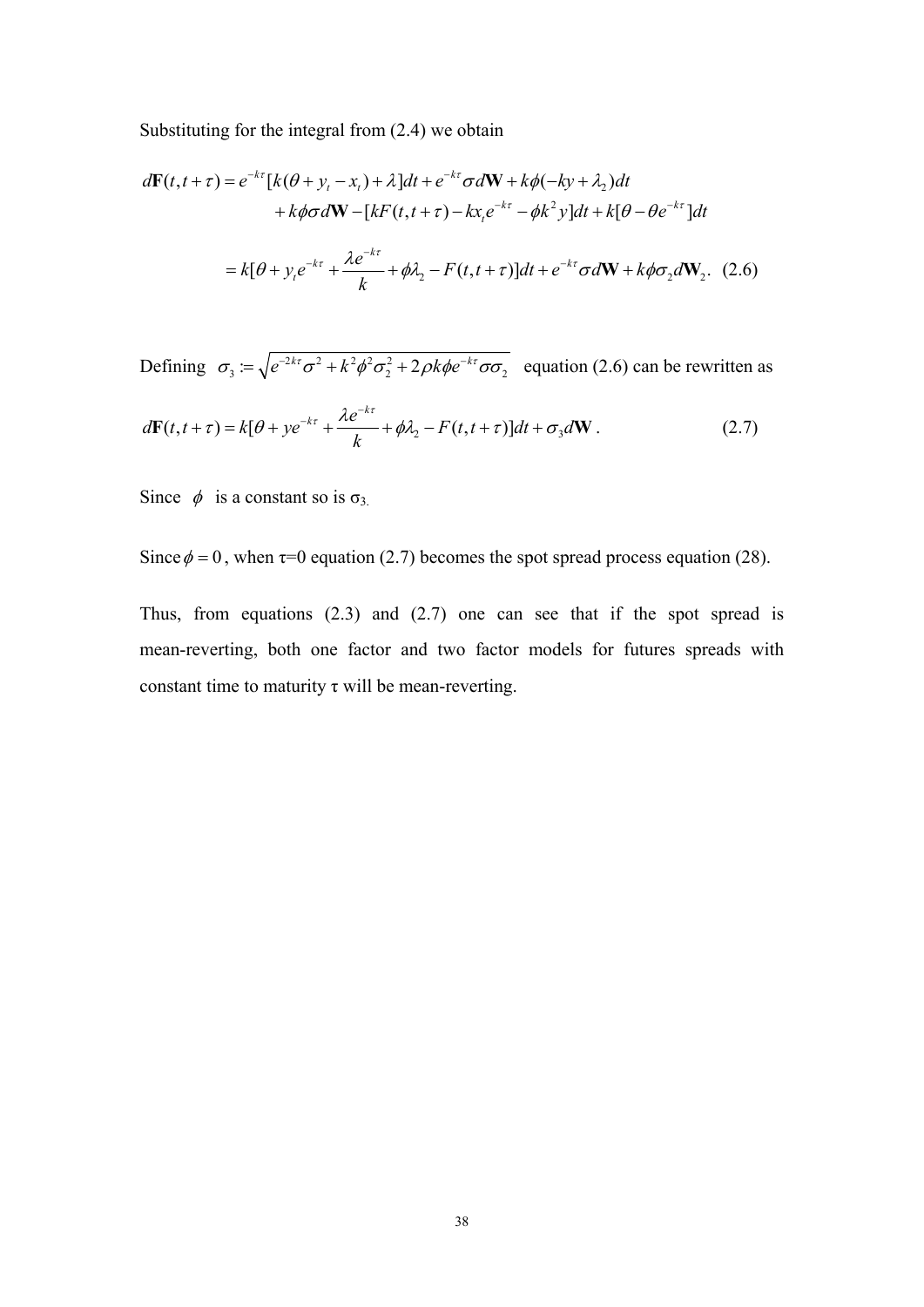Substituting for the integral from (2.4) we obtain

$$
d\mathbf{F}(t, t + \tau) = e^{-k\tau} [k(\theta + y_t - x_t) + \lambda] dt + e^{-k\tau} \sigma d\mathbf{W} + k\phi(-k\mathbf{y} + \lambda_2) dt
$$
  
+  $k\phi \sigma d\mathbf{W} - [kF(t, t + \tau) - kx_t e^{-k\tau} - \phi k^2 y] dt + k[\theta - \theta e^{-k\tau}] dt$   
=  $k[\theta + y_t e^{-k\tau} + \frac{\lambda e^{-k\tau}}{k} + \phi \lambda_2 - F(t, t + \tau)] dt + e^{-k\tau} \sigma d\mathbf{W} + k\phi \sigma_2 d\mathbf{W}_2.$  (2.6)

Defining  $\sigma_3 = \sqrt{e^{-2kt} \sigma^2 + k^2 \phi^2 \sigma_2^2 + 2 \rho k \phi e^{-kt} \sigma_2}$  equation (2.6) can be rewritten as

$$
d\mathbf{F}(t, t+\tau) = k[\theta + ye^{-k\tau} + \frac{\lambda e^{-k\tau}}{k} + \phi \lambda_2 - F(t, t+\tau)]dt + \sigma_3 d\mathbf{W}.
$$
 (2.7)

Since  $\phi$  is a constant so is  $\sigma_3$ .

Since  $\phi = 0$ , when  $\tau = 0$  equation (2.7) becomes the spot spread process equation (28).

Thus, from equations (2.3) and (2.7) one can see that if the spot spread is mean-reverting, both one factor and two factor models for futures spreads with constant time to maturity  $\tau$  will be mean-reverting.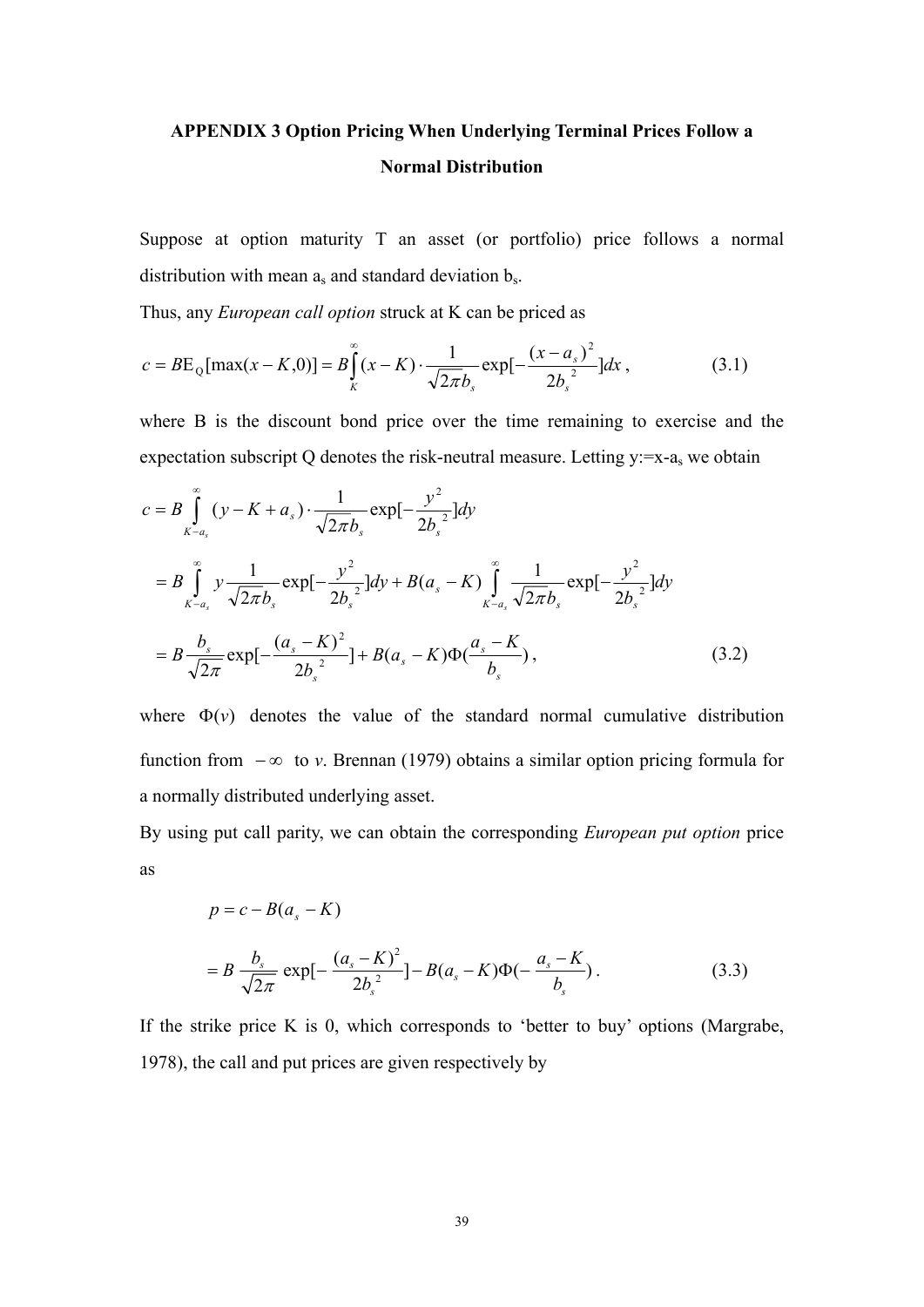# **APPENDIX 3 Option Pricing When Underlying Terminal Prices Follow a Normal Distribution**

Suppose at option maturity T an asset (or portfolio) price follows a normal distribution with mean  $a_s$  and standard deviation  $b_s$ .

Thus, any *European call option* struck at K can be priced as

$$
c = BE_{Q}[\max(x - K, 0)] = B \int_{K}^{\infty} (x - K) \cdot \frac{1}{\sqrt{2\pi b_{s}}} \exp[-\frac{(x - a_{s})^{2}}{2b_{s}^{2}}] dx , \qquad (3.1)
$$

where B is the discount bond price over the time remaining to exercise and the expectation subscript Q denotes the risk-neutral measure. Letting  $y:=x-a_s$  we obtain

$$
c = B \int_{K-a_s}^{\infty} (y - K + a_s) \cdot \frac{1}{\sqrt{2\pi b_s}} \exp[-\frac{y^2}{2b_s^2}] dy
$$
  
\n
$$
= B \int_{K-a_s}^{\infty} y \frac{1}{\sqrt{2\pi b_s}} \exp[-\frac{y^2}{2b_s^2}] dy + B(a_s - K) \int_{K-a_s}^{\infty} \frac{1}{\sqrt{2\pi b_s}} \exp[-\frac{y^2}{2b_s^2}] dy
$$
  
\n
$$
= B \frac{b_s}{\sqrt{2\pi}} \exp[-\frac{(a_s - K)^2}{2b_s^2}] + B(a_s - K) \Phi(\frac{a_s - K}{b_s}), \qquad (3.2)
$$

where  $\Phi(v)$  denotes the value of the standard normal cumulative distribution function from − ∞ to *v*. Brennan (1979) obtains a similar option pricing formula for a normally distributed underlying asset.

By using put call parity, we can obtain the corresponding *European put option* price as

$$
p = c - B(a_s - K)
$$
  
=  $B \frac{b_s}{\sqrt{2\pi}} \exp[-\frac{(a_s - K)^2}{2b_s^2}] - B(a_s - K)\Phi(-\frac{a_s - K}{b_s}).$  (3.3)

If the strike price K is 0, which corresponds to 'better to buy' options (Margrabe, 1978), the call and put prices are given respectively by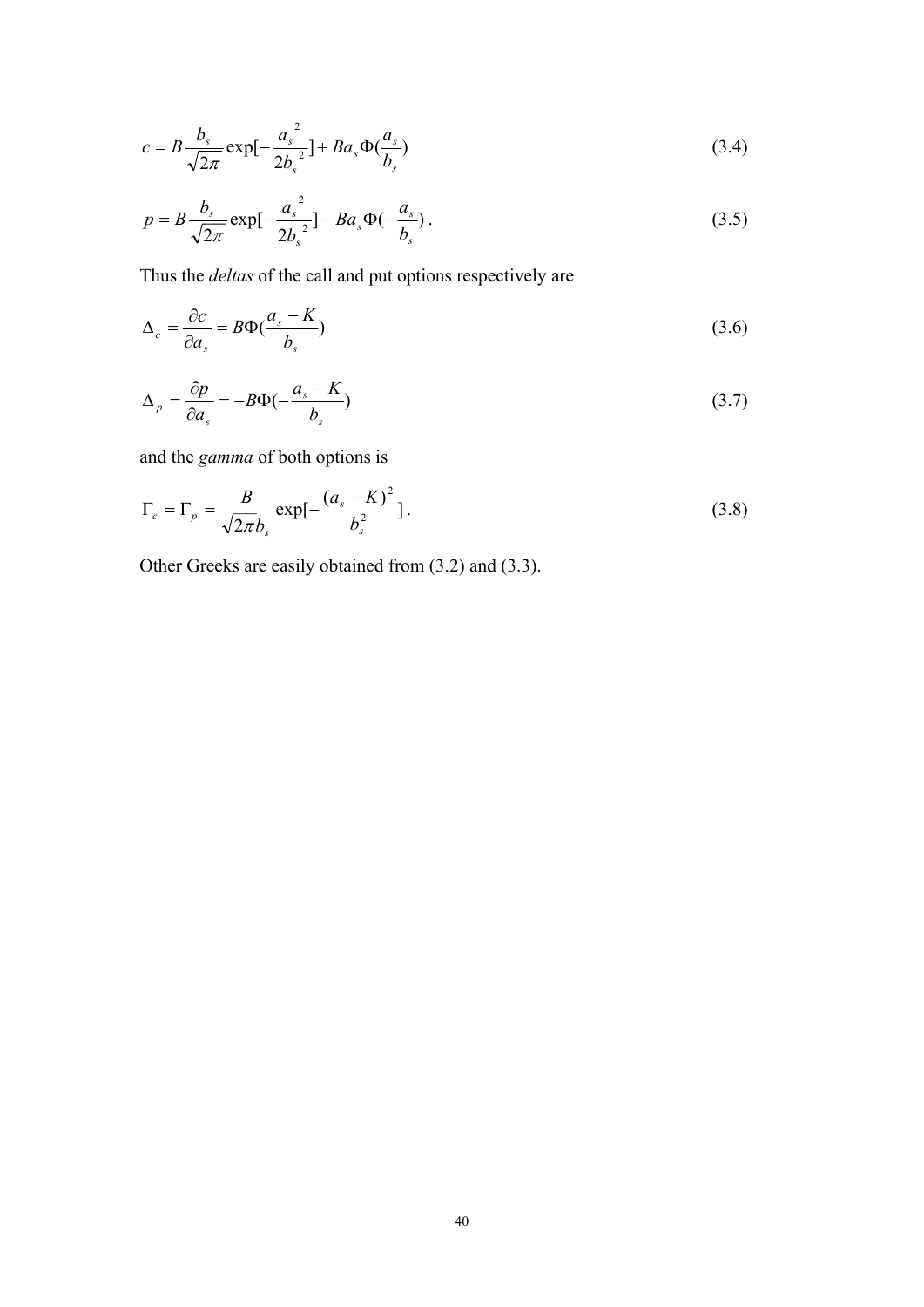$$
c = B \frac{b_s}{\sqrt{2\pi}} \exp[-\frac{a_s^2}{2b_s^2}] + B a_s \Phi(\frac{a_s}{b_s})
$$
\n(3.4)

$$
p = B \frac{b_s}{\sqrt{2\pi}} \exp[-\frac{a_s^2}{2b_s^2}] - Ba_s \Phi(-\frac{a_s}{b_s}).
$$
\n(3.5)

Thus the *deltas* of the call and put options respectively are

$$
\Delta_c = \frac{\partial c}{\partial a_s} = B\Phi(\frac{a_s - K}{b_s})\tag{3.6}
$$

$$
\Delta_p = \frac{\partial p}{\partial a_s} = -B\Phi(-\frac{a_s - K}{b_s})\tag{3.7}
$$

and the *gamma* of both options is

$$
\Gamma_c = \Gamma_p = \frac{B}{\sqrt{2\pi}b_s} \exp[-\frac{(a_s - K)^2}{b_s^2}].
$$
\n(3.8)

Other Greeks are easily obtained from (3.2) and (3.3).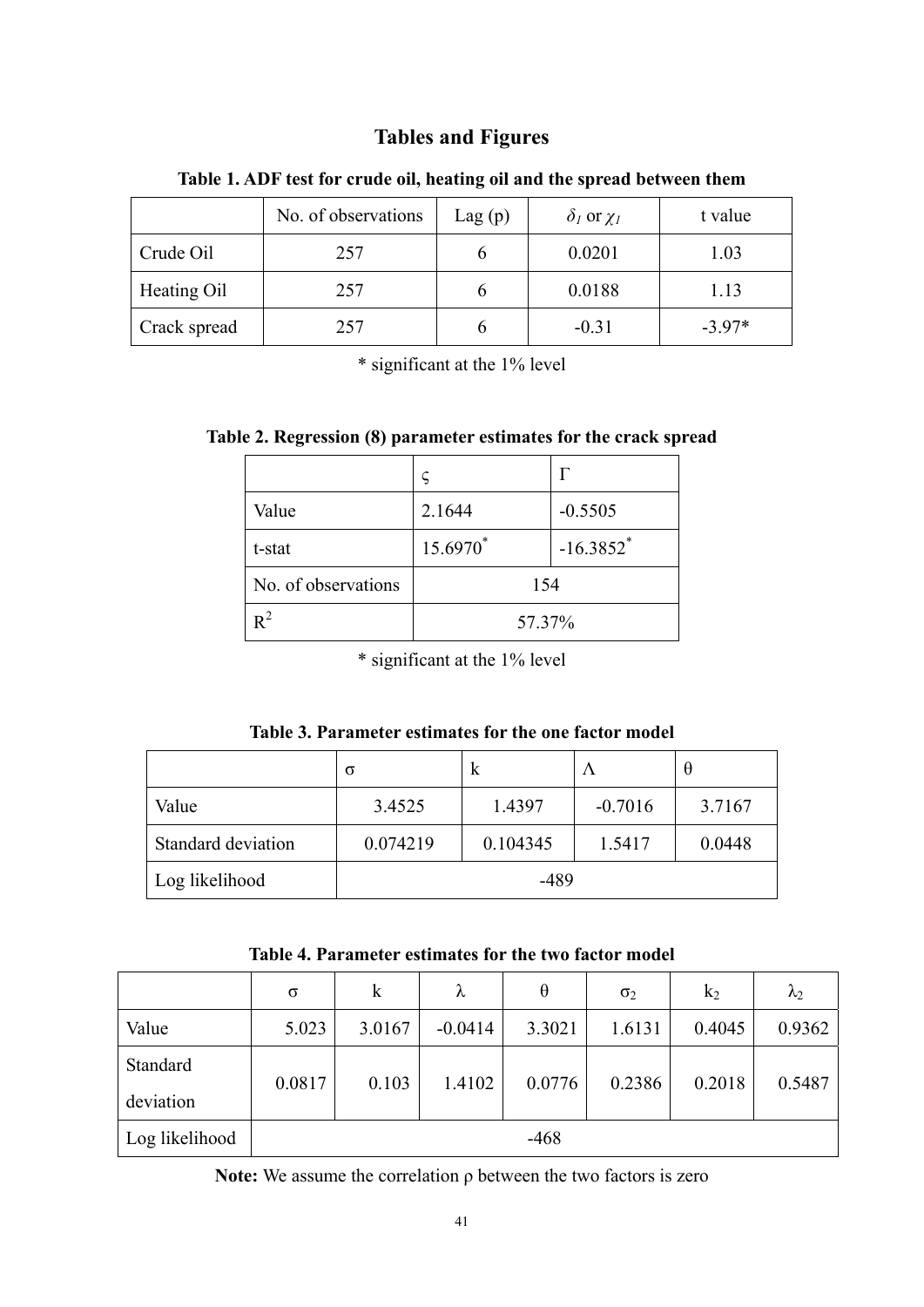# **Tables and Figures**

|              | No. of observations | Lag(p) | $\delta_l$ or $\chi_l$ | t value  |
|--------------|---------------------|--------|------------------------|----------|
| Crude Oil    | 257                 |        | 0.0201                 | 1.03     |
| Heating Oil  | 257                 |        | 0.0188                 | 1.13     |
| Crack spread | 257                 |        | $-0.31$                | $-3.97*$ |

#### **Table 1. ADF test for crude oil, heating oil and the spread between them**

\* significant at the 1% level

|  | Table 2. Regression (8) parameter estimates for the crack spread |  |
|--|------------------------------------------------------------------|--|
|  |                                                                  |  |

| Value               | 2.1644   | $-0.5505$               |  |
|---------------------|----------|-------------------------|--|
| t-stat              | 15.6970* | $-16.3852$ <sup>*</sup> |  |
| No. of observations | 154      |                         |  |
|                     | 57.37%   |                         |  |

\* significant at the 1% level

| Table 3. Parameter estimates for the one factor model |  |  |  |
|-------------------------------------------------------|--|--|--|
|-------------------------------------------------------|--|--|--|

|                    | σ        | к        | $\Lambda$ | Ĥ      |
|--------------------|----------|----------|-----------|--------|
| Value              | 3.4525   | 1.4397   | $-0.7016$ | 3.7167 |
| Standard deviation | 0.074219 | 0.104345 | 1.5417    | 0.0448 |
| Log likelihood     |          | $-489$   |           |        |

| Table 4. Parameter estimates for the two factor model |  |
|-------------------------------------------------------|--|
|-------------------------------------------------------|--|

|                | σ      | $\mathbf k$ | λ         | $\theta$ | $\sigma_2$ | $k_2$  | $\lambda_2$ |
|----------------|--------|-------------|-----------|----------|------------|--------|-------------|
| Value          | 5.023  | 3.0167      | $-0.0414$ | 3.3021   | 1.6131     | 0.4045 | 0.9362      |
| Standard       |        | 0.103       |           |          |            |        |             |
| deviation      | 0.0817 |             | 1.4102    | 0.0776   | 0.2386     | 0.2018 | 0.5487      |
| Log likelihood |        |             |           | $-468$   |            |        |             |

**Note:** We assume the correlation ρ between the two factors is zero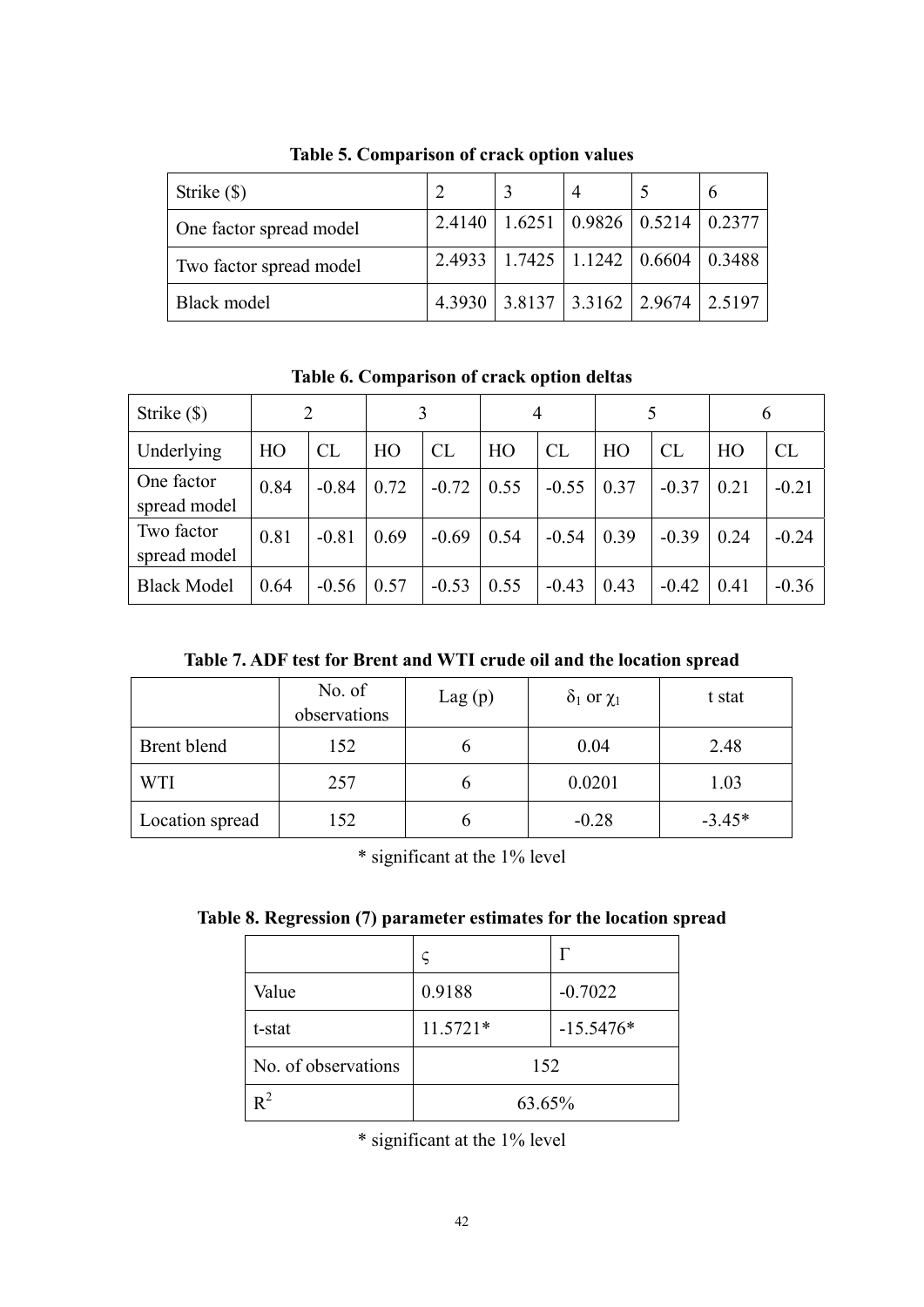| Strike (\$)             |  |                                              | $\mathfrak b$ |
|-------------------------|--|----------------------------------------------|---------------|
| One factor spread model |  | 2.4140   1.6251   0.9826   0.5214   0.2377   |               |
| Two factor spread model |  | $2.4933$   1.7425   1.1242   0.6604   0.3488 |               |
| Black model             |  | 4.3930   3.8137   3.3162   2.9674   2.5197   |               |

**Table 5. Comparison of crack option values** 

**Table 6. Comparison of crack option deltas** 

| Strike $(\$)$              |      | 2       |      |         |      | 4       |      |           |      | 6         |
|----------------------------|------|---------|------|---------|------|---------|------|-----------|------|-----------|
| Underlying                 | HO   | CL      | HO   | CL      | HO   | CL      | HO   | <b>CL</b> | HO   | <b>CL</b> |
| One factor<br>spread model | 0.84 | $-0.84$ | 0.72 | $-0.72$ | 0.55 | $-0.55$ | 0.37 | $-0.37$   | 0.21 | $-0.21$   |
| Two factor<br>spread model | 0.81 | $-0.81$ | 0.69 | $-0.69$ | 0.54 | $-0.54$ | 0.39 | $-0.39$   | 0.24 | $-0.24$   |
| <b>Black Model</b>         | 0.64 | $-0.56$ | 0.57 | $-0.53$ | 0.55 | $-0.43$ | 0.43 | $-0.42$   | 0.41 | $-0.36$   |

**Table 7. ADF test for Brent and WTI crude oil and the location spread** 

|                 | No. of<br>observations | Lag(p) | $\delta_1$ or $\chi_1$ | t stat   |
|-----------------|------------------------|--------|------------------------|----------|
| Brent blend     | 152                    |        | 0.04                   | 2.48     |
| <b>WTI</b>      | 257                    |        | 0.0201                 | 1.03     |
| Location spread | 152                    |        | $-0.28$                | $-3.45*$ |

\* significant at the 1% level

|  |  |  | Table 8. Regression (7) parameter estimates for the location spread |  |  |  |  |
|--|--|--|---------------------------------------------------------------------|--|--|--|--|
|--|--|--|---------------------------------------------------------------------|--|--|--|--|

| Value               | 0.9188   | $-0.7022$   |  |
|---------------------|----------|-------------|--|
| t-stat              | 11.5721* | $-15.5476*$ |  |
| No. of observations | 152      |             |  |
| $R^2$               | 63.65%   |             |  |

\* significant at the 1% level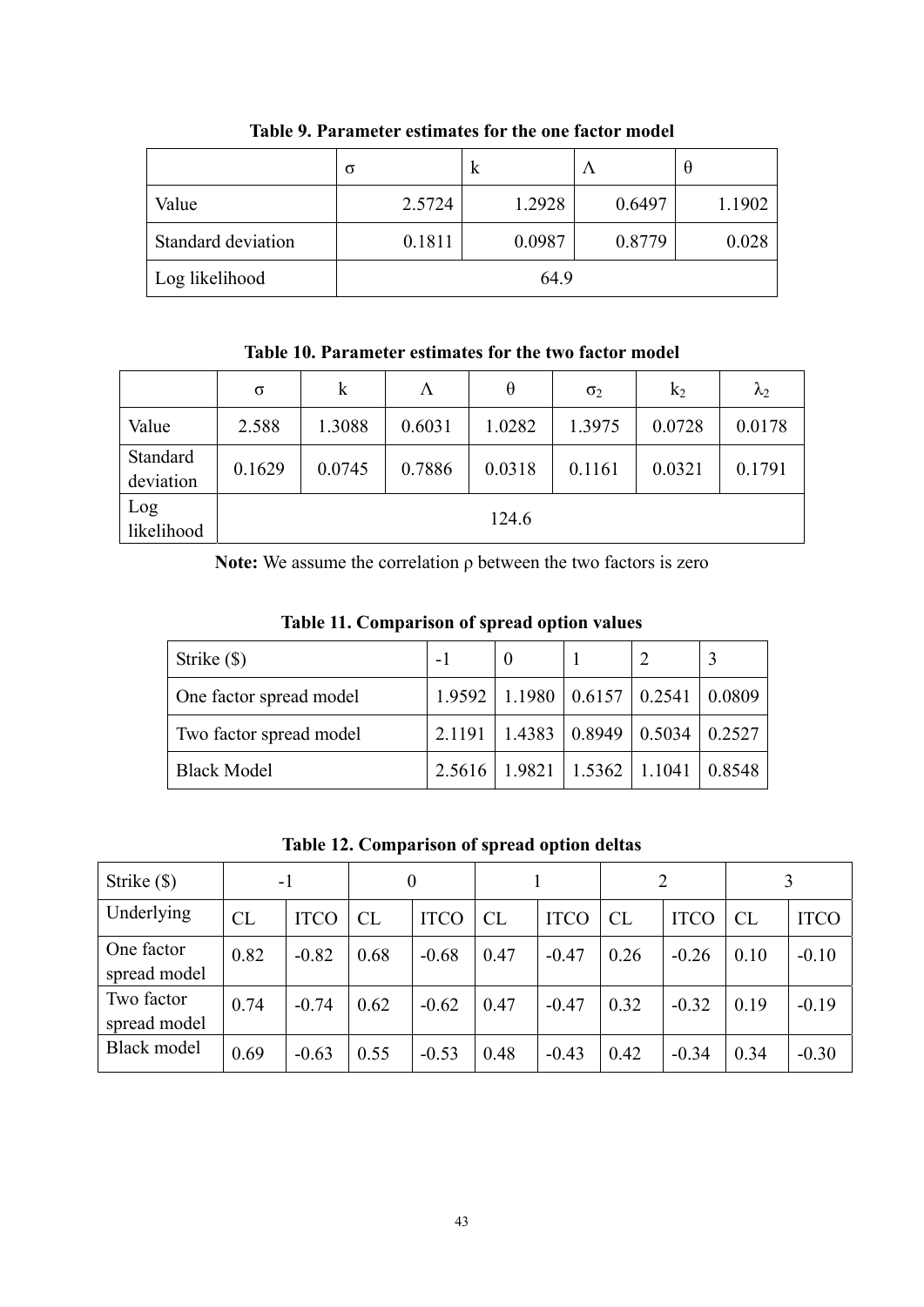|                    | σ      | K      | $\Lambda$ | $\theta$ |
|--------------------|--------|--------|-----------|----------|
| Value              | 2.5724 | 1.2928 | 0.6497    | 1.1902   |
| Standard deviation | 0.1811 | 0.0987 | 0.8779    | 0.028    |
| Log likelihood     |        | 64.9   |           |          |

**Table 9. Parameter estimates for the one factor model** 

**Table 10. Parameter estimates for the two factor model** 

|                       | $\sigma$ | $\bf k$ | Λ      | $\theta$ | $\sigma_2$ | k <sub>2</sub> | $\lambda_2$ |
|-----------------------|----------|---------|--------|----------|------------|----------------|-------------|
| Value                 | 2.588    | 1.3088  | 0.6031 | 1.0282   | 1.3975     | 0.0728         | 0.0178      |
| Standard<br>deviation | 0.1629   | 0.0745  | 0.7886 | 0.0318   | 0.1161     | 0.0321         | 0.1791      |
| Log<br>likelihood     |          |         |        | 124.6    |            |                |             |

**Note:** We assume the correlation ρ between the two factors is zero

| Table 11. Comparison of spread option values |  |  |  |
|----------------------------------------------|--|--|--|
|                                              |  |  |  |

| Strike (\$)             |  |                                                          |  |
|-------------------------|--|----------------------------------------------------------|--|
| One factor spread model |  | $1.9592$   1.1980   0.6157   0.2541   0.0809             |  |
| Two factor spread model |  | $2.1191 \mid 1.4383 \mid 0.8949 \mid 0.5034 \mid 0.2527$ |  |
| <b>Black Model</b>      |  | $2.5616$   1.9821   1.5362   1.1041   0.8548             |  |

**Table 12. Comparison of spread option deltas** 

| Strike (\$)                | $-1$ |             | $\theta$ |             |      |             |      |             |           |             |
|----------------------------|------|-------------|----------|-------------|------|-------------|------|-------------|-----------|-------------|
| Underlying                 | CL   | <b>ITCO</b> | CL       | <b>ITCO</b> | CL   | <b>ITCO</b> | CL   | <b>ITCO</b> | <b>CL</b> | <b>ITCO</b> |
| One factor<br>spread model | 0.82 | $-0.82$     | 0.68     | $-0.68$     | 0.47 | $-0.47$     | 0.26 | $-0.26$     | 0.10      | $-0.10$     |
| Two factor<br>spread model | 0.74 | $-0.74$     | 0.62     | $-0.62$     | 0.47 | $-0.47$     | 0.32 | $-0.32$     | 0.19      | $-0.19$     |
| Black model                | 0.69 | $-0.63$     | 0.55     | $-0.53$     | 0.48 | $-0.43$     | 0.42 | $-0.34$     | 0.34      | $-0.30$     |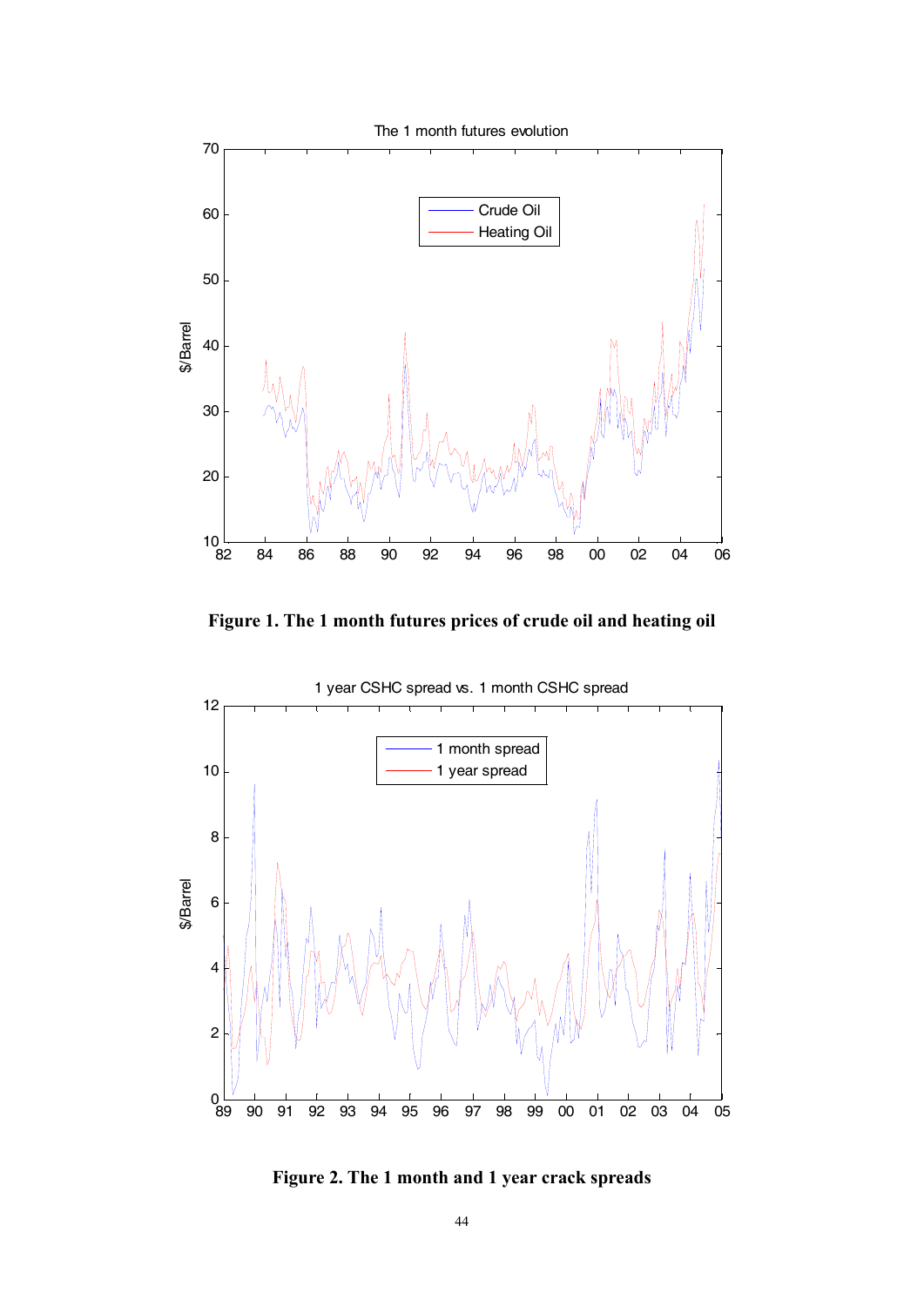

**Figure 1. The 1 month futures prices of crude oil and heating oil** 



**Figure 2. The 1 month and 1 year crack spreads**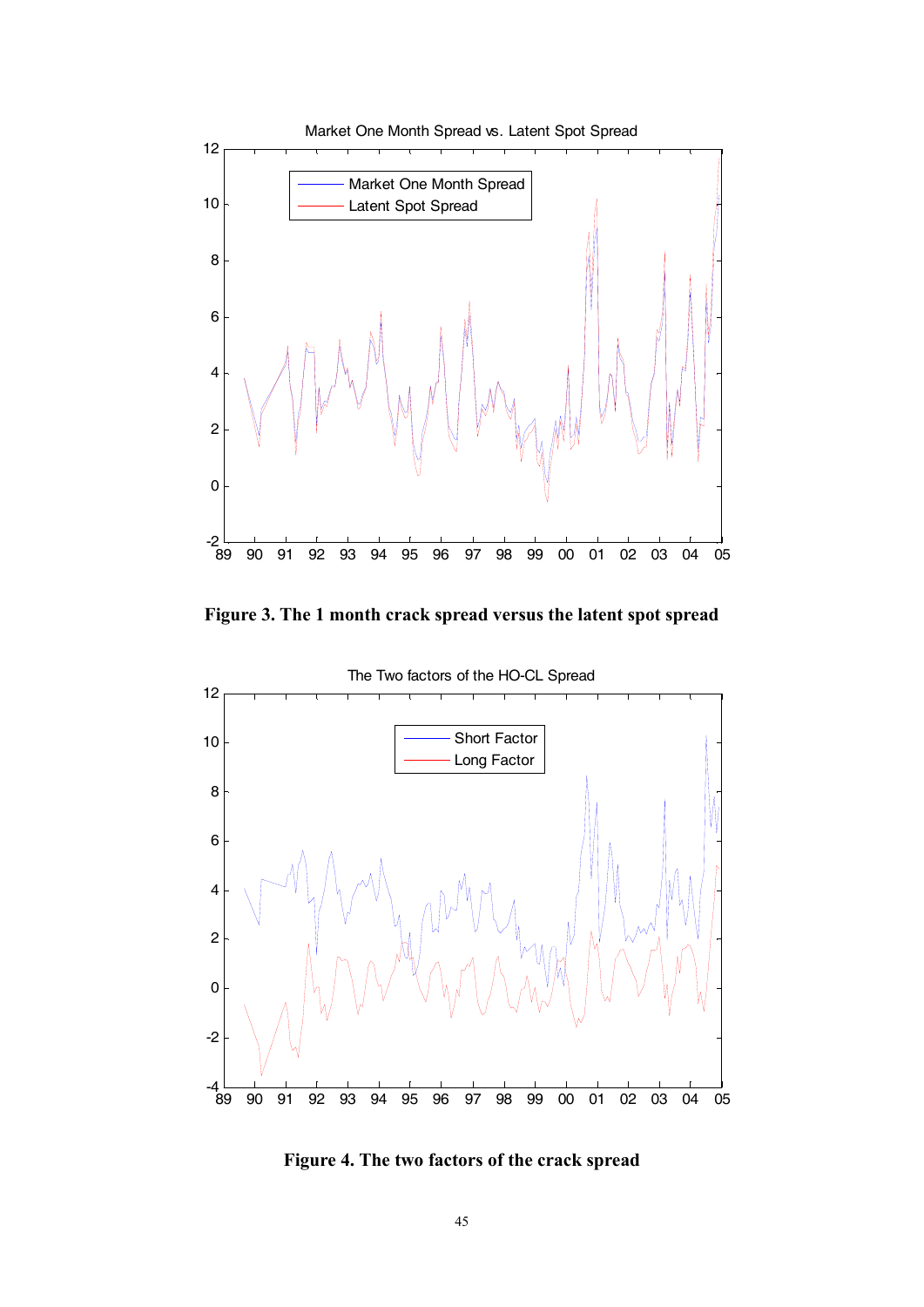

**Figure 3. The 1 month crack spread versus the latent spot spread** 



**Figure 4. The two factors of the crack spread**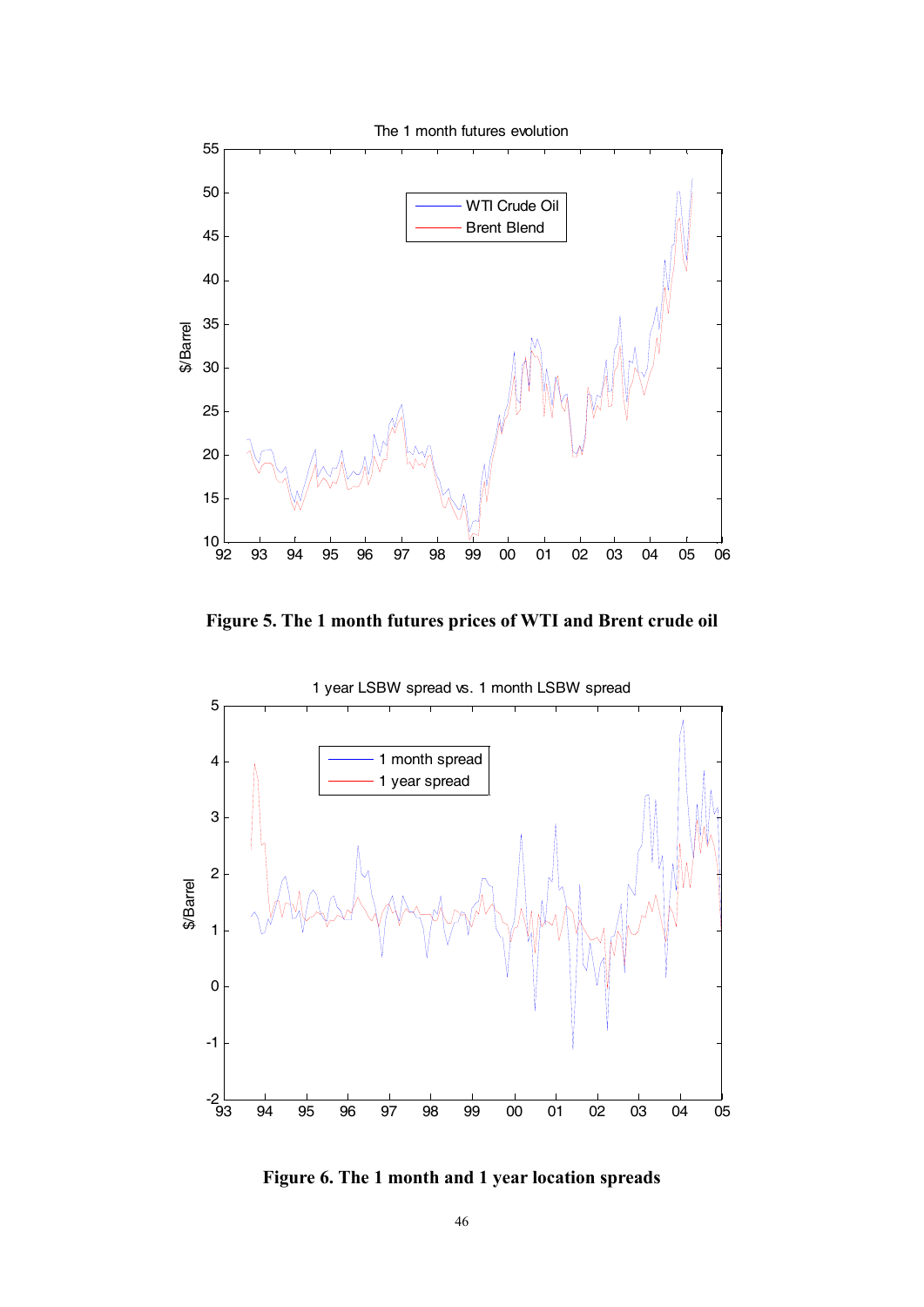

**Figure 5. The 1 month futures prices of WTI and Brent crude oil** 



**Figure 6. The 1 month and 1 year location spreads**